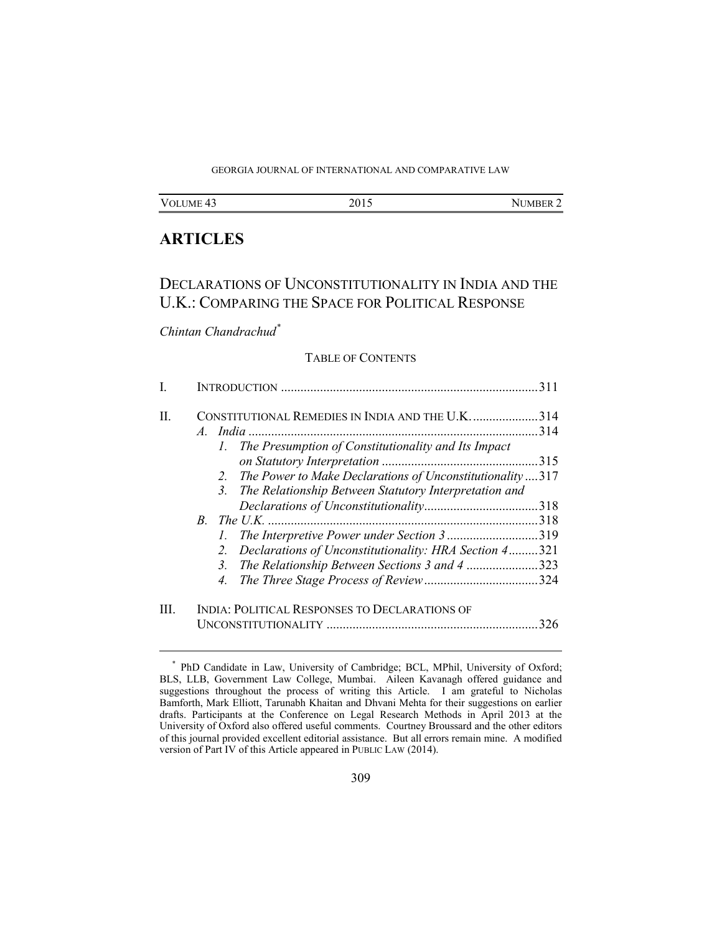#### GEORGIA JOURNAL OF INTERNATIONAL AND COMPARATIVE LAW

| 20 <sup>1</sup><br>T<br><b>IME</b><br>ABER<br>Δ<br>NL<br>.∪MBF.<br>UL.<br>20 I J<br>Τ<br>,<br>$\overline{\phantom{a}}$ |
|------------------------------------------------------------------------------------------------------------------------|
|------------------------------------------------------------------------------------------------------------------------|

# **ARTICLES**

# DECLARATIONS OF UNCONSTITUTIONALITY IN INDIA AND THE U.K.: COMPARING THE SPACE FOR POLITICAL RESPONSE

*Chintan Chandrachud*\*

 $\overline{a}$ 

# TABLE OF CONTENTS

|         | CONSTITUTIONAL REMEDIES IN INDIA AND THE U.K314               |      |
|---------|---------------------------------------------------------------|------|
| $A_{-}$ | India                                                         | .314 |
|         | 1. The Presumption of Constitutionality and Its Impact        |      |
|         |                                                               | .315 |
|         | 2. The Power to Make Declarations of Unconstitutionality  317 |      |
|         | 3. The Relationship Between Statutory Interpretation and      |      |
|         |                                                               |      |
| $B_{-}$ |                                                               |      |
|         |                                                               | .319 |
|         | 2. Declarations of Unconstitutionality: HRA Section 4321      |      |
|         | 3. The Relationship Between Sections 3 and 4 323              |      |
|         |                                                               |      |
|         |                                                               |      |
|         | <b>INDIA: POLITICAL RESPONSES TO DECLARATIONS OF</b>          |      |
|         |                                                               | 326  |

 <sup>\*</sup> PhD Candidate in Law, University of Cambridge; BCL, MPhil, University of Oxford; BLS, LLB, Government Law College, Mumbai. Aileen Kavanagh offered guidance and suggestions throughout the process of writing this Article. I am grateful to Nicholas Bamforth, Mark Elliott, Tarunabh Khaitan and Dhvani Mehta for their suggestions on earlier drafts. Participants at the Conference on Legal Research Methods in April 2013 at the University of Oxford also offered useful comments. Courtney Broussard and the other editors of this journal provided excellent editorial assistance. But all errors remain mine. A modified version of Part IV of this Article appeared in PUBLIC LAW (2014).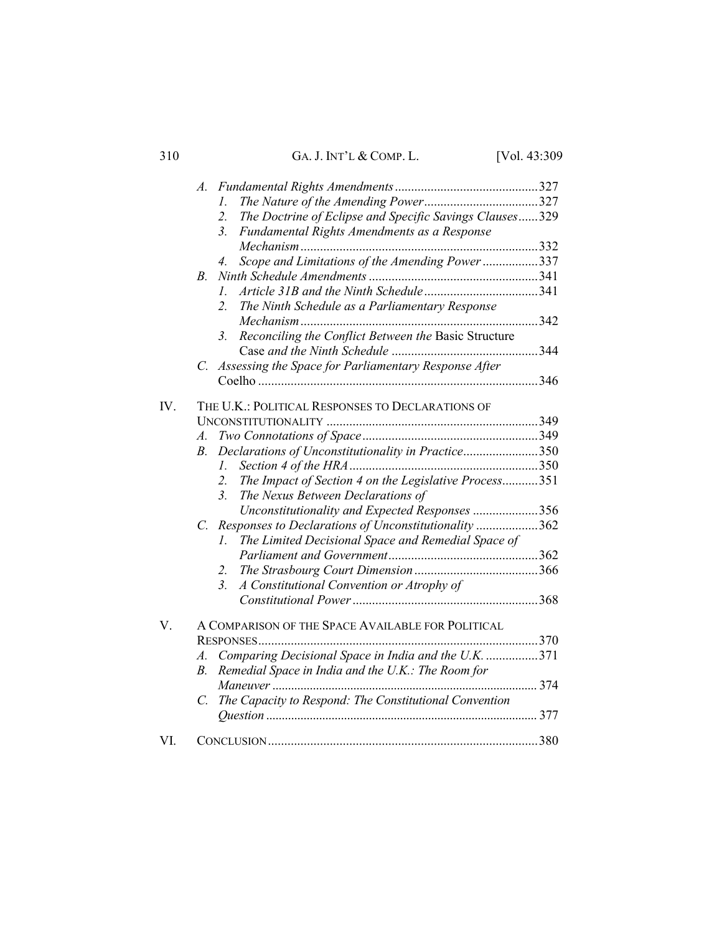| 310 | GA. J. INT'L & COMP. L. | [Vol. $43:309$ |
|-----|-------------------------|----------------|
|     |                         |                |

|     |                 | L.                                                                     |      |  |
|-----|-----------------|------------------------------------------------------------------------|------|--|
|     |                 | The Doctrine of Eclipse and Specific Savings Clauses329<br>2.          |      |  |
|     |                 | Fundamental Rights Amendments as a Response<br>$\mathfrak{Z}$ .        |      |  |
|     |                 |                                                                        |      |  |
|     |                 | Scope and Limitations of the Amending Power337<br>4.                   |      |  |
|     | B.              |                                                                        |      |  |
|     |                 |                                                                        |      |  |
|     |                 | 2.<br>The Ninth Schedule as a Parliamentary Response                   |      |  |
|     |                 |                                                                        | .342 |  |
|     |                 | Reconciling the Conflict Between the Basic Structure<br>3 <sub>1</sub> |      |  |
|     |                 |                                                                        |      |  |
|     |                 | C. Assessing the Space for Parliamentary Response After                |      |  |
|     |                 |                                                                        | 346  |  |
|     |                 |                                                                        |      |  |
| IV. |                 | THE U.K.: POLITICAL RESPONSES TO DECLARATIONS OF                       |      |  |
|     |                 |                                                                        |      |  |
|     | $A$ .           |                                                                        |      |  |
|     | <i>B</i> .      | Declarations of Unconstitutionality in Practice350                     |      |  |
|     |                 | $l_{\cdot}$                                                            |      |  |
|     |                 | The Impact of Section 4 on the Legislative Process351<br>2.            |      |  |
|     |                 | The Nexus Between Declarations of<br>3 <sub>1</sub>                    |      |  |
|     |                 | Unconstitutionality and Expected Responses 356                         |      |  |
|     | $C_{\cdot}$     | Responses to Declarations of Unconstitutionality 362                   |      |  |
|     |                 | The Limited Decisional Space and Remedial Space of<br>Ι.               |      |  |
|     |                 |                                                                        |      |  |
|     |                 | 2.                                                                     |      |  |
|     |                 | A Constitutional Convention or Atrophy of<br>3 <sub>1</sub>            |      |  |
|     |                 |                                                                        |      |  |
|     |                 |                                                                        |      |  |
| V.  |                 | A COMPARISON OF THE SPACE AVAILABLE FOR POLITICAL                      |      |  |
|     |                 |                                                                        |      |  |
|     | A.              | Comparing Decisional Space in India and the U.K. 371                   |      |  |
|     | В.              | Remedial Space in India and the U.K.: The Room for                     |      |  |
|     |                 |                                                                        |      |  |
|     | $\mathcal{C}$ . | The Capacity to Respond: The Constitutional Convention                 |      |  |
|     |                 |                                                                        |      |  |
| VI. |                 |                                                                        |      |  |
|     |                 |                                                                        |      |  |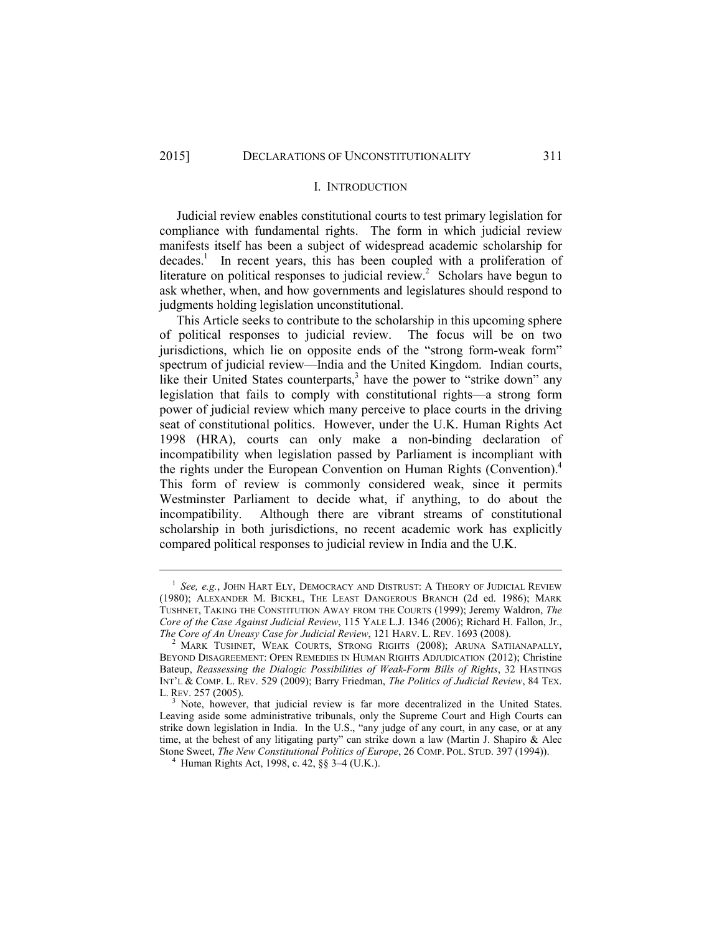# I. INTRODUCTION

Judicial review enables constitutional courts to test primary legislation for compliance with fundamental rights. The form in which judicial review manifests itself has been a subject of widespread academic scholarship for decades.<sup>1</sup> In recent years, this has been coupled with a proliferation of literature on political responses to judicial review.<sup>2</sup> Scholars have begun to ask whether, when, and how governments and legislatures should respond to judgments holding legislation unconstitutional.

This Article seeks to contribute to the scholarship in this upcoming sphere of political responses to judicial review. The focus will be on two jurisdictions, which lie on opposite ends of the "strong form-weak form" spectrum of judicial review—India and the United Kingdom. Indian courts, like their United States counterparts, $3$  have the power to "strike down" any legislation that fails to comply with constitutional rights—a strong form power of judicial review which many perceive to place courts in the driving seat of constitutional politics. However, under the U.K. Human Rights Act 1998 (HRA), courts can only make a non-binding declaration of incompatibility when legislation passed by Parliament is incompliant with the rights under the European Convention on Human Rights (Convention).<sup>4</sup> This form of review is commonly considered weak, since it permits Westminster Parliament to decide what, if anything, to do about the incompatibility. Although there are vibrant streams of constitutional scholarship in both jurisdictions, no recent academic work has explicitly compared political responses to judicial review in India and the U.K.

<sup>&</sup>lt;sup>1</sup> See, e.g., JOHN HART ELY, DEMOCRACY AND DISTRUST: A THEORY OF JUDICIAL REVIEW (1980); ALEXANDER M. BICKEL, THE LEAST DANGEROUS BRANCH (2d ed. 1986); MARK TUSHNET, TAKING THE CONSTITUTION AWAY FROM THE COURTS (1999); Jeremy Waldron, *The Core of the Case Against Judicial Review*, 115 YALE L.J. 1346 (2006); Richard H. Fallon, Jr., *The Core of An Uneasy Case for Judicial Review*, 121 HARV. L. REV. 1693 (2008). 2

MARK TUSHNET, WEAK COURTS, STRONG RIGHTS (2008); ARUNA SATHANAPALLY, BEYOND DISAGREEMENT: OPEN REMEDIES IN HUMAN RIGHTS ADJUDICATION (2012); Christine Bateup, *Reassessing the Dialogic Possibilities of Weak-Form Bills of Rights*, 32 HASTINGS INT'L & COMP. L. REV. 529 (2009); Barry Friedman, *The Politics of Judicial Review*, 84 TEX. L. REV. 257 (2005).

Note, however, that judicial review is far more decentralized in the United States. Leaving aside some administrative tribunals, only the Supreme Court and High Courts can strike down legislation in India. In the U.S., "any judge of any court, in any case, or at any time, at the behest of any litigating party" can strike down a law (Martin J. Shapiro & Alec Stone Sweet, *The New Constitutional Politics of Europe*, 26 COMP. POL. STUD. 397 (1994)).

<sup>&</sup>lt;sup>4</sup> Human Rights Act, 1998, c. 42, §§ 3–4 (U.K.).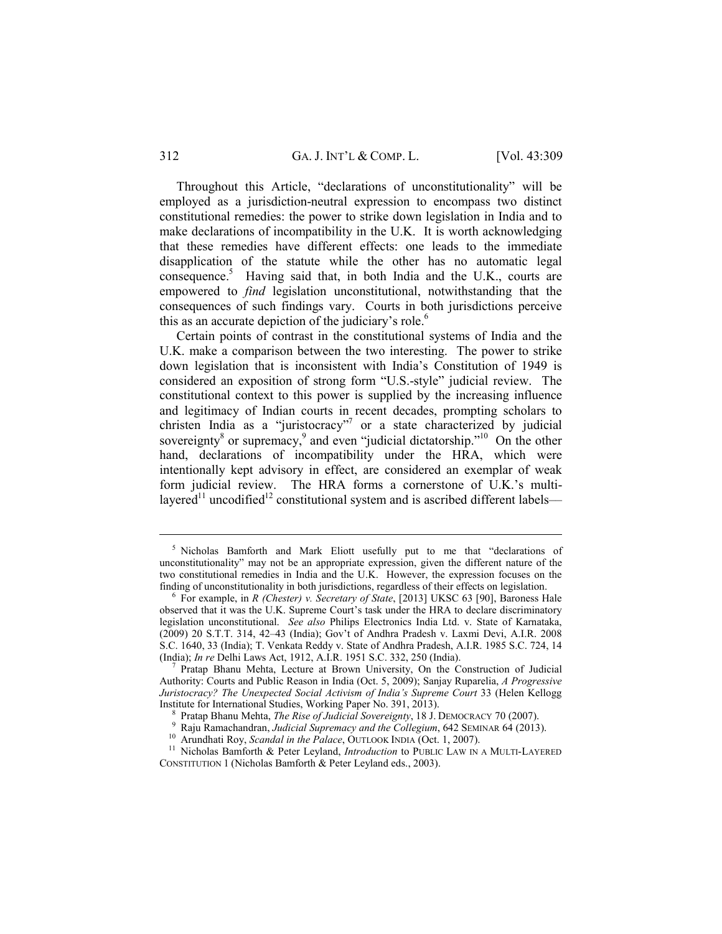# 312 GA. J. INT'L & COMP. L. [Vol. 43:309

Throughout this Article, "declarations of unconstitutionality" will be employed as a jurisdiction-neutral expression to encompass two distinct constitutional remedies: the power to strike down legislation in India and to make declarations of incompatibility in the U.K. It is worth acknowledging that these remedies have different effects: one leads to the immediate disapplication of the statute while the other has no automatic legal consequence.<sup>5</sup> Having said that, in both India and the U.K., courts are empowered to *find* legislation unconstitutional, notwithstanding that the consequences of such findings vary. Courts in both jurisdictions perceive this as an accurate depiction of the judiciary's role.<sup>6</sup>

Certain points of contrast in the constitutional systems of India and the U.K. make a comparison between the two interesting. The power to strike down legislation that is inconsistent with India's Constitution of 1949 is considered an exposition of strong form "U.S.-style" judicial review. The constitutional context to this power is supplied by the increasing influence and legitimacy of Indian courts in recent decades, prompting scholars to christen India as a "juristocracy"<sup>7</sup> or a state characterized by judicial sovereignty<sup>8</sup> or supremacy,<sup>9</sup> and even "judicial dictatorship."<sup>10</sup> On the other hand, declarations of incompatibility under the HRA, which were intentionally kept advisory in effect, are considered an exemplar of weak form judicial review. The HRA forms a cornerstone of U.K.'s multilayered<sup>11</sup> uncodified<sup>12</sup> constitutional system and is ascribed different labels—

 $\frac{1}{5}$ <sup>5</sup> Nicholas Bamforth and Mark Eliott usefully put to me that "declarations of unconstitutionality" may not be an appropriate expression, given the different nature of the two constitutional remedies in India and the U.K. However, the expression focuses on the finding of unconstitutionality in both jurisdictions, regardless of their effects on legislation. 6

For example, in *R (Chester) v. Secretary of State*, [2013] UKSC 63 [90], Baroness Hale observed that it was the U.K. Supreme Court's task under the HRA to declare discriminatory legislation unconstitutional. *See also* Philips Electronics India Ltd. v. State of Karnataka, (2009) 20 S.T.T. 314, 42–43 (India); Gov't of Andhra Pradesh v. Laxmi Devi, A.I.R. 2008 S.C. 1640, 33 (India); T. Venkata Reddy v. State of Andhra Pradesh, A.I.R. 1985 S.C. 724, 14 (India); *In re* Delhi Laws Act, 1912, A.I.R. 1951 S.C. 332, 250 (India). 7

Pratap Bhanu Mehta, Lecture at Brown University, On the Construction of Judicial Authority: Courts and Public Reason in India (Oct. 5, 2009); Sanjay Ruparelia, *A Progressive Juristocracy? The Unexpected Social Activism of India's Supreme Court* 33 (Helen Kellogg Institute for International Studies, Working Paper No. 391, 2013).

<sup>&</sup>lt;sup>8</sup> Pratap Bhanu Mehta, *The Rise of Judicial Sovereignty*, 18 J. DEMOCRACY 70 (2007).<br><sup>9</sup> Raju Ramachandran, *Judicial Supremacy and the Collegium*, 642 SEMINAR 64 (2013).

<sup>&</sup>lt;sup>10</sup> Arundhati Roy, *Scandal in the Palace*, OUTLOOK INDIA (Oct. 1, 2007).<br><sup>11</sup> Nicholas Bamforth & Peter Leyland, *Introduction* to PUBLIC LAW IN A MULTI-LAYERED CONSTITUTION 1 (Nicholas Bamforth & Peter Leyland eds., 2003).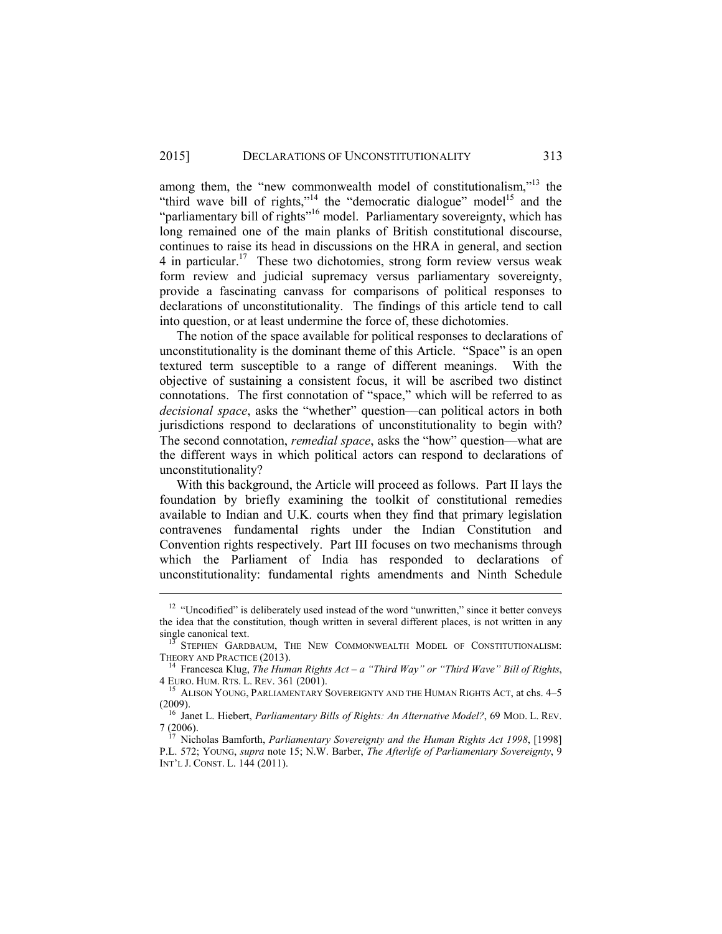among them, the "new commonwealth model of constitutionalism,"<sup>13</sup> the "third wave bill of rights,"<sup>14</sup> the "democratic dialogue" model<sup>15</sup> and the "parliamentary bill of rights"<sup>16</sup> model. Parliamentary sovereignty, which has long remained one of the main planks of British constitutional discourse, continues to raise its head in discussions on the HRA in general, and section 4 in particular.<sup>17</sup> These two dichotomies, strong form review versus weak form review and judicial supremacy versus parliamentary sovereignty, provide a fascinating canvass for comparisons of political responses to declarations of unconstitutionality. The findings of this article tend to call into question, or at least undermine the force of, these dichotomies.

The notion of the space available for political responses to declarations of unconstitutionality is the dominant theme of this Article. "Space" is an open textured term susceptible to a range of different meanings. With the objective of sustaining a consistent focus, it will be ascribed two distinct connotations. The first connotation of "space," which will be referred to as *decisional space*, asks the "whether" question––can political actors in both jurisdictions respond to declarations of unconstitutionality to begin with? The second connotation, *remedial space*, asks the "how" question––what are the different ways in which political actors can respond to declarations of unconstitutionality?

With this background, the Article will proceed as follows. Part II lays the foundation by briefly examining the toolkit of constitutional remedies available to Indian and U.K. courts when they find that primary legislation contravenes fundamental rights under the Indian Constitution and Convention rights respectively. Part III focuses on two mechanisms through which the Parliament of India has responded to declarations of unconstitutionality: fundamental rights amendments and Ninth Schedule

<sup>&</sup>lt;sup>12</sup> "Uncodified" is deliberately used instead of the word "unwritten," since it better conveys the idea that the constitution, though written in several different places, is not written in any

single canonical text.<br><sup>13</sup> STEPHEN GARDBAUM, THE NEW COMMONWEALTH MODEL OF CONSTITUTIONALISM:<br>THEORY AND PRACTICE (2013).

<sup>&</sup>lt;sup>14</sup> Francesca Klug, *The Human Rights Act – a "Third Way" or "Third Wave" Bill of Rights,* 4 EURO. HUM. RTS. L. REV. 361 (2001).

 $^{15}$  ALISON YOUNG, PARLIAMENTARY SOVEREIGNTY AND THE HUMAN RIGHTS ACT, at chs. 4–5 (2009).

<sup>(2005).&</sup>lt;br>
7 (2006).<br>
<sup>17</sup> Nicholas Bomforth, *Parliamentary Soussignty and the Hyman Bights 4st 1008*, 110081

<sup>7 (2006). 17</sup> Nicholas Bamforth, *Parliamentary Sovereignty and the Human Rights Act 1998*, [1998] P.L. 572; YOUNG, *supra* note 15; N.W. Barber, *The Afterlife of Parliamentary Sovereignty*, 9 INT'L J. CONST. L. 144 (2011).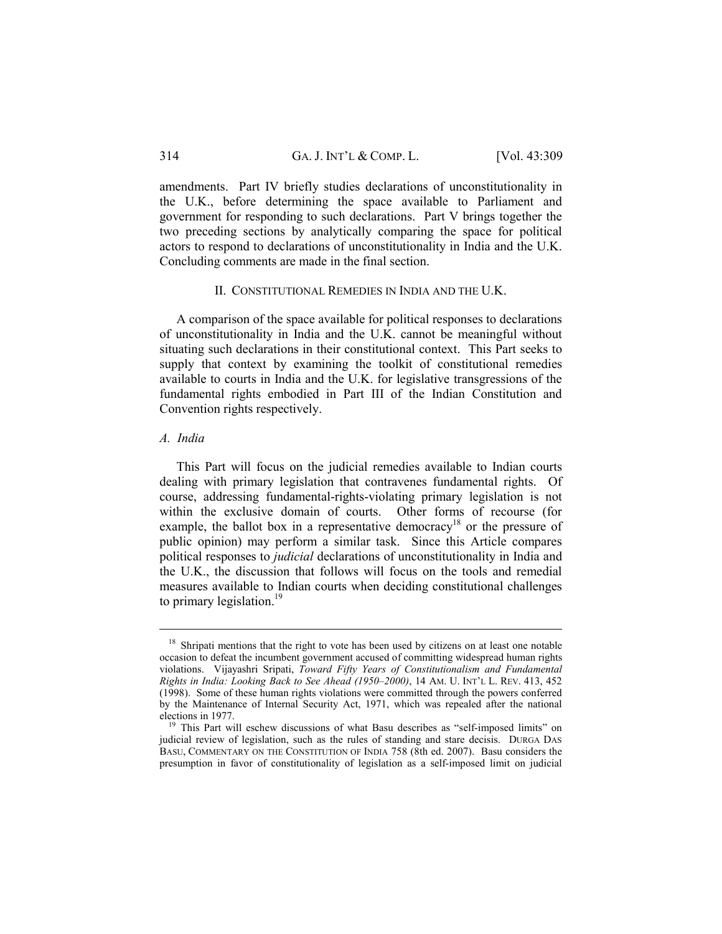amendments. Part IV briefly studies declarations of unconstitutionality in the U.K., before determining the space available to Parliament and government for responding to such declarations. Part V brings together the two preceding sections by analytically comparing the space for political actors to respond to declarations of unconstitutionality in India and the U.K. Concluding comments are made in the final section.

#### II. CONSTITUTIONAL REMEDIES IN INDIA AND THE U.K.

A comparison of the space available for political responses to declarations of unconstitutionality in India and the U.K. cannot be meaningful without situating such declarations in their constitutional context. This Part seeks to supply that context by examining the toolkit of constitutional remedies available to courts in India and the U.K. for legislative transgressions of the fundamental rights embodied in Part III of the Indian Constitution and Convention rights respectively.

# *A. India*

 $\overline{a}$ 

This Part will focus on the judicial remedies available to Indian courts dealing with primary legislation that contravenes fundamental rights. Of course, addressing fundamental-rights-violating primary legislation is not within the exclusive domain of courts. Other forms of recourse (for example, the ballot box in a representative democracy<sup>18</sup> or the pressure of public opinion) may perform a similar task. Since this Article compares political responses to *judicial* declarations of unconstitutionality in India and the U.K., the discussion that follows will focus on the tools and remedial measures available to Indian courts when deciding constitutional challenges to primary legislation.<sup>19</sup>

<sup>&</sup>lt;sup>18</sup> Shripati mentions that the right to vote has been used by citizens on at least one notable occasion to defeat the incumbent government accused of committing widespread human rights violations. Vijayashri Sripati, *Toward Fifty Years of Constitutionalism and Fundamental Rights in India: Looking Back to See Ahead (1950–2000)*, 14 AM. U. INT'L L. REV. 413, 452 (1998). Some of these human rights violations were committed through the powers conferred by the Maintenance of Internal Security Act, 1971, which was repealed after the national

elections in 1977.<br><sup>19</sup> This Part will eschew discussions of what Basu describes as "self-imposed limits" on judicial review of legislation, such as the rules of standing and stare decisis. DURGA DAS BASU, COMMENTARY ON THE CONSTITUTION OF INDIA 758 (8th ed. 2007). Basu considers the presumption in favor of constitutionality of legislation as a self-imposed limit on judicial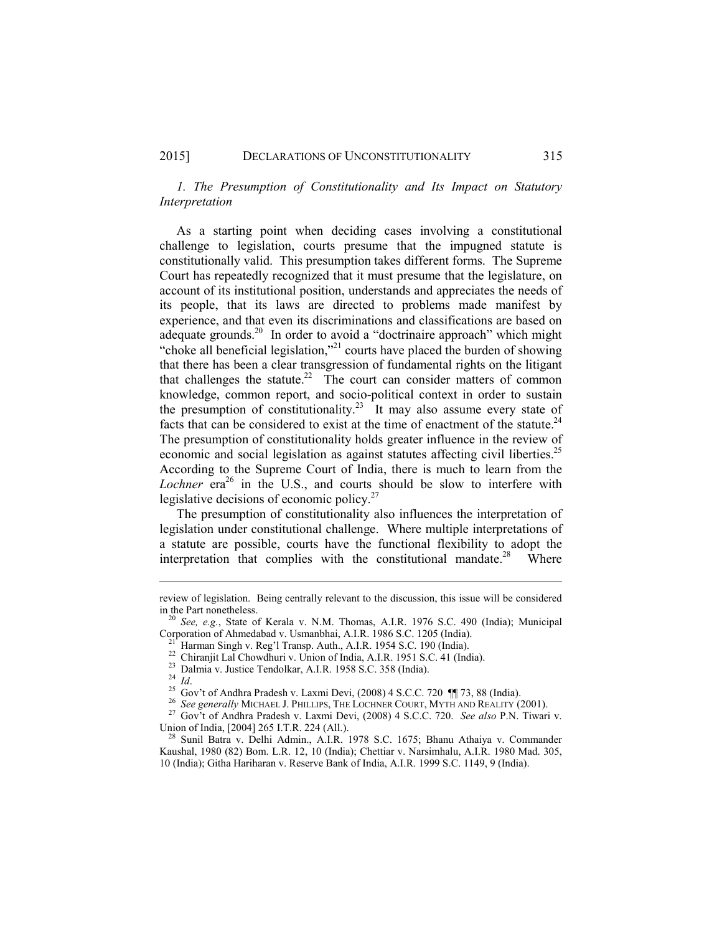*1. The Presumption of Constitutionality and Its Impact on Statutory Interpretation* 

As a starting point when deciding cases involving a constitutional challenge to legislation, courts presume that the impugned statute is constitutionally valid. This presumption takes different forms. The Supreme Court has repeatedly recognized that it must presume that the legislature, on account of its institutional position, understands and appreciates the needs of its people, that its laws are directed to problems made manifest by experience, and that even its discriminations and classifications are based on adequate grounds.<sup>20</sup> In order to avoid a "doctrinaire approach" which might "choke all beneficial legislation,"21 courts have placed the burden of showing that there has been a clear transgression of fundamental rights on the litigant that challenges the statute.<sup>22</sup> The court can consider matters of common knowledge, common report, and socio-political context in order to sustain the presumption of constitutionality.<sup>23</sup> It may also assume every state of facts that can be considered to exist at the time of enactment of the statute.<sup>24</sup> The presumption of constitutionality holds greater influence in the review of economic and social legislation as against statutes affecting civil liberties.<sup>25</sup> According to the Supreme Court of India, there is much to learn from the Lochner era<sup>26</sup> in the U.S., and courts should be slow to interfere with legislative decisions of economic policy.27

The presumption of constitutionality also influences the interpretation of legislation under constitutional challenge. Where multiple interpretations of a statute are possible, courts have the functional flexibility to adopt the interpretation that complies with the constitutional mandate.<sup>28</sup> Where

review of legislation. Being centrally relevant to the discussion, this issue will be considered

in the Part nonetheless.<br><sup>20</sup> *See, e.g.*, State of Kerala v. N.M. Thomas, A.I.R. 1976 S.C. 490 (India); Municipal Corporation of Ahmedabad v. Usmanbhai, A.I.R. 1986 S.C. 1205 (India).

Harman Singh v. Reg'l Transp. Auth., A.I.R. 1954 S.C. 190 (India).

<sup>&</sup>lt;sup>22</sup> Chiranjit Lal Chowdhuri v. Union of India, A.I.R. 1951 S.C. 41 (India).

<sup>&</sup>lt;sup>23</sup> Dalmia v. Justice Tendolkar, A.I.R. 1958 S.C. 358 (India).<br><sup>24</sup> Id.

<sup>&</sup>lt;sup>25</sup> Gov't of Andhra Pradesh v. Laxmi Devi, (2008) 4 S.C.C. 720 ¶¶ 73, 88 (India).<br><sup>26</sup> See generally MICHAEL J. PHILLIPS, THE LOCHNER COURT, MYTH AND REALITY (2001).

<sup>&</sup>lt;sup>27</sup> Gov't of Andhra Pradesh v. Laxmi Devi, (2008) 4 S.C.C. 720. *See also* P.N. Tiwari v. Union of India, [2004] 265 I.T.R. 224 (All.).

<sup>&</sup>lt;sup>28</sup> Sunil Batra v. Delhi Admin., A.I.R. 1978 S.C. 1675; Bhanu Athaiya v. Commander Kaushal, 1980 (82) Bom. L.R. 12, 10 (India); Chettiar v. Narsimhalu, A.I.R. 1980 Mad. 305, 10 (India); Githa Hariharan v. Reserve Bank of India, A.I.R. 1999 S.C. 1149, 9 (India).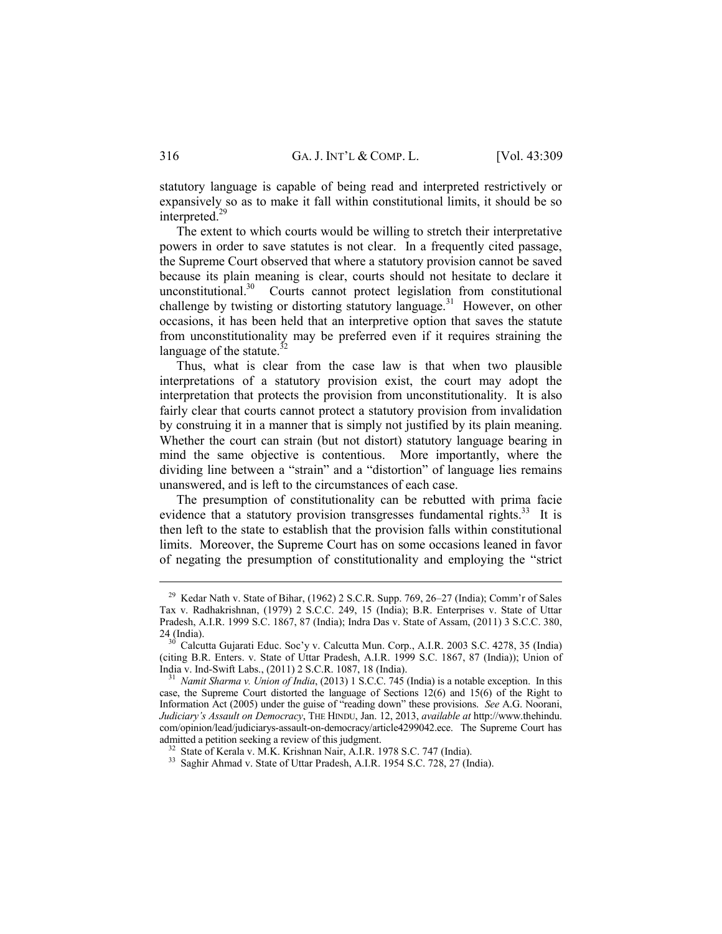statutory language is capable of being read and interpreted restrictively or expansively so as to make it fall within constitutional limits, it should be so interpreted.29

The extent to which courts would be willing to stretch their interpretative powers in order to save statutes is not clear. In a frequently cited passage, the Supreme Court observed that where a statutory provision cannot be saved because its plain meaning is clear, courts should not hesitate to declare it unconstitutional.<sup>30</sup> Courts cannot protect legislation from constitutional challenge by twisting or distorting statutory language.<sup>31</sup> However, on other occasions, it has been held that an interpretive option that saves the statute from unconstitutionality may be preferred even if it requires straining the language of the statute. $32$ 

Thus, what is clear from the case law is that when two plausible interpretations of a statutory provision exist, the court may adopt the interpretation that protects the provision from unconstitutionality. It is also fairly clear that courts cannot protect a statutory provision from invalidation by construing it in a manner that is simply not justified by its plain meaning. Whether the court can strain (but not distort) statutory language bearing in mind the same objective is contentious. More importantly, where the dividing line between a "strain" and a "distortion" of language lies remains unanswered, and is left to the circumstances of each case.

The presumption of constitutionality can be rebutted with prima facie evidence that a statutory provision transgresses fundamental rights.<sup>33</sup> It is then left to the state to establish that the provision falls within constitutional limits. Moreover, the Supreme Court has on some occasions leaned in favor of negating the presumption of constitutionality and employing the "strict

<sup>&</sup>lt;sup>29</sup> Kedar Nath v. State of Bihar, (1962) 2 S.C.R. Supp. 769, 26–27 (India); Comm'r of Sales Tax v. Radhakrishnan, (1979) 2 S.C.C. 249, 15 (India); B.R. Enterprises v. State of Uttar Pradesh, A.I.R. 1999 S.C. 1867, 87 (India); Indra Das v. State of Assam, (2011) 3 S.C.C. 380,<br>24 (India).<br><sup>30</sup> Cal. tt. G. instituted a Santa Collection of the M. a Connected a L.B. 2002 S.G. 4279, 25 (Jakie).

<sup>24 (</sup>India). 30 Calcutta Gujarati Educ. Soc'y v. Calcutta Mun. Corp., A.I.R. 2003 S.C. 4278, 35 (India) (citing B.R. Enters. v. State of Uttar Pradesh, A.I.R. 1999 S.C. 1867, 87 (India)); Union of

<sup>&</sup>lt;sup>31</sup> *Namit Sharma v. Union of India*, (2013) 1 S.C.C. 745 (India) is a notable exception. In this case, the Supreme Court distorted the language of Sections 12(6) and 15(6) of the Right to Information Act (2005) under the guise of "reading down" these provisions. *See* A.G. Noorani, *Judiciary's Assault on Democracy*, THE HINDU, Jan. 12, 2013, *available at* http://www.thehindu. com/opinion/lead/judiciarys-assault-on-democracy/article4299042.ece. The Supreme Court has

 $32$  State of Kerala v. M.K. Krishnan Nair, A.I.R. 1978 S.C. 747 (India).

<sup>33</sup> Saghir Ahmad v. State of Uttar Pradesh, A.I.R. 1954 S.C. 728, 27 (India).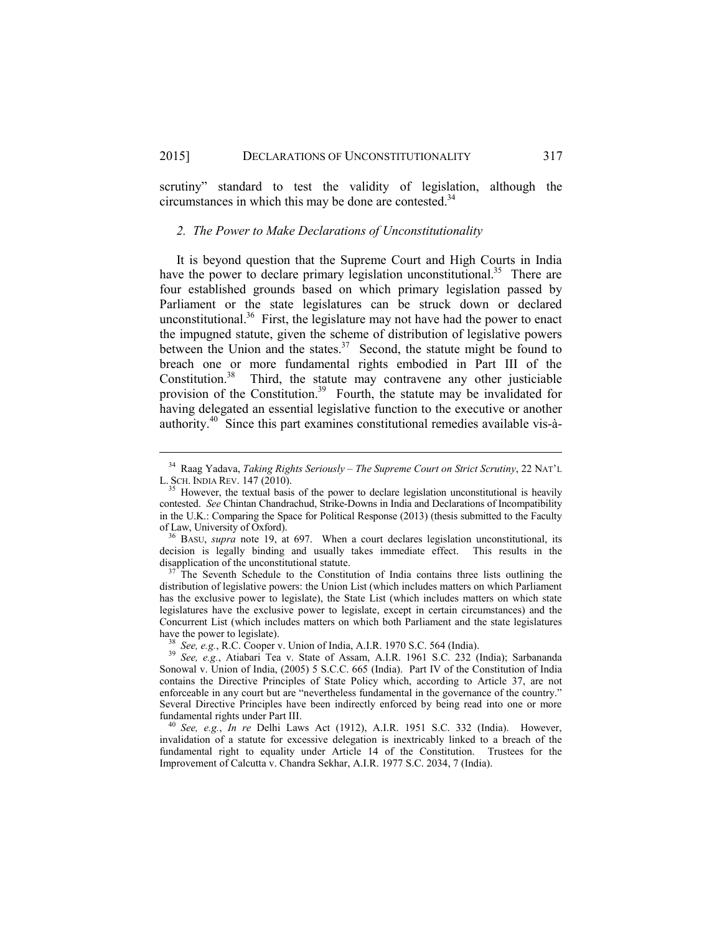scrutiny" standard to test the validity of legislation, although the circumstances in which this may be done are contested.<sup>34</sup>

## *2. The Power to Make Declarations of Unconstitutionality*

It is beyond question that the Supreme Court and High Courts in India have the power to declare primary legislation unconstitutional.<sup>35</sup> There are four established grounds based on which primary legislation passed by Parliament or the state legislatures can be struck down or declared unconstitutional.<sup>36</sup> First, the legislature may not have had the power to enact the impugned statute, given the scheme of distribution of legislative powers between the Union and the states.<sup>37</sup> Second, the statute might be found to breach one or more fundamental rights embodied in Part III of the Constitution.<sup>38</sup> Third, the statute may contravene any other justiciable provision of the Constitution.<sup>39</sup> Fourth, the statute may be invalidated for having delegated an essential legislative function to the executive or another authority.40 Since this part examines constitutional remedies available vis-à-

distribution of legislative powers: the Union List (which includes matters on which Parliament has the exclusive power to legislate), the State List (which includes matters on which state legislatures have the exclusive power to legislate, except in certain circumstances) and the Concurrent List (which includes matters on which both Parliament and the state legislatures

<sup>34</sup> Raag Yadava, *Taking Rights Seriously – The Supreme Court on Strict Scrutiny*, 22 NAT'L L. SCH. INDIA REV. 147 (2010).  $\frac{35}{35}$  However, the textual basis of the power to declare legislation unconstitutional is heavily

contested. *See* Chintan Chandrachud, Strike-Downs in India and Declarations of Incompatibility in the U.K.: Comparing the Space for Political Response (2013) (thesis submitted to the Faculty of Law, University of Oxford).

<sup>&</sup>lt;sup>36</sup> BASU, *supra* note 19, at 697. When a court declares legislation unconstitutional, its decision is legally binding and usually takes immediate effect. This results in the disapplication of the unconstitutional statute.<br><sup>37</sup> The Seventh Schedule to the Constitution of India contains three lists outlining the

have the power to legislate). 38 *See, e.g.*, R.C. Cooper v. Union of India, A.I.R. 1970 S.C. 564 (India). 39 *See, e.g.*, Atiabari Tea v. State of Assam, A.I.R. 1961 S.C. 232 (India); Sarbananda Sonowal v. Union of India, (2005) 5 S.C.C. 665 (India). Part IV of the Constitution of India contains the Directive Principles of State Policy which, according to Article 37, are not enforceable in any court but are "nevertheless fundamental in the governance of the country." Several Directive Principles have been indirectly enforced by being read into one or more fundamental rights under Part III. 40 *See, e.g.*, *In re* Delhi Laws Act (1912), A.I.R. 1951 S.C. 332 (India). However,

invalidation of a statute for excessive delegation is inextricably linked to a breach of the fundamental right to equality under Article 14 of the Constitution. Trustees for the Improvement of Calcutta v. Chandra Sekhar, A.I.R. 1977 S.C. 2034, 7 (India).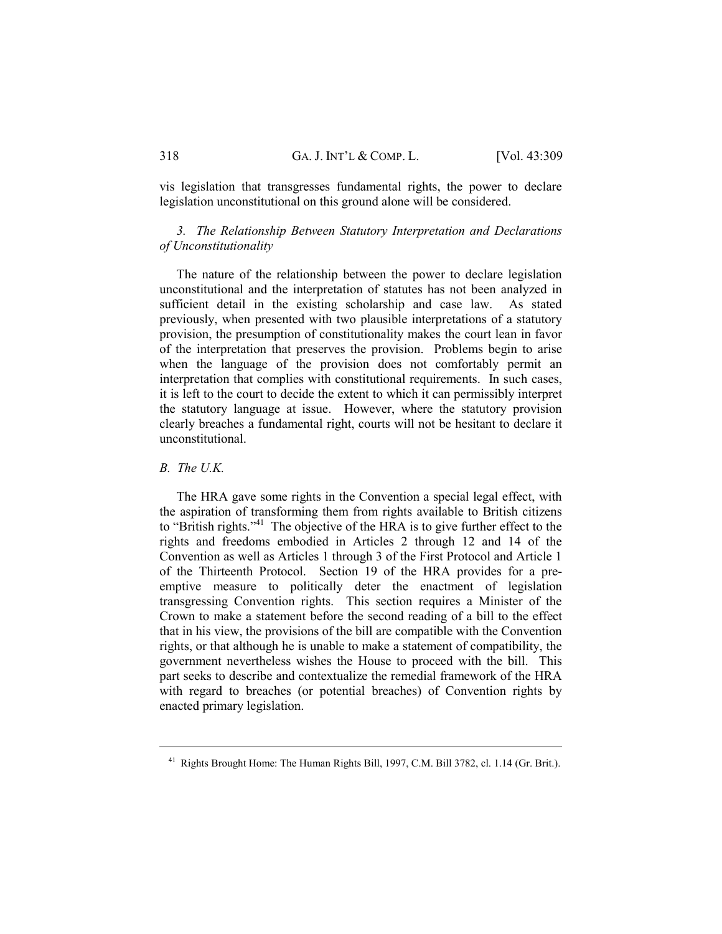vis legislation that transgresses fundamental rights, the power to declare legislation unconstitutional on this ground alone will be considered.

# *3. The Relationship Between Statutory Interpretation and Declarations of Unconstitutionality*

The nature of the relationship between the power to declare legislation unconstitutional and the interpretation of statutes has not been analyzed in sufficient detail in the existing scholarship and case law. As stated previously, when presented with two plausible interpretations of a statutory provision, the presumption of constitutionality makes the court lean in favor of the interpretation that preserves the provision. Problems begin to arise when the language of the provision does not comfortably permit an interpretation that complies with constitutional requirements. In such cases, it is left to the court to decide the extent to which it can permissibly interpret the statutory language at issue. However, where the statutory provision clearly breaches a fundamental right, courts will not be hesitant to declare it unconstitutional.

# *B. The U.K.*

 $\overline{a}$ 

The HRA gave some rights in the Convention a special legal effect, with the aspiration of transforming them from rights available to British citizens to "British rights."<sup>41</sup> The objective of the HRA is to give further effect to the rights and freedoms embodied in Articles 2 through 12 and 14 of the Convention as well as Articles 1 through 3 of the First Protocol and Article 1 of the Thirteenth Protocol. Section 19 of the HRA provides for a preemptive measure to politically deter the enactment of legislation transgressing Convention rights. This section requires a Minister of the Crown to make a statement before the second reading of a bill to the effect that in his view, the provisions of the bill are compatible with the Convention rights, or that although he is unable to make a statement of compatibility, the government nevertheless wishes the House to proceed with the bill. This part seeks to describe and contextualize the remedial framework of the HRA with regard to breaches (or potential breaches) of Convention rights by enacted primary legislation.

<sup>41</sup> Rights Brought Home: The Human Rights Bill, 1997, C.M. Bill 3782, cl. 1.14 (Gr. Brit.).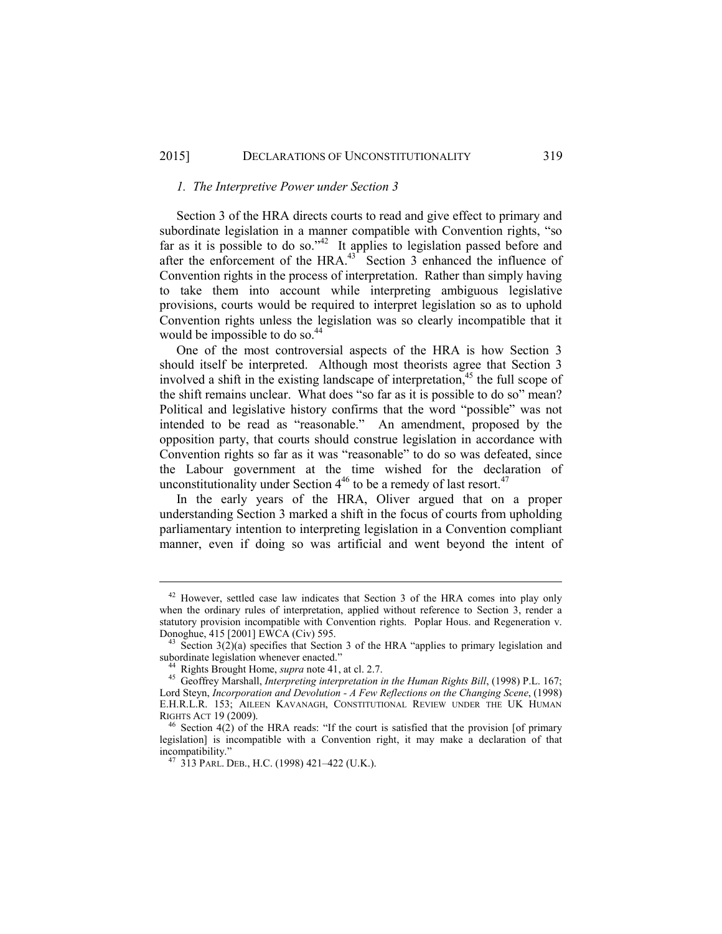# *1. The Interpretive Power under Section 3*

Section 3 of the HRA directs courts to read and give effect to primary and subordinate legislation in a manner compatible with Convention rights, "so far as it is possible to do so."<sup>42</sup> It applies to legislation passed before and after the enforcement of the HRA $<sup>43</sup>$  Section 3 enhanced the influence of</sup> Convention rights in the process of interpretation. Rather than simply having to take them into account while interpreting ambiguous legislative provisions, courts would be required to interpret legislation so as to uphold Convention rights unless the legislation was so clearly incompatible that it would be impossible to do so.<sup>44</sup>

One of the most controversial aspects of the HRA is how Section 3 should itself be interpreted. Although most theorists agree that Section 3 involved a shift in the existing landscape of interpretation,<sup>45</sup> the full scope of the shift remains unclear. What does "so far as it is possible to do so" mean? Political and legislative history confirms that the word "possible" was not intended to be read as "reasonable." An amendment, proposed by the opposition party, that courts should construe legislation in accordance with Convention rights so far as it was "reasonable" to do so was defeated, since the Labour government at the time wished for the declaration of unconstitutionality under Section  $4^{46}$  to be a remedy of last resort.<sup>47</sup>

In the early years of the HRA, Oliver argued that on a proper understanding Section 3 marked a shift in the focus of courts from upholding parliamentary intention to interpreting legislation in a Convention compliant manner, even if doing so was artificial and went beyond the intent of

<sup>&</sup>lt;sup>42</sup> However, settled case law indicates that Section 3 of the HRA comes into play only when the ordinary rules of interpretation, applied without reference to Section 3, render a statutory provision incompatible with Convention rights. Poplar Hous. and Regeneration v.

Donoghue, 415 [2001] EWCA (Civ) 595.<br><sup>43</sup> Section 3(2)(a) specifies that Section 3 of the HRA "applies to primary legislation and subordinate legislation whenever enacted."

<sup>&</sup>lt;sup>44</sup> Rights Brought Home, *supra* note 41, at cl. 2.7.<br><sup>45</sup> Geoffrey Marshall, *Interpreting interpretation in the Human Rights Bill*, (1998) P.L. 167; Lord Steyn, *Incorporation and Devolution - A Few Reflections on the Changing Scene*, (1998) E.H.R.L.R. 153; AILEEN KAVANAGH, CONSTITUTIONAL REVIEW UNDER THE UK HUMAN RIGHTS ACT 19 (2009).<br><sup>46</sup> Section 4(2) of the HRA reads: "If the court is satisfied that the provision [of primary

legislation] is incompatible with a Convention right, it may make a declaration of that incompatibility." 47 313 PARL. DEB., H.C. (1998) 421–422 (U.K.).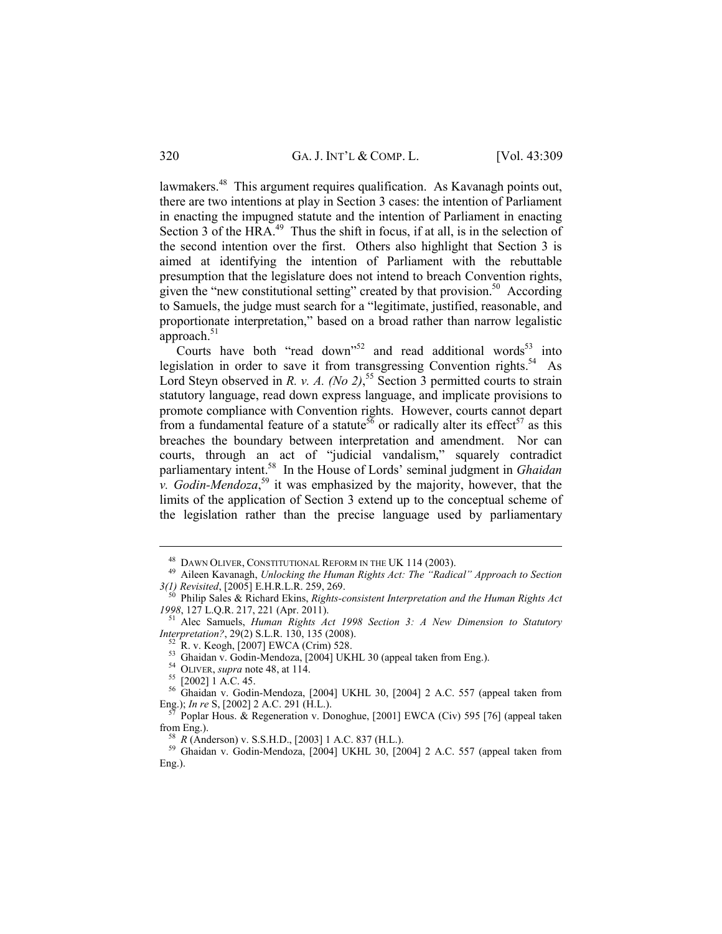lawmakers.<sup>48</sup> This argument requires qualification. As Kavanagh points out, there are two intentions at play in Section 3 cases: the intention of Parliament in enacting the impugned statute and the intention of Parliament in enacting Section 3 of the  $HRA<sup>49</sup>$ . Thus the shift in focus, if at all, is in the selection of the second intention over the first. Others also highlight that Section 3 is aimed at identifying the intention of Parliament with the rebuttable presumption that the legislature does not intend to breach Convention rights, given the "new constitutional setting" created by that provision.<sup>50</sup> According to Samuels, the judge must search for a "legitimate, justified, reasonable, and proportionate interpretation," based on a broad rather than narrow legalistic approach.<sup>51</sup>

Courts have both "read down"<sup>52</sup> and read additional words<sup>53</sup> into legislation in order to save it from transgressing Convention rights.<sup>54</sup> As Lord Steyn observed in *R. v. A. (No 2)*<sup>55</sup> Section 3 permitted courts to strain statutory language, read down express language, and implicate provisions to promote compliance with Convention rights. However, courts cannot depart from a fundamental feature of a statute<sup>56</sup> or radically alter its effect<sup>57</sup> as this breaches the boundary between interpretation and amendment. Nor can courts, through an act of "judicial vandalism," squarely contradict parliamentary intent.58 In the House of Lords' seminal judgment in *Ghaidan v. Godin-Mendoza*, 59 it was emphasized by the majority, however, that the limits of the application of Section 3 extend up to the conceptual scheme of the legislation rather than the precise language used by parliamentary

<sup>&</sup>lt;sup>48</sup> DAWN OLIVER, CONSTITUTIONAL REFORM IN THE UK 114 (2003).<br><sup>49</sup> Aileen Kavanagh, *Unlocking the Human Rights Act: The "Radical" Approach to Section*<br>*3(1) Revisited*, [2005] E.H.R.L.R. 259, 269.

<sup>&</sup>lt;sup>30</sup> Philip Sales & Richard Ekins, *Rights-consistent Interpretation and the Human Rights Act 1998*, 127 L.Q.R. 217, 221 (Apr. 2011).

<sup>&</sup>lt;sup>51</sup> Alec Samuels, *Human Rights Act 1998 Section 3: A New Dimension to Statutory Interpretation?*, 29(2) S.L.R. 130, 135 (2008).

*R. v. Keogh, [2007] EWCA (Crim) 528.* 

<sup>53</sup> Ghaidan v. Godin-Mendoza, [2004] UKHL 30 (appeal taken from Eng.).

<sup>54</sup> OLIVER, *supra* note 48, at 114. 55 [2002] 1 A.C. 45.

<sup>&</sup>lt;sup>56</sup> Ghaidan v. Godin-Mendoza, [2004] UKHL 30, [2004] 2 A.C. 557 (appeal taken from Eng.); *In re* S, [2002] 2 A.C. 291 (H.L.).

Poplar Hous. & Regeneration v. Donoghue, [2001] EWCA (Civ) 595 [76] (appeal taken from Eng.).<br><sup>58</sup> *R* (Anderson) v. S.S.H.D., [2003] 1 A.C. 837 (H.L.).<br><sup>59</sup> Ghaidan v. Godin-Mendoza, [2004] UKHL 30, [2004] 2 A.C. 557 (appeal taken from

Eng.).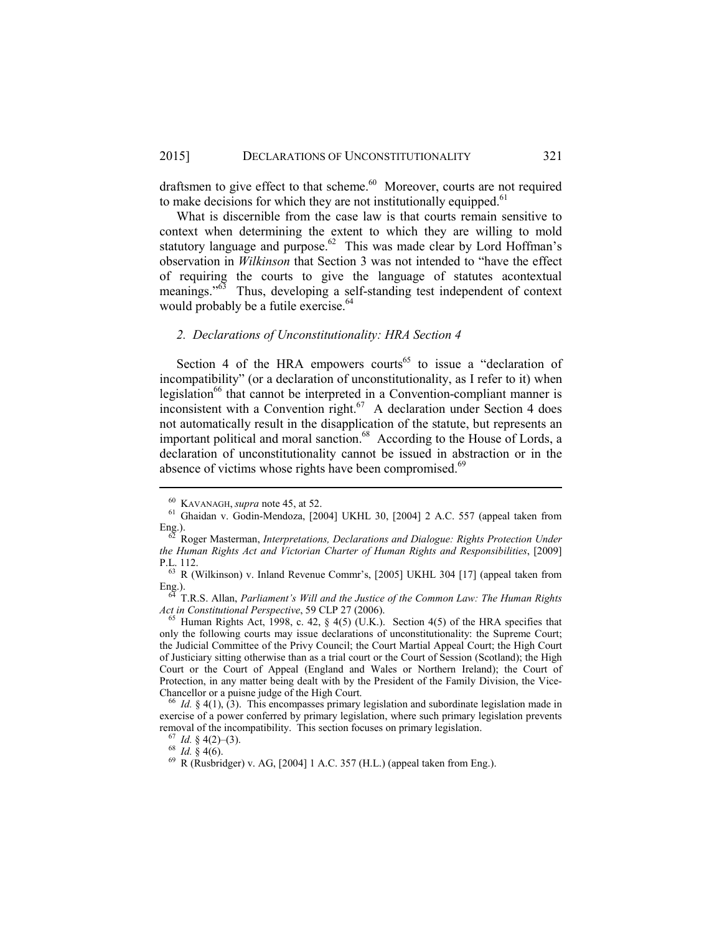draftsmen to give effect to that scheme.<sup>60</sup> Moreover, courts are not required to make decisions for which they are not institutionally equipped.<sup>61</sup>

What is discernible from the case law is that courts remain sensitive to context when determining the extent to which they are willing to mold statutory language and purpose.<sup>62</sup> This was made clear by Lord Hoffman's observation in *Wilkinson* that Section 3 was not intended to "have the effect of requiring the courts to give the language of statutes acontextual meanings."<sup>63</sup> Thus, developing a self-standing test independent of context would probably be a futile exercise.<sup>64</sup>

#### *2. Declarations of Unconstitutionality: HRA Section 4*

Section 4 of the HRA empowers courts<sup>65</sup> to issue a "declaration of incompatibility" (or a declaration of unconstitutionality, as I refer to it) when legislation<sup>66</sup> that cannot be interpreted in a Convention-compliant manner is inconsistent with a Convention right.<sup>67</sup> A declaration under Section 4 does not automatically result in the disapplication of the statute, but represents an important political and moral sanction.<sup>68</sup> According to the House of Lords, a declaration of unconstitutionality cannot be issued in abstraction or in the absence of victims whose rights have been compromised.<sup>69</sup>

<sup>&</sup>lt;sup>60</sup> KAVANAGH, *supra* note 45, at 52.<br><sup>61</sup> Ghaidan v. Godin-Mendoza, [2004] UKHL 30, [2004] 2 A.C. 557 (appeal taken from Eng.). 62 Roger Masterman, *Interpretations, Declarations and Dialogue: Rights Protection Under* 

*the Human Rights Act and Victorian Charter of Human Rights and Responsibilities*, [2009] P.L. 112. 63 R (Wilkinson) v. Inland Revenue Commr's, [2005] UKHL 304 [17] (appeal taken from

Eng.). 64 T.R.S. Allan, *Parliament's Will and the Justice of the Common Law: The Human Rights* 

*Act in Constitutional Perspective*, 59 CLP 27 (2006).<br><sup>65</sup> Human Rights Act, 1998, c. 42, § 4(5) (U.K.). Section 4(5) of the HRA specifies that

only the following courts may issue declarations of unconstitutionality: the Supreme Court; the Judicial Committee of the Privy Council; the Court Martial Appeal Court; the High Court of Justiciary sitting otherwise than as a trial court or the Court of Session (Scotland); the High Court or the Court of Appeal (England and Wales or Northern Ireland); the Court of Protection, in any matter being dealt with by the President of the Family Division, the Vice-Chancellor or a puisne judge of the High Court.

<sup>&</sup>lt;sup>66</sup> *Id.* § 4(1), (3). This encompasses primary legislation and subordinate legislation made in exercise of a power conferred by primary legislation, where such primary legislation prevents removal of the incompatibility. This section focuses on primary legislation.<br><sup>67</sup> *Id.* § 4(2)–(3).<br><sup>68</sup> *Id.* § 4(6).<br><sup>69</sup> R (Rusbridger) v. AG, [2004] 1 A.C. 357 (H.L.) (appeal taken from Eng.).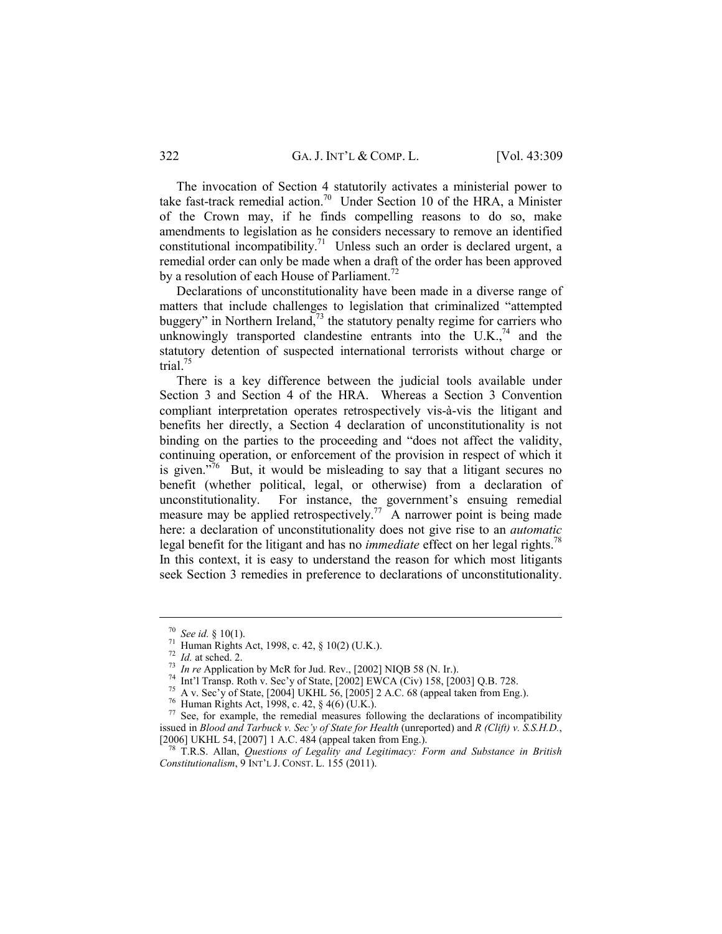The invocation of Section 4 statutorily activates a ministerial power to take fast-track remedial action.<sup>70</sup> Under Section 10 of the HRA, a Minister of the Crown may, if he finds compelling reasons to do so, make amendments to legislation as he considers necessary to remove an identified constitutional incompatibility.<sup>71</sup> Unless such an order is declared urgent, a remedial order can only be made when a draft of the order has been approved by a resolution of each House of Parliament.<sup>72</sup>

Declarations of unconstitutionality have been made in a diverse range of matters that include challenges to legislation that criminalized "attempted buggery" in Northern Ireland, $\frac{73}{3}$  the statutory penalty regime for carriers who unknowingly transported clandestine entrants into the U.K., $^{74}$  and the statutory detention of suspected international terrorists without charge or trial.75

There is a key difference between the judicial tools available under Section 3 and Section 4 of the HRA. Whereas a Section 3 Convention compliant interpretation operates retrospectively vis-à-vis the litigant and benefits her directly, a Section 4 declaration of unconstitutionality is not binding on the parties to the proceeding and "does not affect the validity, continuing operation, or enforcement of the provision in respect of which it is given."<sup>76</sup> But, it would be misleading to say that a litigant secures no benefit (whether political, legal, or otherwise) from a declaration of unconstitutionality. For instance, the government's ensuing remedial measure may be applied retrospectively.<sup>77</sup> A narrower point is being made here: a declaration of unconstitutionality does not give rise to an *automatic* legal benefit for the litigant and has no *immediate* effect on her legal rights.78 In this context, it is easy to understand the reason for which most litigants seek Section 3 remedies in preference to declarations of unconstitutionality.

<sup>70</sup> *See id.* § 10(1).<br><sup>71</sup> Human Rights Act, 1998, c. 42, § 10(2) (U.K.).<br><sup>72</sup> *Id.* at sched. 2.

<sup>&</sup>lt;sup>73</sup> *In re* Application by McR for Jud. Rev., [2002] NIQB 58 (N. Ir.).<br><sup>74</sup> Int'l Transp. Roth v. Sec'y of State, [2002] EWCA (Civ) 158, [2003] Q.B. 728.<br><sup>75</sup> A.v. Sec'y of State, [2004] UKUL 56, [2005] A.C. 68 (amos) ta

A v. Sec'y of State, [2004] UKHL 56, [2005] 2 A.C. 68 (appeal taken from Eng.).

<sup>&</sup>lt;sup>76</sup> Human Rights Act, 1998, c. 42, § 4(6) (U.K.).<sup>77</sup> See for example, the remedial measures following

See, for example, the remedial measures following the declarations of incompatibility issued in *Blood and Tarbuck v. Sec'y of State for Health* (unreported) and *R (Clift) v. S.S.H.D.*, [2006] UKHL 54, [2007] 1 A.C. 484 (appeal taken from Eng.).

<sup>&</sup>lt;sup>78</sup> T.R.S. Allan, *Questions of Legality and Legitimacy: Form and Substance in British Constitutionalism*, 9 INT'L J. CONST. L. 155 (2011).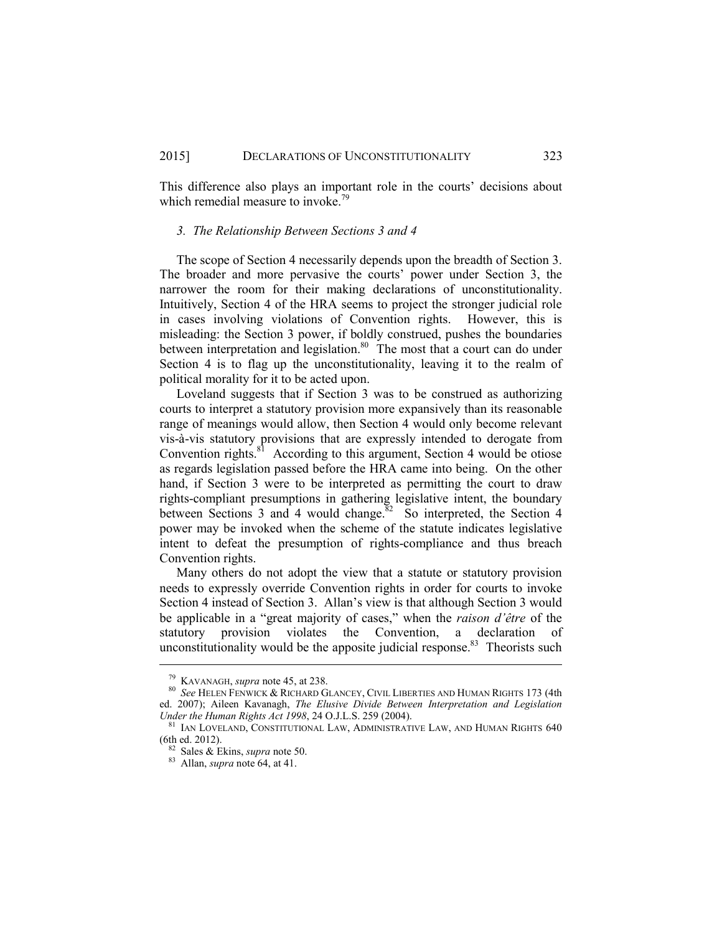This difference also plays an important role in the courts' decisions about which remedial measure to invoke.<sup>79</sup>

# *3. The Relationship Between Sections 3 and 4*

The scope of Section 4 necessarily depends upon the breadth of Section 3. The broader and more pervasive the courts' power under Section 3, the narrower the room for their making declarations of unconstitutionality. Intuitively, Section 4 of the HRA seems to project the stronger judicial role in cases involving violations of Convention rights. However, this is misleading: the Section 3 power, if boldly construed, pushes the boundaries between interpretation and legislation.<sup>80</sup> The most that a court can do under Section 4 is to flag up the unconstitutionality, leaving it to the realm of political morality for it to be acted upon.

Loveland suggests that if Section 3 was to be construed as authorizing courts to interpret a statutory provision more expansively than its reasonable range of meanings would allow, then Section 4 would only become relevant vis-à-vis statutory provisions that are expressly intended to derogate from Convention rights. $81$  According to this argument, Section 4 would be otiose as regards legislation passed before the HRA came into being. On the other hand, if Section 3 were to be interpreted as permitting the court to draw rights-compliant presumptions in gathering legislative intent, the boundary between Sections 3 and 4 would change.<sup>82</sup> So interpreted, the Section 4 power may be invoked when the scheme of the statute indicates legislative intent to defeat the presumption of rights-compliance and thus breach Convention rights.

Many others do not adopt the view that a statute or statutory provision needs to expressly override Convention rights in order for courts to invoke Section 4 instead of Section 3. Allan's view is that although Section 3 would be applicable in a "great majority of cases," when the *raison d'être* of the statutory provision violates the Convention, a declaration of unconstitutionality would be the apposite judicial response.<sup>83</sup> Theorists such

<sup>&</sup>lt;sup>79</sup> Kavanagh, *supra* note 45, at 238.<br><sup>80</sup> *See* Helen Fenwick & Richard Glancey, Civil Liberties and Human Rights 173 (4th ed. 2007); Aileen Kavanagh, *The Elusive Divide Between Interpretation and Legislation* 

*Under the Human Rights Act 1998*, 24 O.J.L.S. 259 (2004).<br><sup>81</sup> IAN LOVELAND, CONSTITUTIONAL LAW, ADMINISTRATIVE LAW, AND HUMAN RIGHTS 640 (6th ed. 2012).

<sup>&</sup>lt;sup>82</sup> Sales & Ekins, *supra* note 50.<br><sup>83</sup> Allan, *supra* note 64, at 41.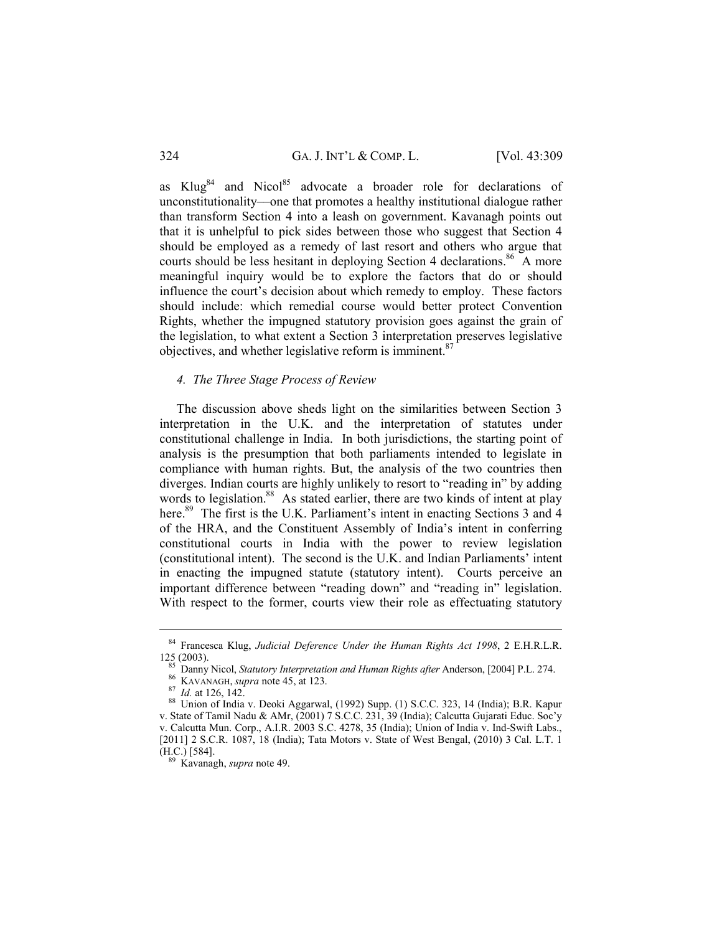# 324 GA. J. INT'L & COMP. L. [Vol. 43:309

as Klug<sup>84</sup> and Nicol<sup>85</sup> advocate a broader role for declarations of unconstitutionality––one that promotes a healthy institutional dialogue rather than transform Section 4 into a leash on government. Kavanagh points out that it is unhelpful to pick sides between those who suggest that Section 4 should be employed as a remedy of last resort and others who argue that courts should be less hesitant in deploying Section 4 declarations.<sup>86</sup> A more meaningful inquiry would be to explore the factors that do or should influence the court's decision about which remedy to employ. These factors should include: which remedial course would better protect Convention Rights, whether the impugned statutory provision goes against the grain of the legislation, to what extent a Section 3 interpretation preserves legislative objectives, and whether legislative reform is imminent.<sup>87</sup>

# *4. The Three Stage Process of Review*

The discussion above sheds light on the similarities between Section 3 interpretation in the U.K. and the interpretation of statutes under constitutional challenge in India. In both jurisdictions, the starting point of analysis is the presumption that both parliaments intended to legislate in compliance with human rights. But, the analysis of the two countries then diverges. Indian courts are highly unlikely to resort to "reading in" by adding words to legislation.<sup>88</sup> As stated earlier, there are two kinds of intent at play here.<sup>89</sup> The first is the U.K. Parliament's intent in enacting Sections 3 and 4 of the HRA, and the Constituent Assembly of India's intent in conferring constitutional courts in India with the power to review legislation (constitutional intent). The second is the U.K. and Indian Parliaments' intent in enacting the impugned statute (statutory intent). Courts perceive an important difference between "reading down" and "reading in" legislation. With respect to the former, courts view their role as effectuating statutory

<sup>84</sup> Francesca Klug, *Judicial Deference Under the Human Rights Act 1998*, 2 E.H.R.L.R.

<sup>&</sup>lt;sup>85</sup> Danny Nicol, *Statutory Interpretation and Human Rights after Anderson,* [2004] P.L. 274.<br><sup>86</sup> KAVANAGH, *supra* note 45, at 123.<br><sup>87</sup> Id. at 126, 142.<br><sup>88</sup> Union of India v. Deoki Aggarwal, (1992) Supp. (1) S.C.C. 3

v. State of Tamil Nadu & AMr, (2001) 7 S.C.C. 231, 39 (India); Calcutta Gujarati Educ. Soc'y v. Calcutta Mun. Corp., A.I.R. 2003 S.C. 4278, 35 (India); Union of India v. Ind-Swift Labs., [2011] 2 S.C.R. 1087, 18 (India); Tata Motors v. State of West Bengal, (2010) 3 Cal. L.T. 1 (H.C.) [584]. 89 Kavanagh, *supra* note 49.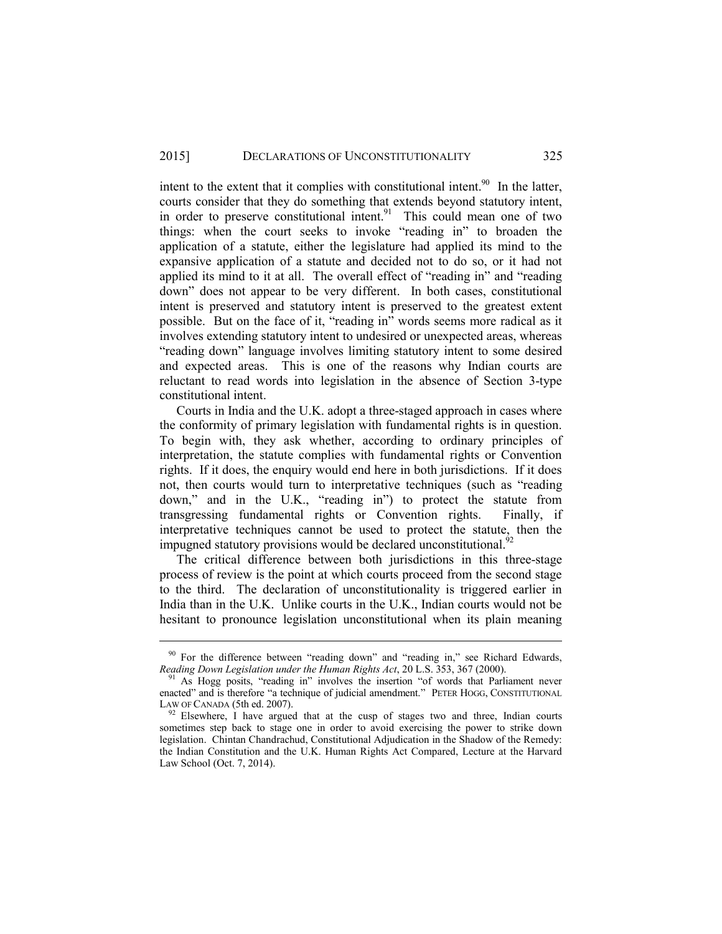intent to the extent that it complies with constitutional intent.<sup>90</sup> In the latter, courts consider that they do something that extends beyond statutory intent, in order to preserve constitutional intent. $91$  This could mean one of two things: when the court seeks to invoke "reading in" to broaden the application of a statute, either the legislature had applied its mind to the expansive application of a statute and decided not to do so, or it had not applied its mind to it at all. The overall effect of "reading in" and "reading down" does not appear to be very different. In both cases, constitutional intent is preserved and statutory intent is preserved to the greatest extent possible. But on the face of it, "reading in" words seems more radical as it involves extending statutory intent to undesired or unexpected areas, whereas "reading down" language involves limiting statutory intent to some desired and expected areas. This is one of the reasons why Indian courts are reluctant to read words into legislation in the absence of Section 3-type constitutional intent.

Courts in India and the U.K. adopt a three-staged approach in cases where the conformity of primary legislation with fundamental rights is in question. To begin with, they ask whether, according to ordinary principles of interpretation, the statute complies with fundamental rights or Convention rights. If it does, the enquiry would end here in both jurisdictions. If it does not, then courts would turn to interpretative techniques (such as "reading down," and in the U.K., "reading in") to protect the statute from transgressing fundamental rights or Convention rights. Finally, if interpretative techniques cannot be used to protect the statute, then the impugned statutory provisions would be declared unconstitutional.<sup>9</sup>

The critical difference between both jurisdictions in this three-stage process of review is the point at which courts proceed from the second stage to the third. The declaration of unconstitutionality is triggered earlier in India than in the U.K. Unlike courts in the U.K., Indian courts would not be hesitant to pronounce legislation unconstitutional when its plain meaning

<sup>&</sup>lt;sup>90</sup> For the difference between "reading down" and "reading in," see Richard Edwards, *Reading Down Legislation under the Human Rights Act*, 20 L.S. 353, 367 (2000).

As Hogg posits, "reading in" involves the insertion "of words that Parliament never enacted" and is therefore "a technique of judicial amendment." PETER HOGG, CONSTITUTIONAL LAW OF CANADA (5th ed. 2007).

 $92$  Elsewhere, I have argued that at the cusp of stages two and three, Indian courts sometimes step back to stage one in order to avoid exercising the power to strike down legislation. Chintan Chandrachud, Constitutional Adjudication in the Shadow of the Remedy: the Indian Constitution and the U.K. Human Rights Act Compared, Lecture at the Harvard Law School (Oct. 7, 2014).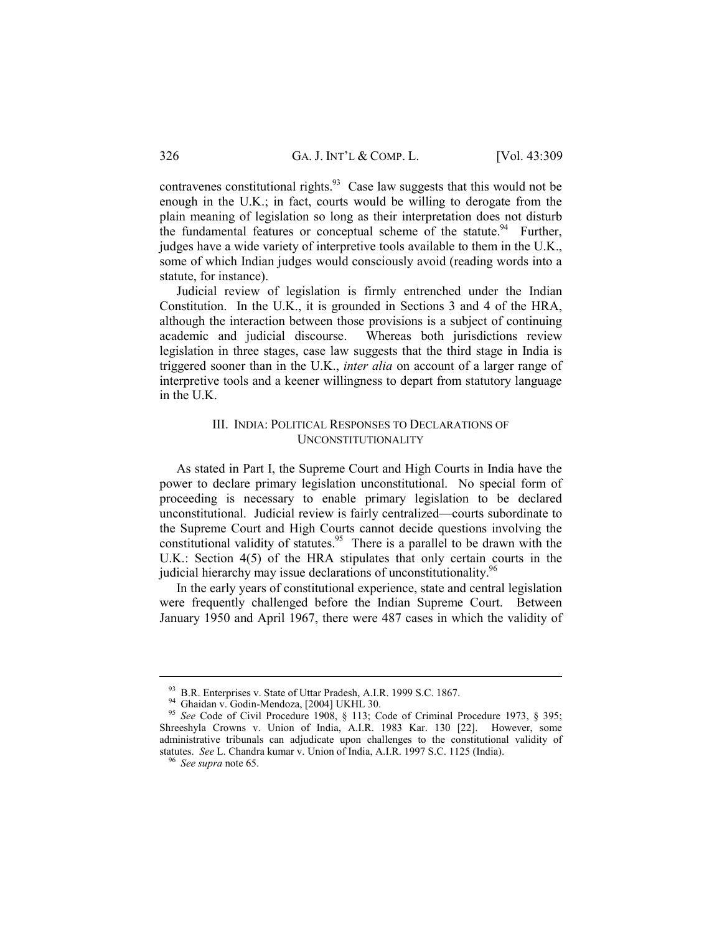contravenes constitutional rights.<sup>93</sup> Case law suggests that this would not be enough in the U.K.; in fact, courts would be willing to derogate from the plain meaning of legislation so long as their interpretation does not disturb the fundamental features or conceptual scheme of the statute.<sup>94</sup> Further, judges have a wide variety of interpretive tools available to them in the U.K., some of which Indian judges would consciously avoid (reading words into a statute, for instance).

Judicial review of legislation is firmly entrenched under the Indian Constitution. In the U.K., it is grounded in Sections 3 and 4 of the HRA, although the interaction between those provisions is a subject of continuing academic and judicial discourse. Whereas both jurisdictions review legislation in three stages, case law suggests that the third stage in India is triggered sooner than in the U.K., *inter alia* on account of a larger range of interpretive tools and a keener willingness to depart from statutory language in the U.K.

# III. INDIA: POLITICAL RESPONSES TO DECLARATIONS OF UNCONSTITUTIONALITY

As stated in Part I, the Supreme Court and High Courts in India have the power to declare primary legislation unconstitutional. No special form of proceeding is necessary to enable primary legislation to be declared unconstitutional. Judicial review is fairly centralized—courts subordinate to the Supreme Court and High Courts cannot decide questions involving the constitutional validity of statutes. $95$  There is a parallel to be drawn with the U.K.: Section 4(5) of the HRA stipulates that only certain courts in the judicial hierarchy may issue declarations of unconstitutionality.<sup>96</sup>

In the early years of constitutional experience, state and central legislation were frequently challenged before the Indian Supreme Court. Between January 1950 and April 1967, there were 487 cases in which the validity of

<sup>93</sup> B.R. Enterprises v. State of Uttar Pradesh, A.I.R. 1999 S.C. 1867.

<sup>94</sup> Ghaidan v. Godin-Mendoza, [2004] UKHL 30.

<sup>&</sup>lt;sup>95</sup> *See* Code of Civil Procedure 1908, § 113; Code of Criminal Procedure 1973, § 395; Shreeshyla Crowns v. Union of India, A.I.R. 1983 Kar. 130 [22]. However, some administrative tribunals can adjudicate upon challenges to the constitutional validity of statutes. *See* L. Chandra kumar v. Union of India, A.I.R. 1997 S.C. 1125 (India). 96 *See supra* note 65.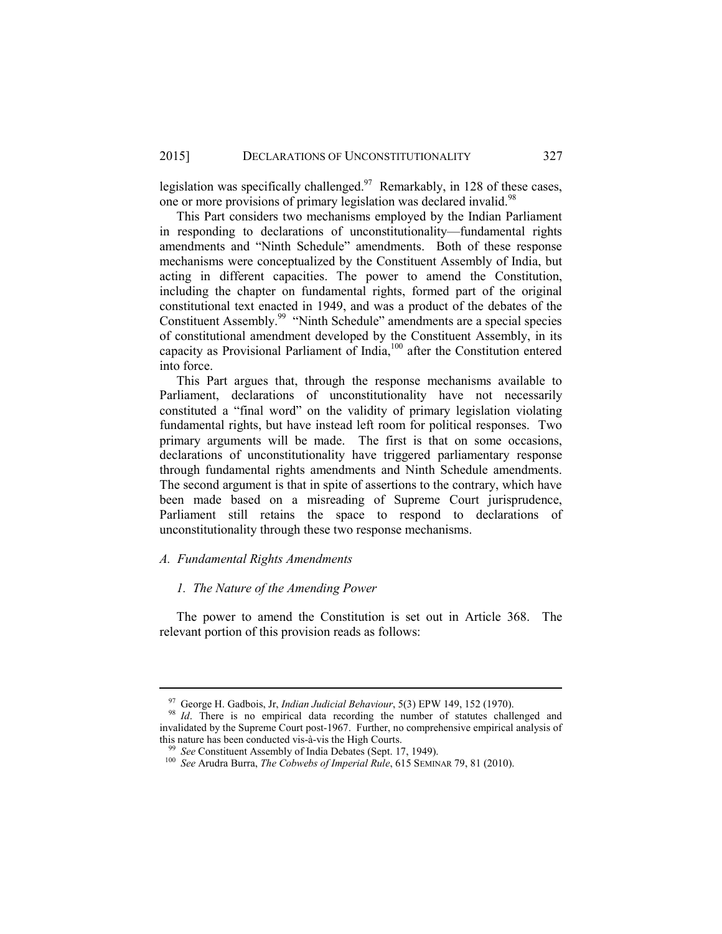legislation was specifically challenged. $97$  Remarkably, in 128 of these cases, one or more provisions of primary legislation was declared invalid.<sup>98</sup>

This Part considers two mechanisms employed by the Indian Parliament in responding to declarations of unconstitutionality—fundamental rights amendments and "Ninth Schedule" amendments. Both of these response mechanisms were conceptualized by the Constituent Assembly of India, but acting in different capacities. The power to amend the Constitution, including the chapter on fundamental rights, formed part of the original constitutional text enacted in 1949, and was a product of the debates of the Constituent Assembly.<sup>99</sup> "Ninth Schedule" amendments are a special species of constitutional amendment developed by the Constituent Assembly, in its capacity as Provisional Parliament of India,100 after the Constitution entered into force.

This Part argues that, through the response mechanisms available to Parliament, declarations of unconstitutionality have not necessarily constituted a "final word" on the validity of primary legislation violating fundamental rights, but have instead left room for political responses. Two primary arguments will be made. The first is that on some occasions, declarations of unconstitutionality have triggered parliamentary response through fundamental rights amendments and Ninth Schedule amendments. The second argument is that in spite of assertions to the contrary, which have been made based on a misreading of Supreme Court jurisprudence, Parliament still retains the space to respond to declarations of unconstitutionality through these two response mechanisms.

# *A. Fundamental Rights Amendments*

 $\overline{a}$ 

#### *1. The Nature of the Amending Power*

The power to amend the Constitution is set out in Article 368. The relevant portion of this provision reads as follows:

<sup>97</sup> George H. Gadbois, Jr, *Indian Judicial Behaviour*, 5(3) EPW 149, 152 (1970). 98 *Id*. There is no empirical data recording the number of statutes challenged and invalidated by the Supreme Court post-1967. Further, no comprehensive empirical analysis of

<sup>&</sup>lt;sup>99</sup> *See* Constituent Assembly of India Debates (Sept. 17, 1949).<br><sup>100</sup> *See* Arudra Burra, *The Cobwebs of Imperial Rule*, 615 SEMINAR 79, 81 (2010).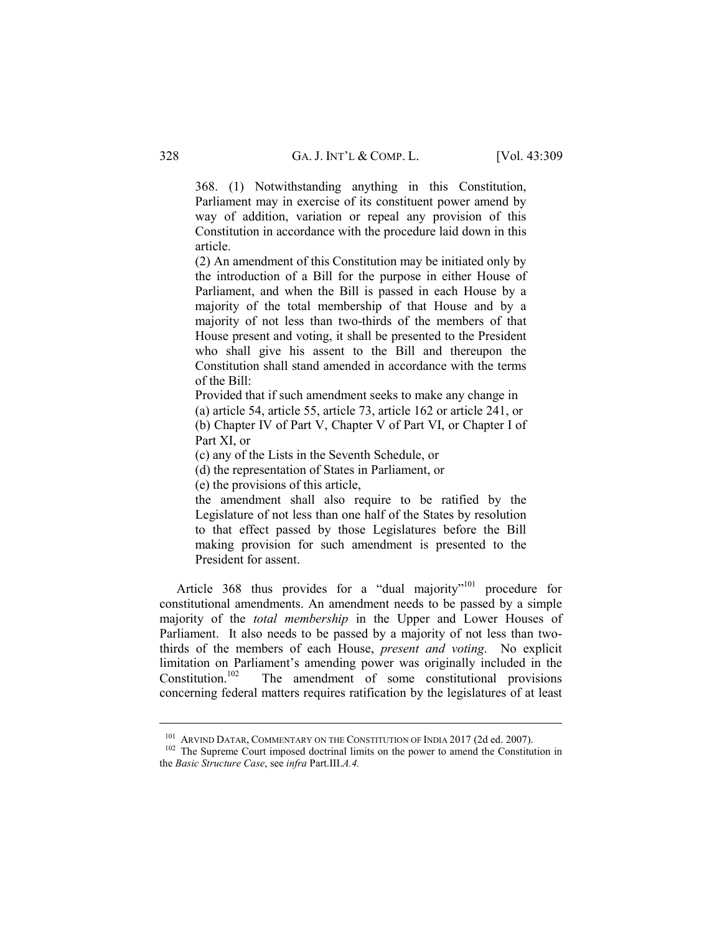368. (1) Notwithstanding anything in this Constitution, Parliament may in exercise of its constituent power amend by way of addition, variation or repeal any provision of this Constitution in accordance with the procedure laid down in this article.

(2) An amendment of this Constitution may be initiated only by the introduction of a Bill for the purpose in either House of Parliament, and when the Bill is passed in each House by a majority of the total membership of that House and by a majority of not less than two-thirds of the members of that House present and voting, it shall be presented to the President who shall give his assent to the Bill and thereupon the Constitution shall stand amended in accordance with the terms of the Bill:

Provided that if such amendment seeks to make any change in (a) article 54, article 55, article 73, article 162 or article 241, or (b) Chapter IV of Part V, Chapter V of Part VI, or Chapter I of Part XI, or

(c) any of the Lists in the Seventh Schedule, or

(d) the representation of States in Parliament, or

(e) the provisions of this article,

the amendment shall also require to be ratified by the Legislature of not less than one half of the States by resolution to that effect passed by those Legislatures before the Bill making provision for such amendment is presented to the President for assent.

Article 368 thus provides for a "dual majority"<sup>101</sup> procedure for constitutional amendments. An amendment needs to be passed by a simple majority of the *total membership* in the Upper and Lower Houses of Parliament. It also needs to be passed by a majority of not less than twothirds of the members of each House, *present and voting*. No explicit limitation on Parliament's amending power was originally included in the Constitution.<sup>102</sup> The amendment of some constitutional provisions The amendment of some constitutional provisions concerning federal matters requires ratification by the legislatures of at least

<sup>&</sup>lt;sup>101</sup> ARVIND DATAR, COMMENTARY ON THE CONSTITUTION OF INDIA 2017 (2d ed. 2007).<br><sup>102</sup> The Supreme Court imposed doctrinal limits on the power to amend the Constitution in the *Basic Structure Case*, see *infra* Part.III.*A.4.*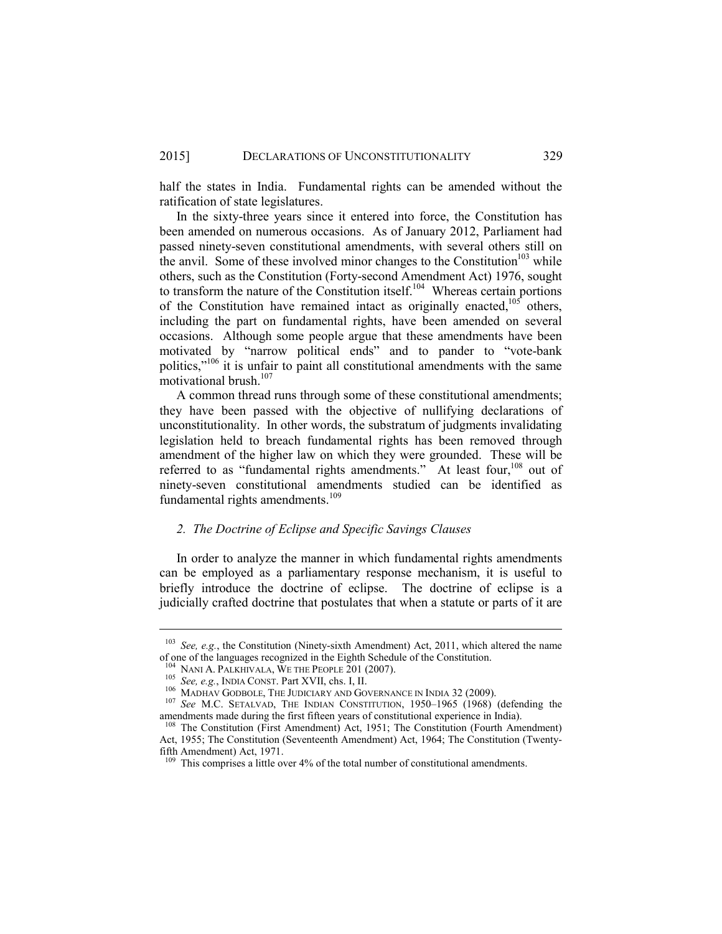half the states in India. Fundamental rights can be amended without the ratification of state legislatures.

In the sixty-three years since it entered into force, the Constitution has been amended on numerous occasions. As of January 2012, Parliament had passed ninety-seven constitutional amendments, with several others still on the anvil. Some of these involved minor changes to the Constitution<sup>103</sup> while others, such as the Constitution (Forty-second Amendment Act) 1976, sought to transform the nature of the Constitution itself.<sup>104</sup> Whereas certain portions of the Constitution have remained intact as originally enacted,<sup>105</sup> others, including the part on fundamental rights, have been amended on several occasions. Although some people argue that these amendments have been motivated by "narrow political ends" and to pander to "vote-bank politics,"<sup>106</sup> it is unfair to paint all constitutional amendments with the same motivational brush.<sup>107</sup>

A common thread runs through some of these constitutional amendments; they have been passed with the objective of nullifying declarations of unconstitutionality. In other words, the substratum of judgments invalidating legislation held to breach fundamental rights has been removed through amendment of the higher law on which they were grounded. These will be referred to as "fundamental rights amendments." At least four.<sup>108</sup> out of ninety-seven constitutional amendments studied can be identified as fundamental rights amendments.<sup>109</sup>

## *2. The Doctrine of Eclipse and Specific Savings Clauses*

In order to analyze the manner in which fundamental rights amendments can be employed as a parliamentary response mechanism, it is useful to briefly introduce the doctrine of eclipse. The doctrine of eclipse is a judicially crafted doctrine that postulates that when a statute or parts of it are

<sup>103</sup> *See, e.g.*, the Constitution (Ninety-sixth Amendment) Act, 2011, which altered the name of one of the languages recognized in the Eighth Schedule of the Constitution.<br><sup>104</sup> NANI A. PALKHIVALA, WE THE PEOPLE 201 (2007).

<sup>105</sup> See, e.g., INDIA CONST. Part XVII, chs. I, II.<br>
<sup>105</sup> See, e.g., INDIA CONST. Part XVII, chs. I, II.<br>
<sup>106</sup> MADHAV GODBOLE, THE JUDICIARY AND GOVERNANCE IN INDIA 32 (2009).<br>
<sup>107</sup> See M.C. SETALVAD, THE INDIAN CONSTITU amendments made during the first fifteen years of constitutional experience in India).

<sup>&</sup>lt;sup>108</sup> The Constitution (First Amendment) Act, 1951; The Constitution (Fourth Amendment) Act, 1955; The Constitution (Seventeenth Amendment) Act, 1964; The Constitution (Twentyfifth Amendment) Act, 1971.

<sup>&</sup>lt;sup>109</sup> This comprises a little over 4% of the total number of constitutional amendments.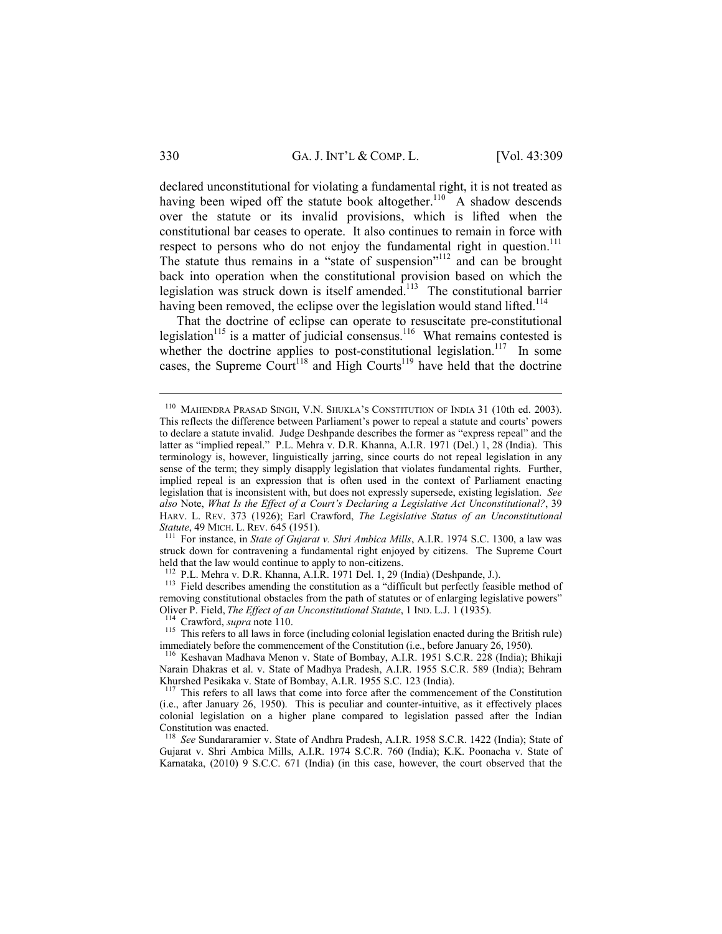declared unconstitutional for violating a fundamental right, it is not treated as having been wiped off the statute book altogether.<sup>110</sup> A shadow descends over the statute or its invalid provisions, which is lifted when the constitutional bar ceases to operate. It also continues to remain in force with respect to persons who do not enjoy the fundamental right in question.<sup>111</sup> The statute thus remains in a "state of suspension"<sup>112</sup> and can be brought back into operation when the constitutional provision based on which the legislation was struck down is itself amended.<sup>113</sup> The constitutional barrier having been removed, the eclipse over the legislation would stand lifted.<sup>114</sup>

That the doctrine of eclipse can operate to resuscitate pre-constitutional legislation<sup>115</sup> is a matter of judicial consensus.<sup>116</sup> What remains contested is whether the doctrine applies to post-constitutional legislation.<sup>117</sup> In some cases, the Supreme Court<sup>118</sup> and High Courts<sup>119</sup> have held that the doctrine

<sup>110</sup> MAHENDRA PRASAD SINGH, V.N. SHUKLA'S CONSTITUTION OF INDIA 31 (10th ed. 2003). This reflects the difference between Parliament's power to repeal a statute and courts' powers to declare a statute invalid. Judge Deshpande describes the former as "express repeal" and the latter as "implied repeal." P.L. Mehra v. D.R. Khanna, A.I.R. 1971 (Del.) 1, 28 (India). This terminology is, however, linguistically jarring, since courts do not repeal legislation in any sense of the term; they simply disapply legislation that violates fundamental rights. Further, implied repeal is an expression that is often used in the context of Parliament enacting legislation that is inconsistent with, but does not expressly supersede, existing legislation. *See also* Note, *What Is the Effect of a Court's Declaring a Legislative Act Unconstitutional?*, 39 HARV. L. REV. 373 (1926); Earl Crawford, *The Legislative Status of an Unconstitutional* 

<sup>&</sup>lt;sup>111</sup> For instance, in *State of Gujarat v. Shri Ambica Mills*, A.I.R. 1974 S.C. 1300, a law was struck down for contravening a fundamental right enjoyed by citizens. The Supreme Court held that the law would continue to apply to non-citizens.<br><sup>112</sup> P.L. Mehra v. D.R. Khanna, A.I.R. 1971 Del. 1, 29 (India) (Deshpande, J.).

<sup>&</sup>lt;sup>113</sup> Field describes amending the constitution as a "difficult but perfectly feasible method of removing constitutional obstacles from the path of statutes or of enlarging legislative powers" Oliver P. Field, *The Effect of an Unconstitutional Statute*, 1 IND. L.J. 1 (1935).<br><sup>114</sup> Crawford, *supra* note 110.<br><sup>115</sup> This refers to all laws in force (including colonial legislation enacted during the British rule)

immediately before the commencement of the Constitution (i.e., before January 26, 1950).

<sup>116</sup> Keshavan Madhava Menon v. State of Bombay, A.I.R. 1951 S.C.R. 228 (India); Bhikaji Narain Dhakras et al. v. State of Madhya Pradesh, A.I.R. 1955 S.C.R. 589 (India); Behram Khurshed Pesikaka v. State of Bombay, A.I.R. 1955 S.C. 123 (India).

This refers to all laws that come into force after the commencement of the Constitution (i.e., after January 26, 1950). This is peculiar and counter-intuitive, as it effectively places colonial legislation on a higher plane compared to legislation passed after the Indian Constitution was enacted.

<sup>118</sup> *See* Sundararamier v. State of Andhra Pradesh, A.I.R. 1958 S.C.R. 1422 (India); State of Gujarat v. Shri Ambica Mills, A.I.R. 1974 S.C.R. 760 (India); K.K. Poonacha v. State of Karnataka, (2010) 9 S.C.C. 671 (India) (in this case, however, the court observed that the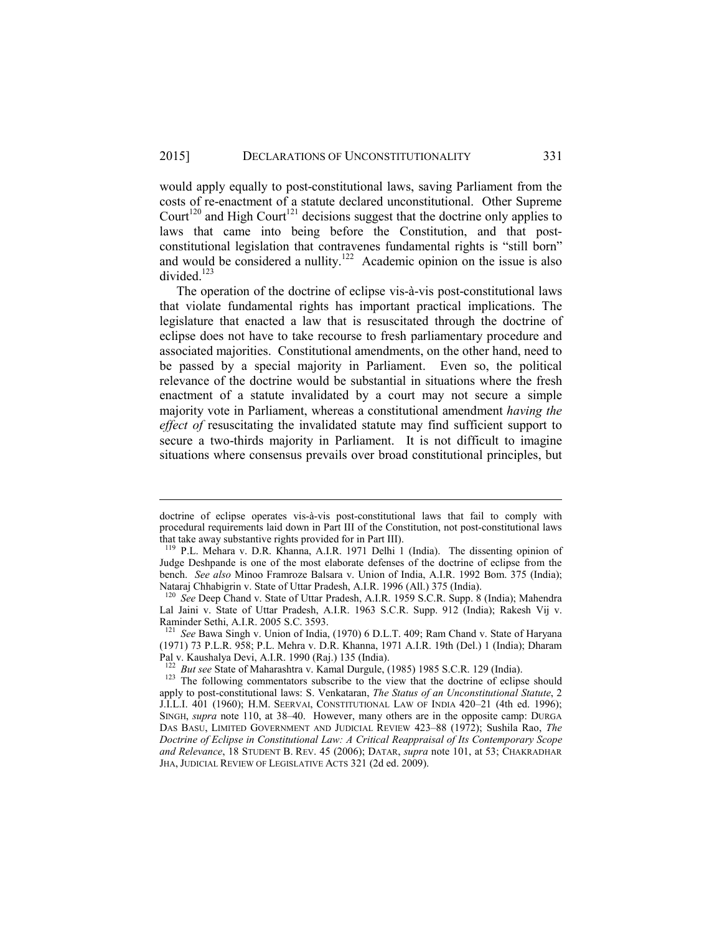would apply equally to post-constitutional laws, saving Parliament from the costs of re-enactment of a statute declared unconstitutional. Other Supreme Court<sup>120</sup> and High Court<sup>121</sup> decisions suggest that the doctrine only applies to laws that came into being before the Constitution, and that postconstitutional legislation that contravenes fundamental rights is "still born" and would be considered a nullity.<sup>122</sup> Academic opinion on the issue is also divided.<sup>123</sup>

The operation of the doctrine of eclipse vis-à-vis post-constitutional laws that violate fundamental rights has important practical implications. The legislature that enacted a law that is resuscitated through the doctrine of eclipse does not have to take recourse to fresh parliamentary procedure and associated majorities. Constitutional amendments, on the other hand, need to be passed by a special majority in Parliament. Even so, the political relevance of the doctrine would be substantial in situations where the fresh enactment of a statute invalidated by a court may not secure a simple majority vote in Parliament, whereas a constitutional amendment *having the effect of* resuscitating the invalidated statute may find sufficient support to secure a two-thirds majority in Parliament. It is not difficult to imagine situations where consensus prevails over broad constitutional principles, but

doctrine of eclipse operates vis-à-vis post-constitutional laws that fail to comply with procedural requirements laid down in Part III of the Constitution, not post-constitutional laws that take away substantive rights provided for in Part III).

<sup>119</sup> P.L. Mehara v. D.R. Khanna, A.I.R. 1971 Delhi 1 (India). The dissenting opinion of Judge Deshpande is one of the most elaborate defenses of the doctrine of eclipse from the bench. *See also* Minoo Framroze Balsara v. Union of India, A.I.R. 1992 Bom. 375 (India); Nataraj Chhabigrin v. State of Uttar Pradesh, A.I.R. 1996 (All.) 375 (India).

<sup>120</sup> *See* Deep Chand v. State of Uttar Pradesh, A.I.R. 1959 S.C.R. Supp. 8 (India); Mahendra Lal Jaini v. State of Uttar Pradesh, A.I.R. 1963 S.C.R. Supp. 912 (India); Rakesh Vij v. Raminder Sethi, A.I.R. 2005 S.C. 3593.

<sup>&</sup>lt;sup>121</sup> *See* Bawa Singh v. Union of India, (1970) 6 D.L.T. 409; Ram Chand v. State of Haryana (1971) 73 P.L.R. 958; P.L. Mehra v. D.R. Khanna, 1971 A.I.R. 19th (Del.) 1 (India); Dharam Pal v. Kaushalya Devi, A.I.R. 1990 (Raj.) 135 (India).<br><sup>122</sup> *But see* State of Maharashtra v. Kamal Durgule, (1985) 1985 S.C.R. 129 (India).

<sup>&</sup>lt;sup>123</sup> The following commentators subscribe to the view that the doctrine of eclipse should apply to post-constitutional laws: S. Venkataran, *The Status of an Unconstitutional Statute*, 2 J.I.L.I. 401 (1960); H.M. SEERVAI, CONSTITUTIONAL LAW OF INDIA 420–21 (4th ed. 1996); SINGH, *supra* note 110, at 38–40. However, many others are in the opposite camp: DURGA DAS BASU, LIMITED GOVERNMENT AND JUDICIAL REVIEW 423–88 (1972); Sushila Rao, *The Doctrine of Eclipse in Constitutional Law: A Critical Reappraisal of Its Contemporary Scope and Relevance*, 18 STUDENT B. REV. 45 (2006); DATAR, *supra* note 101, at 53; CHAKRADHAR JHA, JUDICIAL REVIEW OF LEGISLATIVE ACTS 321 (2d ed. 2009).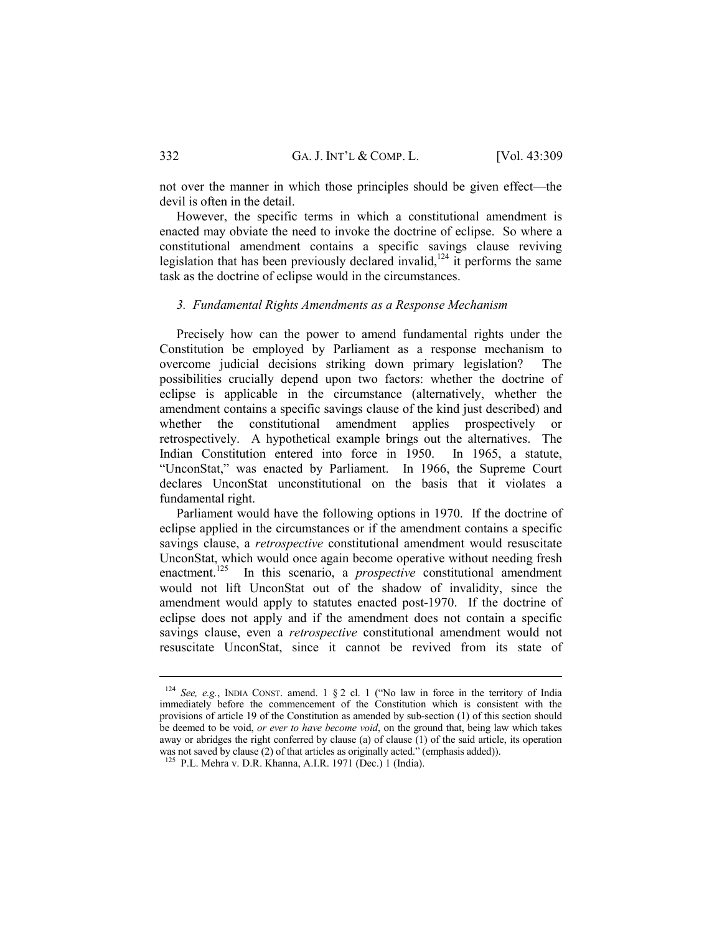not over the manner in which those principles should be given effect—the devil is often in the detail.

However, the specific terms in which a constitutional amendment is enacted may obviate the need to invoke the doctrine of eclipse. So where a constitutional amendment contains a specific savings clause reviving legislation that has been previously declared invalid,<sup>124</sup> it performs the same task as the doctrine of eclipse would in the circumstances.

# *3. Fundamental Rights Amendments as a Response Mechanism*

Precisely how can the power to amend fundamental rights under the Constitution be employed by Parliament as a response mechanism to overcome judicial decisions striking down primary legislation? The possibilities crucially depend upon two factors: whether the doctrine of eclipse is applicable in the circumstance (alternatively, whether the amendment contains a specific savings clause of the kind just described) and whether the constitutional amendment applies prospectively or retrospectively. A hypothetical example brings out the alternatives. The Indian Constitution entered into force in 1950. In 1965, a statute, "UnconStat," was enacted by Parliament. In 1966, the Supreme Court declares UnconStat unconstitutional on the basis that it violates a fundamental right.

Parliament would have the following options in 1970. If the doctrine of eclipse applied in the circumstances or if the amendment contains a specific savings clause, a *retrospective* constitutional amendment would resuscitate UnconStat, which would once again become operative without needing fresh enactment.<sup>125</sup> In this scenario, a *prospective* constitutional amendment would not lift UnconStat out of the shadow of invalidity, since the amendment would apply to statutes enacted post-1970. If the doctrine of eclipse does not apply and if the amendment does not contain a specific savings clause, even a *retrospective* constitutional amendment would not resuscitate UnconStat, since it cannot be revived from its state of

<sup>&</sup>lt;sup>124</sup> *See, e.g.*, INDIA CONST. amend. 1  $\S 2$  cl. 1 ("No law in force in the territory of India immediately before the commencement of the Constitution which is consistent with the provisions of article 19 of the Constitution as amended by sub-section (1) of this section should be deemed to be void, *or ever to have become void*, on the ground that, being law which takes away or abridges the right conferred by clause (a) of clause (1) of the said article, its operation was not saved by clause (2) of that articles as originally acted." (emphasis added)).

 $125$  P.L. Mehra v. D.R. Khanna, A.I.R. 1971 (Dec.) 1 (India).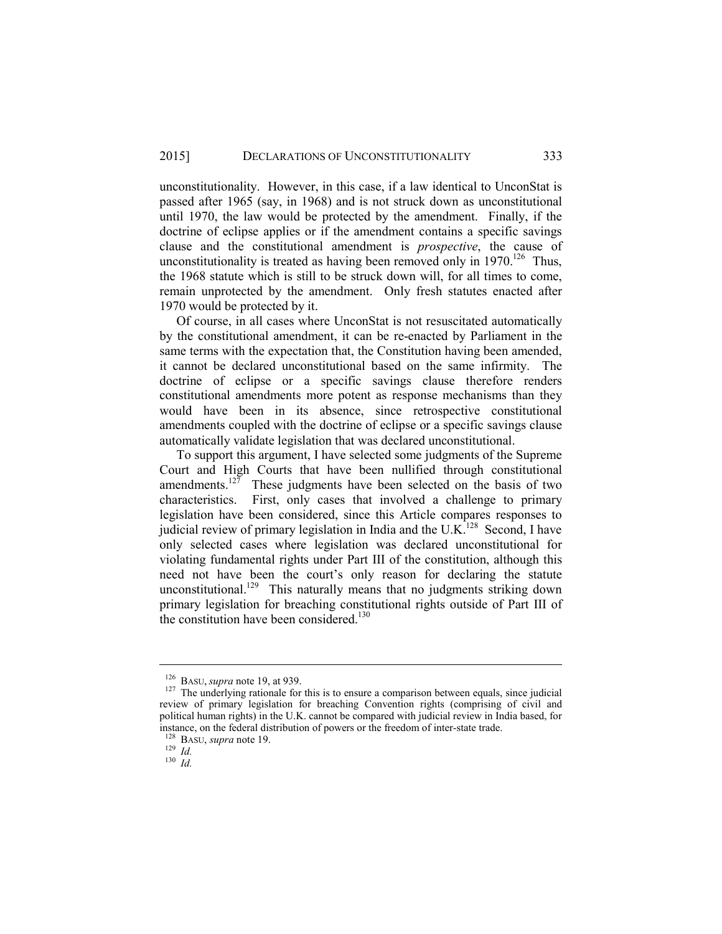unconstitutionality. However, in this case, if a law identical to UnconStat is passed after 1965 (say, in 1968) and is not struck down as unconstitutional until 1970, the law would be protected by the amendment. Finally, if the doctrine of eclipse applies or if the amendment contains a specific savings clause and the constitutional amendment is *prospective*, the cause of unconstitutionality is treated as having been removed only in  $1970$ <sup>126</sup> Thus, the 1968 statute which is still to be struck down will, for all times to come, remain unprotected by the amendment. Only fresh statutes enacted after 1970 would be protected by it.

Of course, in all cases where UnconStat is not resuscitated automatically by the constitutional amendment, it can be re-enacted by Parliament in the same terms with the expectation that, the Constitution having been amended, it cannot be declared unconstitutional based on the same infirmity. The doctrine of eclipse or a specific savings clause therefore renders constitutional amendments more potent as response mechanisms than they would have been in its absence, since retrospective constitutional amendments coupled with the doctrine of eclipse or a specific savings clause automatically validate legislation that was declared unconstitutional.

To support this argument, I have selected some judgments of the Supreme Court and High Courts that have been nullified through constitutional amendments.<sup>127</sup> These judgments have been selected on the basis of two characteristics. First, only cases that involved a challenge to primary legislation have been considered, since this Article compares responses to judicial review of primary legislation in India and the U.K.<sup>128</sup> Second, I have only selected cases where legislation was declared unconstitutional for violating fundamental rights under Part III of the constitution, although this need not have been the court's only reason for declaring the statute unconstitutional.<sup>129</sup> This naturally means that no judgments striking down primary legislation for breaching constitutional rights outside of Part III of the constitution have been considered.<sup>130</sup>

<sup>&</sup>lt;sup>126</sup> BASU, *supra* note 19, at 939.<br><sup>127</sup> The underlying rationale for this is to ensure a comparison between equals, since judicial review of primary legislation for breaching Convention rights (comprising of civil and political human rights) in the U.K. cannot be compared with judicial review in India based, for instance, on the federal distribution of powers or the freedom of inter-state trade.

<sup>128</sup> BASU, *supra* note 19. <sup>129</sup> *Id.* <sup>130</sup> *Id.*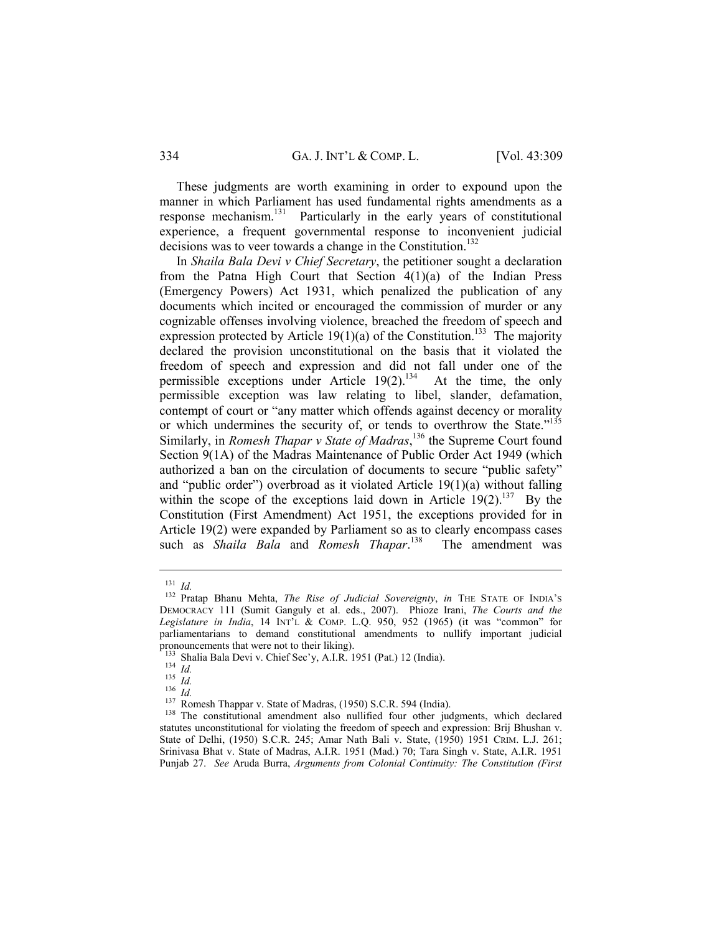These judgments are worth examining in order to expound upon the manner in which Parliament has used fundamental rights amendments as a response mechanism.<sup>131</sup> Particularly in the early years of constitutional experience, a frequent governmental response to inconvenient judicial decisions was to veer towards a change in the Constitution.<sup>132</sup>

In *Shaila Bala Devi v Chief Secretary*, the petitioner sought a declaration from the Patna High Court that Section 4(1)(a) of the Indian Press (Emergency Powers) Act 1931, which penalized the publication of any documents which incited or encouraged the commission of murder or any cognizable offenses involving violence, breached the freedom of speech and expression protected by Article 19(1)(a) of the Constitution.<sup>133</sup> The majority declared the provision unconstitutional on the basis that it violated the freedom of speech and expression and did not fall under one of the permissible exceptions under Article  $19(2)$ .<sup>134</sup> At the time, the only permissible exception was law relating to libel, slander, defamation, contempt of court or "any matter which offends against decency or morality or which undermines the security of, or tends to overthrow the State."<sup>135</sup> Similarly, in *Romesh Thapar v State of Madras*,<sup>136</sup> the Supreme Court found Section 9(1A) of the Madras Maintenance of Public Order Act 1949 (which authorized a ban on the circulation of documents to secure "public safety" and "public order") overbroad as it violated Article 19(1)(a) without falling within the scope of the exceptions laid down in Article  $19(2)$ .<sup>137</sup> By the Constitution (First Amendment) Act 1951, the exceptions provided for in Article 19(2) were expanded by Parliament so as to clearly encompass cases such as *Shaila Bala* and *Romesh Thapar*. The amendment was

<sup>131</sup> *Id.* 132 Pratap Bhanu Mehta, *The Rise of Judicial Sovereignty*, *in* THE STATE OF INDIA'S DEMOCRACY 111 (Sumit Ganguly et al. eds., 2007). Phioze Irani, *The Courts and the Legislature in India*, 14 INT'L & COMP. L.Q. 950, 952 (1965) (it was "common" for parliamentarians to demand constitutional amendments to nullify important judicial pronouncements that were not to their liking).<br><sup>133</sup> Shalia Bala Devi v. Chief Sec'y, A.I.R. 1951 (Pat.) 12 (India).

<sup>&</sup>lt;sup>134</sup> *Id.*<br>
<sup>135</sup> *Id.*<br>
<sup>136</sup> *Id.*<br>
<sup>136</sup> *Id.*<br>
<sup>137</sup> Romesh Thappar v. State of Madras, (1950) S.C.R. 594 (India).<br>
<sup>138</sup> The constitutional amendment also nullified four other judgments, which declared statutes unconstitutional for violating the freedom of speech and expression: Brij Bhushan v. State of Delhi, (1950) S.C.R. 245; Amar Nath Bali v. State, (1950) 1951 CRIM. L.J. 261; Srinivasa Bhat v. State of Madras, A.I.R. 1951 (Mad.) 70; Tara Singh v. State, A.I.R. 1951 Punjab 27. *See* Aruda Burra, *Arguments from Colonial Continuity: The Constitution (First*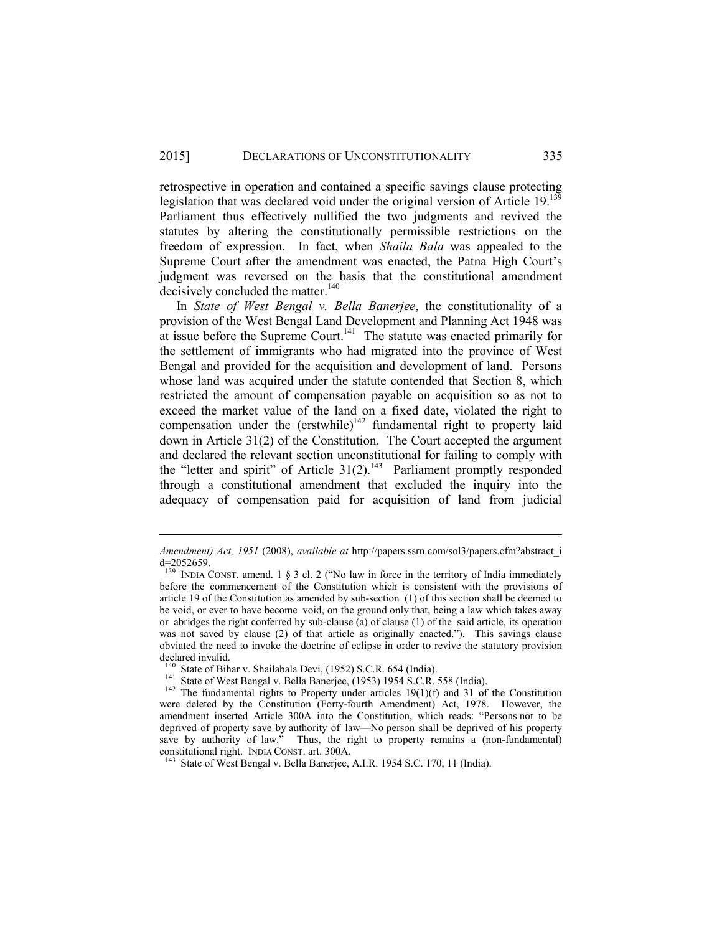retrospective in operation and contained a specific savings clause protecting legislation that was declared void under the original version of Article 19.<sup>139</sup> Parliament thus effectively nullified the two judgments and revived the statutes by altering the constitutionally permissible restrictions on the freedom of expression. In fact, when *Shaila Bala* was appealed to the Supreme Court after the amendment was enacted, the Patna High Court's judgment was reversed on the basis that the constitutional amendment decisively concluded the matter.<sup>140</sup>

In *State of West Bengal v. Bella Banerjee*, the constitutionality of a provision of the West Bengal Land Development and Planning Act 1948 was at issue before the Supreme Court.<sup>141</sup> The statute was enacted primarily for the settlement of immigrants who had migrated into the province of West Bengal and provided for the acquisition and development of land. Persons whose land was acquired under the statute contended that Section 8, which restricted the amount of compensation payable on acquisition so as not to exceed the market value of the land on a fixed date, violated the right to compensation under the (erstwhile) $142$  fundamental right to property laid down in Article 31(2) of the Constitution. The Court accepted the argument and declared the relevant section unconstitutional for failing to comply with the "letter and spirit" of Article  $31(2)$ .<sup>143</sup> Parliament promptly responded through a constitutional amendment that excluded the inquiry into the adequacy of compensation paid for acquisition of land from judicial

*Amendment) Act, 1951* (2008), *available at* http://papers.ssrn.com/sol3/papers.cfm?abstract\_i d=2052659.

<sup>&</sup>lt;sup>139</sup> INDIA CONST. amend. 1 § 3 cl. 2 ("No law in force in the territory of India immediately before the commencement of the Constitution which is consistent with the provisions of article 19 of the Constitution as amended by sub-section(1) of this section shall be deemed to be void, or ever to have become void, on the ground only that, being a law which takes away or abridges the right conferred by sub-clause (a) of clause (1) of the said article, its operation was not saved by clause (2) of that article as originally enacted."). This savings clause obviated the need to invoke the doctrine of eclipse in order to revive the statutory provision declared invalid.<br><sup>140</sup> State of Bihar v. Shailabala Devi, (1952) S.C.R. 654 (India).

<sup>&</sup>lt;sup>141</sup> State of West Bengal v. Bella Banerjee, (1953) 1954 S.C.R. 558 (India).<br><sup>142</sup> The fundamental rights to Property under articles 19(1)(f) and 31 of the Constitution were deleted by the Constitution (Forty-fourth Amendment) Act, 1978. However, the amendment inserted Article 300A into the Constitution, which reads: "Persons not to be deprived of property save by authority of law—No person shall be deprived of his property save by authority of law." Thus, the right to property remains a (non-fundamental) constitutional right. INDIA CONST. art. 300A.<br><sup>143</sup> State of West Bengal v. Bella Banerjee, A.I.R. 1954 S.C. 170, 11 (India).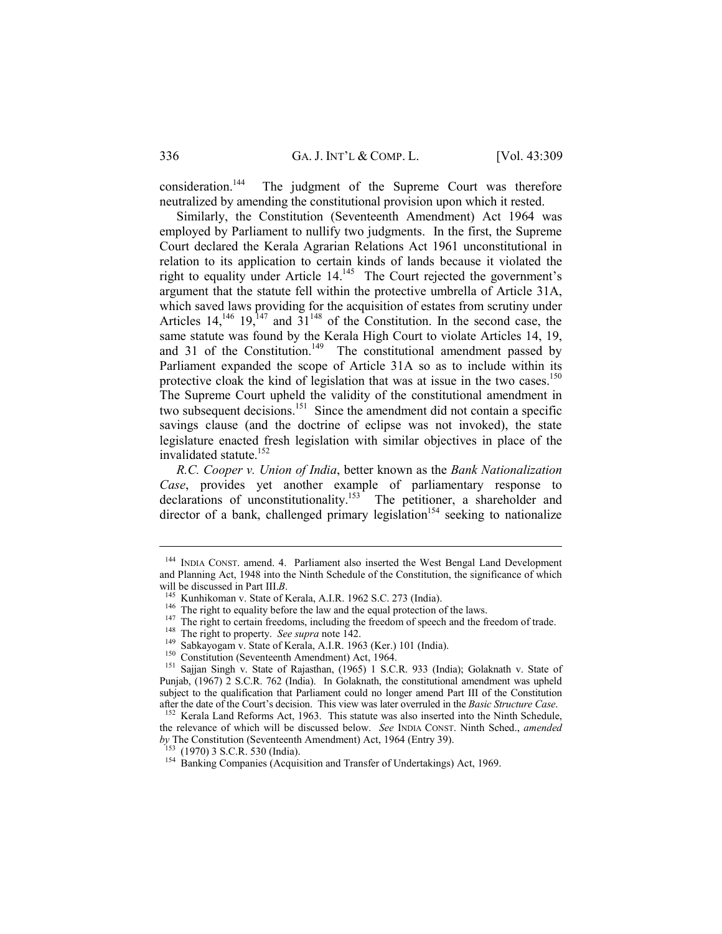consideration.144 The judgment of the Supreme Court was therefore neutralized by amending the constitutional provision upon which it rested.

Similarly, the Constitution (Seventeenth Amendment) Act 1964 was employed by Parliament to nullify two judgments. In the first, the Supreme Court declared the Kerala Agrarian Relations Act 1961 unconstitutional in relation to its application to certain kinds of lands because it violated the right to equality under Article 14.<sup>145</sup> The Court rejected the government's argument that the statute fell within the protective umbrella of Article 31A, which saved laws providing for the acquisition of estates from scrutiny under Articles  $14,^{146}$   $19,^{147}$  and  $31^{148}$  of the Constitution. In the second case, the same statute was found by the Kerala High Court to violate Articles 14, 19, and 31 of the Constitution.<sup>149</sup> The constitutional amendment passed by Parliament expanded the scope of Article 31A so as to include within its protective cloak the kind of legislation that was at issue in the two cases.<sup>150</sup> The Supreme Court upheld the validity of the constitutional amendment in two subsequent decisions.<sup>151</sup> Since the amendment did not contain a specific savings clause (and the doctrine of eclipse was not invoked), the state legislature enacted fresh legislation with similar objectives in place of the invalidated statute.<sup>152</sup>

*R.C. Cooper v. Union of India*, better known as the *Bank Nationalization Case*, provides yet another example of parliamentary response to declarations of unconstitutionality.<sup>153</sup> The petitioner, a shareholder and director of a bank, challenged primary legislation<sup>154</sup> seeking to nationalize

<sup>&</sup>lt;sup>144</sup> INDIA CONST. amend. 4. Parliament also inserted the West Bengal Land Development and Planning Act, 1948 into the Ninth Schedule of the Constitution, the significance of which will be discussed in Part III.*B*.

<sup>&</sup>lt;sup>146</sup> Kunhikoman v. State of Kerala, A.I.R. 1962 S.C. 273 (India).<br><sup>146</sup> The right to equality before the law and the equal protection of the laws.<br><sup>147</sup> The right to certain freedoms, including the freedom of speech and t Punjab, (1967) 2 S.C.R. 762 (India). In Golaknath, the constitutional amendment was upheld subject to the qualification that Parliament could no longer amend Part III of the Constitution after the date of the Court's decision. This view was later overruled in the *Basic Structure Case*.

<sup>&</sup>lt;sup>152</sup> Kerala Land Reforms Act, 1963. This statute was also inserted into the Ninth Schedule, the relevance of which will be discussed below. *See* INDIA CONST. Ninth Sched., *amended by* The Constitution (Seventeenth Amendment) Act, 1964 (Entry 39).<br>
<sup>153</sup> (1970) 3 S.C.R. 530 (India).

<sup>&</sup>lt;sup>154</sup> Banking Companies (Acquisition and Transfer of Undertakings) Act, 1969.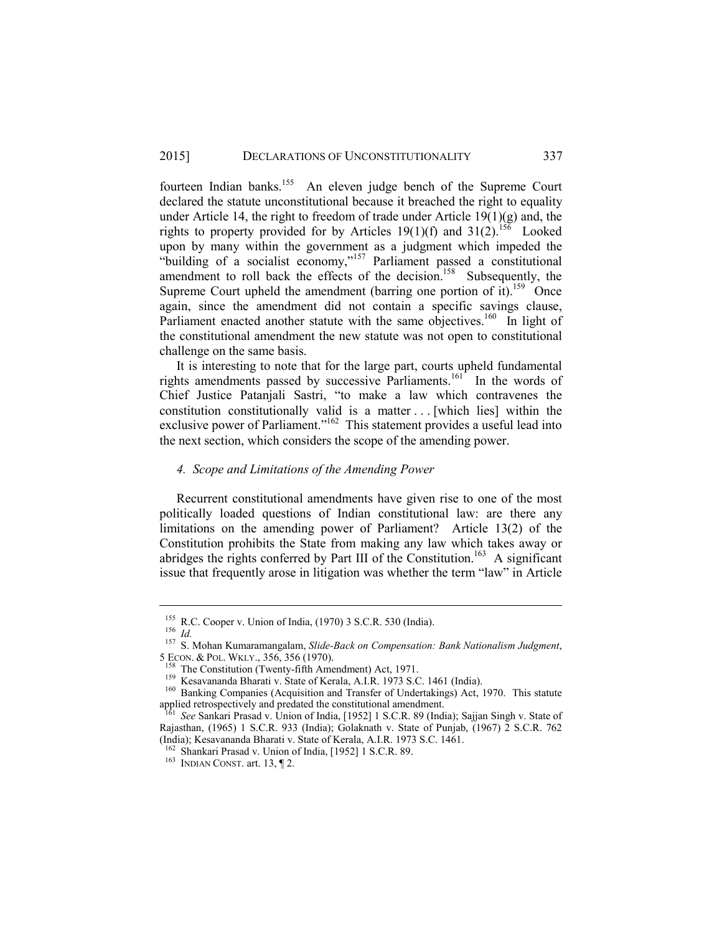fourteen Indian banks.<sup>155</sup> An eleven judge bench of the Supreme Court declared the statute unconstitutional because it breached the right to equality under Article 14, the right to freedom of trade under Article  $19(1)(g)$  and, the rights to property provided for by Articles  $19(1)(f)$  and  $31(2)$ .<sup>156</sup> Looked upon by many within the government as a judgment which impeded the "building of a socialist economy,"<sup>157</sup> Parliament passed a constitutional amendment to roll back the effects of the decision.<sup>158</sup> Subsequently, the Supreme Court upheld the amendment (barring one portion of it).<sup>159</sup> Once again, since the amendment did not contain a specific savings clause, Parliament enacted another statute with the same objectives.<sup>160</sup> In light of the constitutional amendment the new statute was not open to constitutional challenge on the same basis.

It is interesting to note that for the large part, courts upheld fundamental rights amendments passed by successive Parliaments.<sup>161</sup> In the words of Chief Justice Patanjali Sastri, "to make a law which contravenes the constitution constitutionally valid is a matter . . . [which lies] within the exclusive power of Parliament."<sup>162</sup> This statement provides a useful lead into the next section, which considers the scope of the amending power.

# *4. Scope and Limitations of the Amending Power*

Recurrent constitutional amendments have given rise to one of the most politically loaded questions of Indian constitutional law: are there any limitations on the amending power of Parliament? Article 13(2) of the Constitution prohibits the State from making any law which takes away or abridges the rights conferred by Part III of the Constitution.<sup>163</sup> A significant issue that frequently arose in litigation was whether the term "law" in Article

<sup>155</sup> R.C. Cooper v. Union of India, (1970) 3 S.C.R. 530 (India).<br><sup>156</sup> *Id.* <sup>157</sup> S. Mohan Kumaramangalam, *Slide-Back on Compensation: Bank Nationalism Judgment*, 5 Econ. & PoL. WKLY., 356, 356 (1970).

<sup>&</sup>lt;sup>158</sup> The Constitution (Twenty-fifth Amendment) Act, 1971.<br><sup>159</sup> Kesavananda Bharati v. State of Kerala, A.I.R. 1973 S.C. 1461 (India).<br><sup>160</sup> Banking Companies (Acquisition and Transfer of Undertakings) Act, 1970. This sta applied retrospectively and predated the constitutional amendment.

<sup>161</sup> *See* Sankari Prasad v. Union of India, [1952] 1 S.C.R. 89 (India); Sajjan Singh v. State of Rajasthan, (1965) 1 S.C.R. 933 (India); Golaknath v. State of Punjab, (1967) 2 S.C.R. 762 (India); Kesavananda Bharati v. State of Kerala, A.I.R. 1973 S.C. 1461.

<sup>&</sup>lt;sup>162</sup> Shankari Prasad v. Union of India, [1952] 1 S.C.R. 89. <sup>163</sup> INDIAN CONST. art. 13,  $\P$  2.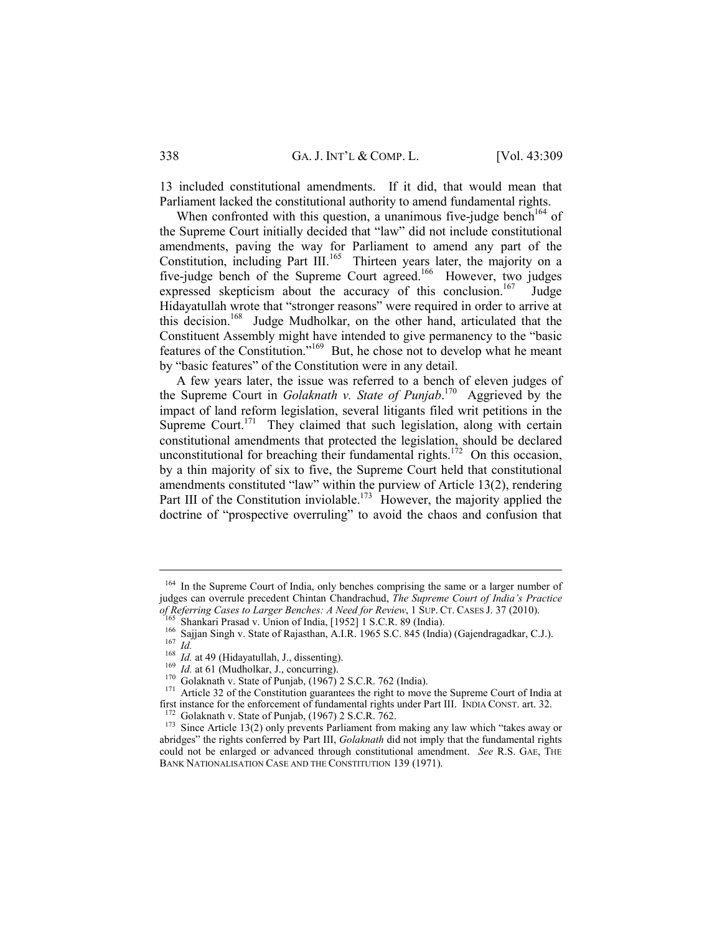13 included constitutional amendments. If it did, that would mean that Parliament lacked the constitutional authority to amend fundamental rights.

When confronted with this question, a unanimous five-judge bench<sup>164</sup> of the Supreme Court initially decided that "law" did not include constitutional amendments, paving the way for Parliament to amend any part of the Constitution, including Part III.<sup>165</sup> Thirteen years later, the majority on a five-judge bench of the Supreme Court agreed.166 However, two judges expressed skepticism about the accuracy of this conclusion.<sup>167</sup> Judge Hidayatullah wrote that "stronger reasons" were required in order to arrive at this decision.<sup>168</sup> Judge Mudholkar, on the other hand, articulated that the Constituent Assembly might have intended to give permanency to the "basic features of the Constitution."169 But, he chose not to develop what he meant by "basic features" of the Constitution were in any detail.

A few years later, the issue was referred to a bench of eleven judges of the Supreme Court in *Golaknath v. State of Punjab*. 170 Aggrieved by the impact of land reform legislation, several litigants filed writ petitions in the Supreme Court.<sup>171</sup> They claimed that such legislation, along with certain constitutional amendments that protected the legislation, should be declared unconstitutional for breaching their fundamental rights.<sup>172</sup> On this occasion, by a thin majority of six to five, the Supreme Court held that constitutional amendments constituted "law" within the purview of Article 13(2), rendering Part III of the Constitution inviolable.<sup>173</sup> However, the majority applied the doctrine of "prospective overruling" to avoid the chaos and confusion that

<sup>&</sup>lt;sup>164</sup> In the Supreme Court of India, only benches comprising the same or a larger number of judges can overrule precedent Chintan Chandrachud, *The Supreme Court of India's Practice* 

<sup>&</sup>lt;sup>165</sup> Shankari Prasad v. Union of India, [1952] 1 S.C.R. 89 (India).<br><sup>166</sup> Sajjan Singh v. State of Rajasthan, A.I.R. 1965 S.C. 845 (India) (Gajendragadkar, C.J.).<br><sup>167</sup> *Id.*<br><sup>168</sup> *Id.* at 49 (Hidayatullah, J., dissenti

<sup>&</sup>lt;sup>172</sup> Golaknath v. State of Punjab, (1967) 2 S.C.R.  $762$ .<br><sup>173</sup> Since Article 13(2) only prevents Parliament from making any law which "takes away or abridges" the rights conferred by Part III, *Golaknath* did not imply that the fundamental rights could not be enlarged or advanced through constitutional amendment. *See* R.S. GAE, THE BANK NATIONALISATION CASE AND THE CONSTITUTION 139 (1971).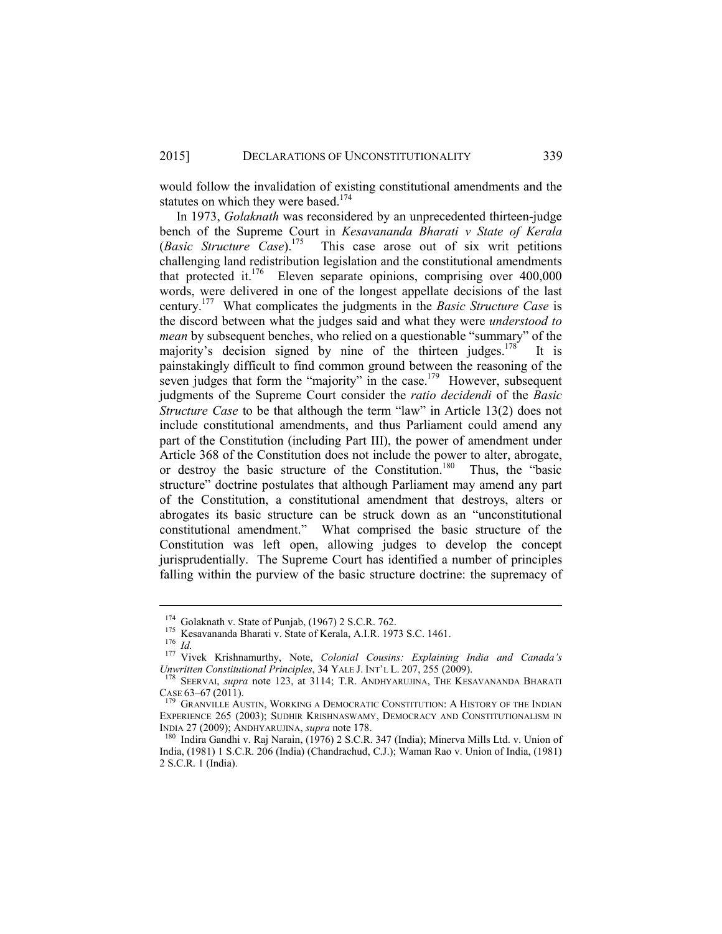would follow the invalidation of existing constitutional amendments and the statutes on which they were based.<sup>174</sup>

In 1973, *Golaknath* was reconsidered by an unprecedented thirteen-judge bench of the Supreme Court in *Kesavananda Bharati v State of Kerala*  This case arose out of six writ petitions challenging land redistribution legislation and the constitutional amendments that protected it.<sup>176</sup> Eleven separate opinions, comprising over  $400,000$ words, were delivered in one of the longest appellate decisions of the last century.177 What complicates the judgments in the *Basic Structure Case* is the discord between what the judges said and what they were *understood to mean* by subsequent benches, who relied on a questionable "summary" of the majority's decision signed by nine of the thirteen judges.<sup>178</sup> It is painstakingly difficult to find common ground between the reasoning of the seven judges that form the "majority" in the case.<sup>179</sup> However, subsequent judgments of the Supreme Court consider the *ratio decidendi* of the *Basic Structure Case* to be that although the term "law" in Article 13(2) does not include constitutional amendments, and thus Parliament could amend any part of the Constitution (including Part III), the power of amendment under Article 368 of the Constitution does not include the power to alter, abrogate, or destroy the basic structure of the Constitution.<sup>180</sup> Thus, the "basic structure" doctrine postulates that although Parliament may amend any part of the Constitution, a constitutional amendment that destroys, alters or abrogates its basic structure can be struck down as an "unconstitutional constitutional amendment." What comprised the basic structure of the Constitution was left open, allowing judges to develop the concept jurisprudentially. The Supreme Court has identified a number of principles falling within the purview of the basic structure doctrine: the supremacy of

<sup>174</sup> Golaknath v. State of Punjab, (1967) 2 S.C.R. 762.<br><sup>175</sup> Kesavananda Bharati v. State of Kerala, A.I.R. 1973 S.C. 1461.<br><sup>176</sup> *Id.* <sup>177</sup> Vivek Krishnamurthy, Note, *Colonial Cousins: Explaining India and Canada's Unwr* 

<sup>&</sup>lt;sup>178</sup> SEERVAI, *supra* note 123, at 3114; T.R. ANDHYARUJINA, THE KESAVANANDA BHARATI CASE  $63-67$  (2011).<br><sup>179</sup> GRANVILLE AUSTIN, WORKING A DEMOCRATIC CONSTITUTION: A HISTORY OF THE INDIAN

EXPERIENCE 265 (2003); SUDHIR KRISHNASWAMY, DEMOCRACY AND CONSTITUTIONALISM IN

INDIA 27 (2009); ANDHYARUJINA, *supra* note 178.<br><sup>180</sup> Indira Gandhi v. Raj Narain, (1976) 2 S.C.R. 347 (India); Minerva Mills Ltd. v. Union of India, (1981) 1 S.C.R. 206 (India) (Chandrachud, C.J.); Waman Rao v. Union of India, (1981) 2 S.C.R. 1 (India).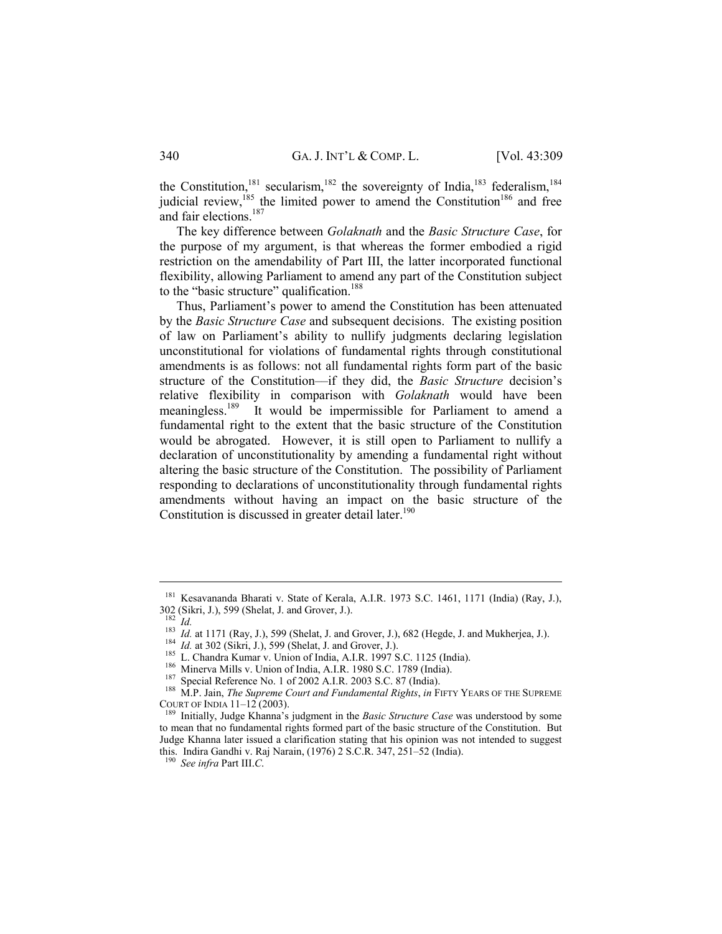the Constitution,<sup>181</sup> secularism,<sup>182</sup> the sovereignty of India,<sup>183</sup> federalism,<sup>184</sup> judicial review,<sup>185</sup> the limited power to amend the Constitution<sup>186</sup> and free and fair elections.<sup>187</sup>

The key difference between *Golaknath* and the *Basic Structure Case*, for the purpose of my argument, is that whereas the former embodied a rigid restriction on the amendability of Part III, the latter incorporated functional flexibility, allowing Parliament to amend any part of the Constitution subject to the "basic structure" qualification.<sup>188</sup>

Thus, Parliament's power to amend the Constitution has been attenuated by the *Basic Structure Case* and subsequent decisions. The existing position of law on Parliament's ability to nullify judgments declaring legislation unconstitutional for violations of fundamental rights through constitutional amendments is as follows: not all fundamental rights form part of the basic structure of the Constitution––if they did, the *Basic Structure* decision's relative flexibility in comparison with *Golaknath* would have been meaningless.<sup>189</sup> It would be impermissible for Parliament to amend a fundamental right to the extent that the basic structure of the Constitution would be abrogated. However, it is still open to Parliament to nullify a declaration of unconstitutionality by amending a fundamental right without altering the basic structure of the Constitution. The possibility of Parliament responding to declarations of unconstitutionality through fundamental rights amendments without having an impact on the basic structure of the Constitution is discussed in greater detail later.<sup>190</sup>

<sup>&</sup>lt;sup>181</sup> Kesavananda Bharati v. State of Kerala, A.I.R. 1973 S.C. 1461, 1171 (India) (Ray, J.), 302 (Sikri, J.), 599 (Shelat, J. and Grover, J.).  $^{182}$  *Id* 

<sup>&</sup>lt;sup>183</sup> *Id.* at 1171 (Ray, J.), 599 (Shelat, J. and Grover, J.), 682 (Hegde, J. and Mukherjea, J.).<br><sup>184</sup> *Id.* at 302 (Sikri, J.), 599 (Shelat, J. and Grover, J.).<br><sup>185</sup> L. Chandra Kumar v. Union of India, A.I.R. 1997 S.C

<sup>&</sup>lt;sup>189</sup> Initially, Judge Khanna's judgment in the *Basic Structure Case* was understood by some to mean that no fundamental rights formed part of the basic structure of the Constitution. But Judge Khanna later issued a clarification stating that his opinion was not intended to suggest this. Indira Gandhi v. Raj Narain, (1976) 2 S.C.R. 347, 251–52 (India).

<sup>190</sup> *See infra* Part III.*C*.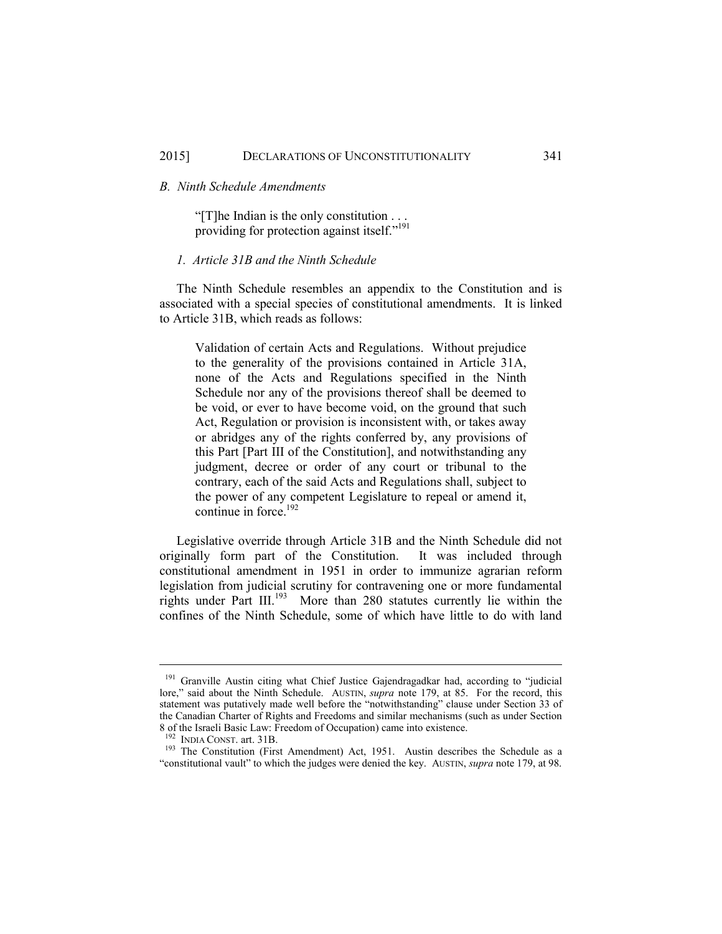# *B. Ninth Schedule Amendments*

"[T]he Indian is the only constitution . . . providing for protection against itself."<sup>191</sup>

# *1. Article 31B and the Ninth Schedule*

The Ninth Schedule resembles an appendix to the Constitution and is associated with a special species of constitutional amendments. It is linked to Article 31B, which reads as follows:

Validation of certain Acts and Regulations. Without prejudice to the generality of the provisions contained in Article 31A, none of the Acts and Regulations specified in the Ninth Schedule nor any of the provisions thereof shall be deemed to be void, or ever to have become void, on the ground that such Act, Regulation or provision is inconsistent with, or takes away or abridges any of the rights conferred by, any provisions of this Part [Part III of the Constitution], and notwithstanding any judgment, decree or order of any court or tribunal to the contrary, each of the said Acts and Regulations shall, subject to the power of any competent Legislature to repeal or amend it, continue in force.<sup>192</sup>

Legislative override through Article 31B and the Ninth Schedule did not originally form part of the Constitution. It was included through constitutional amendment in 1951 in order to immunize agrarian reform legislation from judicial scrutiny for contravening one or more fundamental rights under Part III.<sup>193</sup> More than 280 statutes currently lie within the confines of the Ninth Schedule, some of which have little to do with land

<sup>&</sup>lt;sup>191</sup> Granville Austin citing what Chief Justice Gajendragadkar had, according to "judicial lore," said about the Ninth Schedule. AUSTIN, *supra* note 179, at 85. For the record, this statement was putatively made well before the "notwithstanding" clause under Section 33 of the Canadian Charter of Rights and Freedoms and similar mechanisms (such as under Section 8 of the Israeli Basic Law: Freedom of Occupation) came into existence.

<sup>&</sup>lt;sup>193</sup> The Constitution (First Amendment) Act, 1951. Austin describes the Schedule as a "constitutional vault" to which the judges were denied the key. AUSTIN, *supra* note 179, at 98.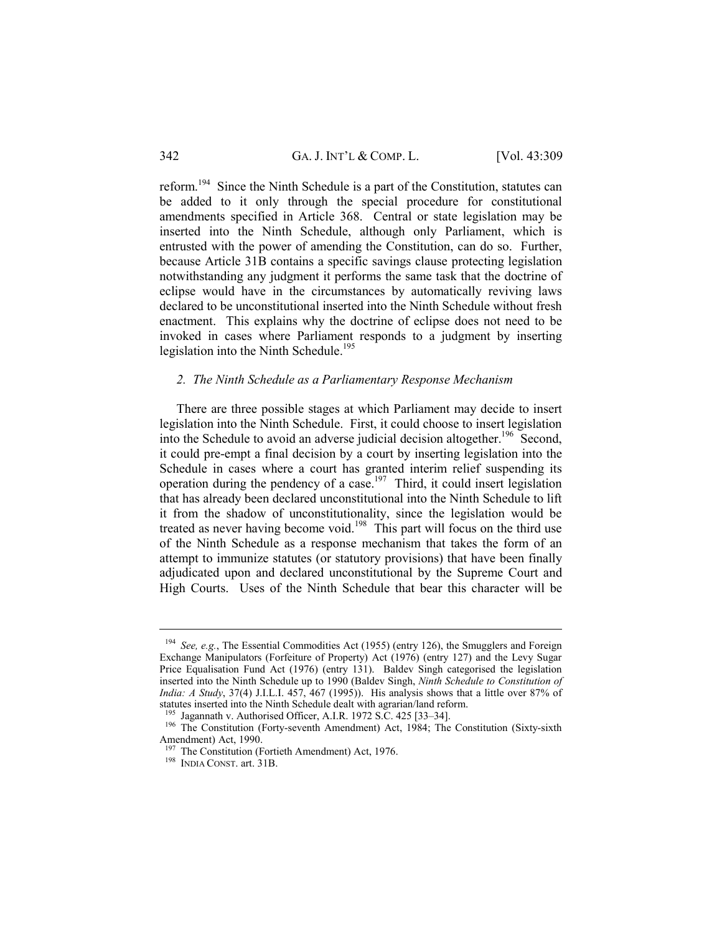reform.194 Since the Ninth Schedule is a part of the Constitution, statutes can be added to it only through the special procedure for constitutional amendments specified in Article 368. Central or state legislation may be inserted into the Ninth Schedule, although only Parliament, which is entrusted with the power of amending the Constitution, can do so. Further, because Article 31B contains a specific savings clause protecting legislation notwithstanding any judgment it performs the same task that the doctrine of eclipse would have in the circumstances by automatically reviving laws declared to be unconstitutional inserted into the Ninth Schedule without fresh enactment. This explains why the doctrine of eclipse does not need to be invoked in cases where Parliament responds to a judgment by inserting legislation into the Ninth Schedule.<sup>195</sup>

# *2. The Ninth Schedule as a Parliamentary Response Mechanism*

There are three possible stages at which Parliament may decide to insert legislation into the Ninth Schedule. First, it could choose to insert legislation into the Schedule to avoid an adverse judicial decision altogether.<sup>196</sup> Second, it could pre-empt a final decision by a court by inserting legislation into the Schedule in cases where a court has granted interim relief suspending its operation during the pendency of a case.<sup>197</sup> Third, it could insert legislation that has already been declared unconstitutional into the Ninth Schedule to lift it from the shadow of unconstitutionality, since the legislation would be treated as never having become void.<sup>198</sup> This part will focus on the third use of the Ninth Schedule as a response mechanism that takes the form of an attempt to immunize statutes (or statutory provisions) that have been finally adjudicated upon and declared unconstitutional by the Supreme Court and High Courts. Uses of the Ninth Schedule that bear this character will be

<sup>194</sup> *See, e.g.*, The Essential Commodities Act (1955) (entry 126), the Smugglers and Foreign Exchange Manipulators (Forfeiture of Property) Act (1976) (entry 127) and the Levy Sugar Price Equalisation Fund Act (1976) (entry 131). Baldev Singh categorised the legislation inserted into the Ninth Schedule up to 1990 (Baldev Singh, *Ninth Schedule to Constitution of India: A Study*, 37(4) J.I.L.I. 457, 467 (1995)). His analysis shows that a little over 87% of statutes inserted into the Ninth Schedule dealt with agrarian/land reform.<br><sup>195</sup> Jagannath v. Authorised Officer, A.I.R. 1972 S.C. 425 [33–34].

<sup>&</sup>lt;sup>196</sup> The Constitution (Forty-seventh Amendment) Act, 1984; The Constitution (Sixty-sixth Amendment) Act, 1990.

<sup>&</sup>lt;sup>197</sup> The Constitution (Fortieth Amendment) Act, 1976.<br><sup>198</sup> INDIA CONST. art. 31B.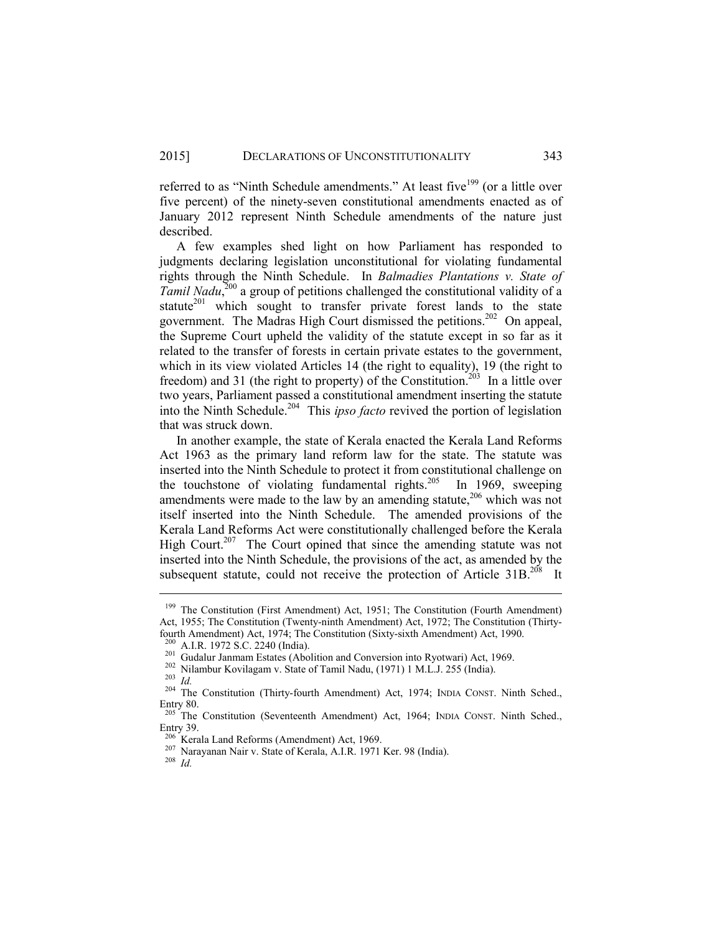referred to as "Ninth Schedule amendments." At least five<sup>199</sup> (or a little over five percent) of the ninety-seven constitutional amendments enacted as of January 2012 represent Ninth Schedule amendments of the nature just described.

A few examples shed light on how Parliament has responded to judgments declaring legislation unconstitutional for violating fundamental rights through the Ninth Schedule. In *Balmadies Plantations v. State of Tamil Nadu*<sup>200</sup> a group of petitions challenged the constitutional validity of a statute<sup>201</sup> which sought to transfer private forest lands to the state government. The Madras High Court dismissed the petitions.<sup>202</sup> On appeal, the Supreme Court upheld the validity of the statute except in so far as it related to the transfer of forests in certain private estates to the government, which in its view violated Articles 14 (the right to equality), 19 (the right to freedom) and 31 (the right to property) of the Constitution.<sup>203</sup> In a little over two years, Parliament passed a constitutional amendment inserting the statute into the Ninth Schedule.204 This *ipso facto* revived the portion of legislation that was struck down.

In another example, the state of Kerala enacted the Kerala Land Reforms Act 1963 as the primary land reform law for the state. The statute was inserted into the Ninth Schedule to protect it from constitutional challenge on the touchstone of violating fundamental rights.<sup>205</sup> In 1969, sweeping amendments were made to the law by an amending statute, $206$  which was not itself inserted into the Ninth Schedule. The amended provisions of the Kerala Land Reforms Act were constitutionally challenged before the Kerala High Court.<sup>207</sup> The Court opined that since the amending statute was not inserted into the Ninth Schedule, the provisions of the act, as amended by the subsequent statute, could not receive the protection of Article  $31B$ <sup>208</sup> It

<sup>199</sup> The Constitution (First Amendment) Act, 1951; The Constitution (Fourth Amendment) Act, 1955; The Constitution (Twenty-ninth Amendment) Act, 1972; The Constitution (Thirtyfourth Amendment) Act, 1974; The Constitution (Sixty-sixth Amendment) Act, 1990.

<sup>&</sup>lt;sup>200</sup> A.I.R. 1972 S.C. 2240 (India).<br><sup>201</sup> Gudalur Janmam Estates (Abolition and Conversion into Ryotwari) Act, 1969.<br><sup>202</sup> Nilambur Kovilagam v. State of Tamil Nadu, (1971) 1 M.L.J. 255 (India).<br><sup>203</sup> Id.<br><sup>204</sup> The Const Entry 80.

<sup>&</sup>lt;sup>205</sup> The Constitution (Seventeenth Amendment) Act, 1964; INDIA CONST. Ninth Sched., Entry 39.<br><sup>206</sup> Kerala Land Reforms (Amendment) Act, 1969.

<sup>207</sup> Narayanan Nair v. State of Kerala, A.I.R. 1971 Ker. 98 (India). <sup>208</sup> *Id*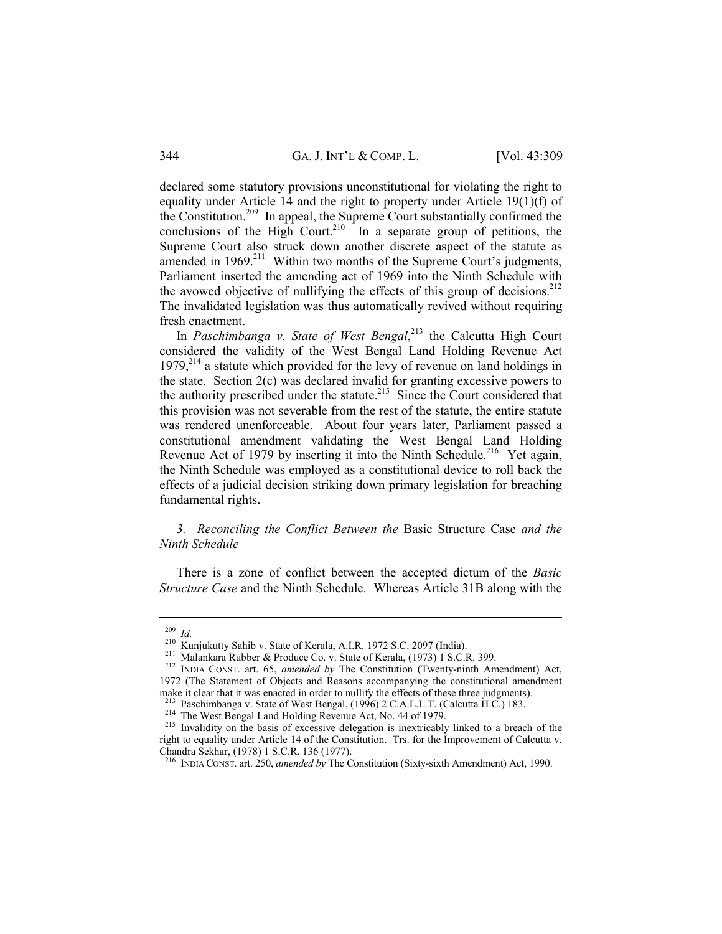declared some statutory provisions unconstitutional for violating the right to equality under Article 14 and the right to property under Article 19(1)(f) of the Constitution.209 In appeal, the Supreme Court substantially confirmed the conclusions of the High Court.<sup>210</sup> In a separate group of petitions, the Supreme Court also struck down another discrete aspect of the statute as amended in  $1969$ <sup>211</sup> Within two months of the Supreme Court's judgments, Parliament inserted the amending act of 1969 into the Ninth Schedule with the avowed objective of nullifying the effects of this group of decisions.<sup>212</sup> The invalidated legislation was thus automatically revived without requiring fresh enactment.

In *Paschimbanga v. State of West Bengal*<sup>213</sup> the Calcutta High Court considered the validity of the West Bengal Land Holding Revenue Act 1979,<sup>214</sup> a statute which provided for the levy of revenue on land holdings in the state. Section 2(c) was declared invalid for granting excessive powers to the authority prescribed under the statute.<sup>215</sup> Since the Court considered that this provision was not severable from the rest of the statute, the entire statute was rendered unenforceable. About four years later, Parliament passed a constitutional amendment validating the West Bengal Land Holding Revenue Act of 1979 by inserting it into the Ninth Schedule.<sup>216</sup> Yet again, the Ninth Schedule was employed as a constitutional device to roll back the effects of a judicial decision striking down primary legislation for breaching fundamental rights.

*3. Reconciling the Conflict Between the* Basic Structure Case *and the Ninth Schedule* 

There is a zone of conflict between the accepted dictum of the *Basic Structure Case* and the Ninth Schedule. Whereas Article 31B along with the

<sup>&</sup>lt;sup>209</sup> *Id.*<br><sup>210</sup> Kunjukutty Sahib v. State of Kerala, A.I.R. 1972 S.C. 2097 (India).<br><sup>211</sup> Malankara Rubber & Produce Co. v. State of Kerala, (1973) 1 S.C.R. 399.<br><sup>212</sup> INDIA CONST. art. 65, *amended by* The Constitution 1972 (The Statement of Objects and Reasons accompanying the constitutional amendment make it clear that it was enacted in order to nullify the effects of these three judgments).<br><sup>213</sup> Paschimbanga v. State of West Bengal, (1996) 2 C.A.L.L.T. (Calcutta H.C.) 183.

<sup>&</sup>lt;sup>214</sup> The West Bengal Land Holding Revenue Act, No. 44 of 1979.<br><sup>214</sup> The West Bengal Land Holding Revenue Act, No. 44 of 1979.<br><sup>215</sup> Invalidity on the basis of excessive delegation is inextricably linked to a breach of th right to equality under Article 14 of the Constitution. Trs. for the Improvement of Calcutta v. Chandra Sekhar, (1978) 1 S.C.R. 136 (1977).

<sup>216</sup> INDIA CONST. art. 250, *amended by* The Constitution (Sixty-sixth Amendment) Act, 1990.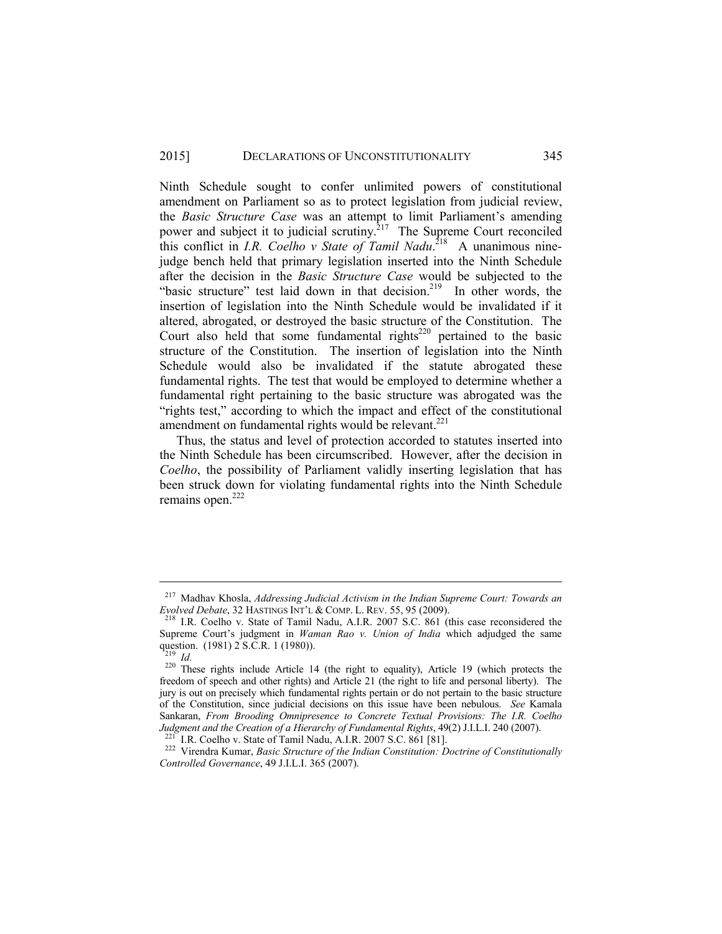Ninth Schedule sought to confer unlimited powers of constitutional amendment on Parliament so as to protect legislation from judicial review, the *Basic Structure Case* was an attempt to limit Parliament's amending power and subject it to judicial scrutiny.<sup>217</sup> The Supreme Court reconciled this conflict in *I.R. Coelho v State of Tamil Nadu*. 218 A unanimous ninejudge bench held that primary legislation inserted into the Ninth Schedule after the decision in the *Basic Structure Case* would be subjected to the "basic structure" test laid down in that decision.<sup>219</sup> In other words, the insertion of legislation into the Ninth Schedule would be invalidated if it altered, abrogated, or destroyed the basic structure of the Constitution. The Court also held that some fundamental rights $220$  pertained to the basic structure of the Constitution. The insertion of legislation into the Ninth Schedule would also be invalidated if the statute abrogated these fundamental rights. The test that would be employed to determine whether a fundamental right pertaining to the basic structure was abrogated was the "rights test," according to which the impact and effect of the constitutional amendment on fundamental rights would be relevant.<sup>221</sup>

Thus, the status and level of protection accorded to statutes inserted into the Ninth Schedule has been circumscribed. However, after the decision in *Coelho*, the possibility of Parliament validly inserting legislation that has been struck down for violating fundamental rights into the Ninth Schedule remains open.<sup>222</sup>

<sup>&</sup>lt;sup>217</sup> Madhav Khosla, *Addressing Judicial Activism in the Indian Supreme Court: Towards an Evolved Debate*, 32 HASTINGS INT'L & COMP. L. REV. 55, 95 (2009).

<sup>&</sup>lt;sup>218</sup> I.R. Coelho v. State of Tamil Nadu, A.I.R. 2007 S.C. 861 (this case reconsidered the Supreme Court's judgment in *Waman Rao v. Union of India* which adjudged the same question. (1981) 2 S.C.R. 1 (1980)).<br> $^{219}$  *Id.* 

<sup>&</sup>lt;sup>220</sup> These rights include Article 14 (the right to equality), Article 19 (which protects the freedom of speech and other rights) and Article 21 (the right to life and personal liberty). The jury is out on precisely which fundamental rights pertain or do not pertain to the basic structure of the Constitution, since judicial decisions on this issue have been nebulous. *See* Kamala Sankaran, *From Brooding Omnipresence to Concrete Textual Provisions: The I.R. Coelho*  Judgment and the Creation of a Hierarchy of Fundamental Rights,  $49(2)$  J.I.L.I. 240 (2007).<br><sup>221</sup> I.R. Coelho v. State of Tamil Nadu, A.I.R. 2007 S.C. 861 [81].<br><sup>222</sup> Virendra Kumar, *Basic Structure of the Indian Consti* 

*Controlled Governance*, 49 J.I.L.I. 365 (2007).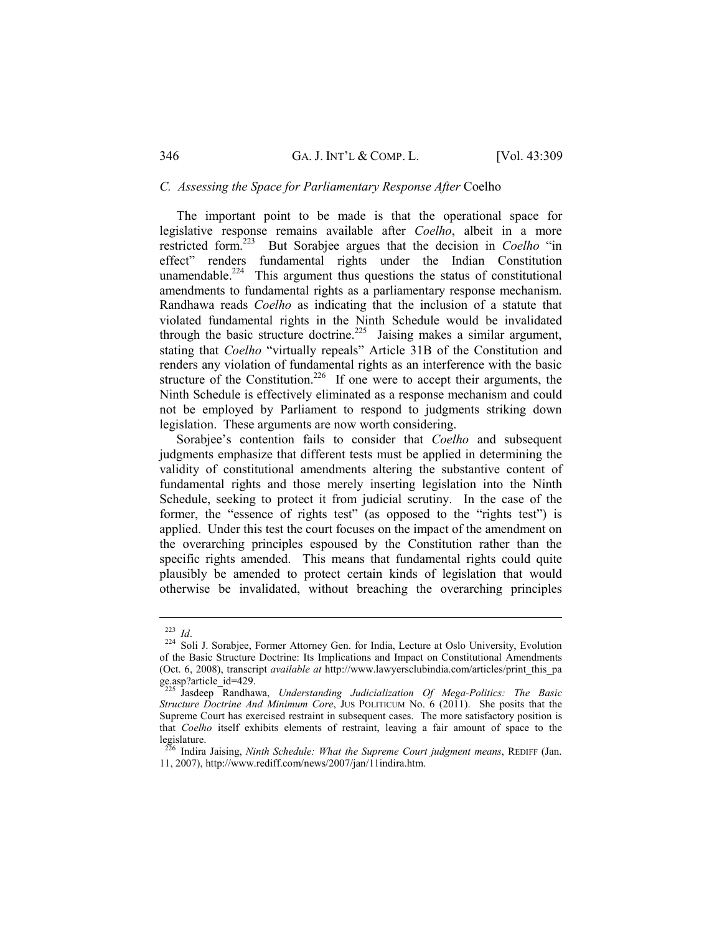#### *C. Assessing the Space for Parliamentary Response After* Coelho

The important point to be made is that the operational space for legislative response remains available after *Coelho*, albeit in a more restricted form.223 But Sorabjee argues that the decision in *Coelho* "in effect" renders fundamental rights under the Indian Constitution unamendable.<sup>224</sup> This argument thus questions the status of constitutional amendments to fundamental rights as a parliamentary response mechanism. Randhawa reads *Coelho* as indicating that the inclusion of a statute that violated fundamental rights in the Ninth Schedule would be invalidated through the basic structure doctrine.<sup>225</sup> Jaising makes a similar argument, stating that *Coelho* "virtually repeals" Article 31B of the Constitution and renders any violation of fundamental rights as an interference with the basic structure of the Constitution.<sup>226</sup> If one were to accept their arguments, the Ninth Schedule is effectively eliminated as a response mechanism and could not be employed by Parliament to respond to judgments striking down legislation. These arguments are now worth considering.

Sorabjee's contention fails to consider that *Coelho* and subsequent judgments emphasize that different tests must be applied in determining the validity of constitutional amendments altering the substantive content of fundamental rights and those merely inserting legislation into the Ninth Schedule, seeking to protect it from judicial scrutiny. In the case of the former, the "essence of rights test" (as opposed to the "rights test") is applied. Under this test the court focuses on the impact of the amendment on the overarching principles espoused by the Constitution rather than the specific rights amended. This means that fundamental rights could quite plausibly be amended to protect certain kinds of legislation that would otherwise be invalidated, without breaching the overarching principles

<sup>223</sup> *Id*. 224 Soli J. Sorabjee, Former Attorney Gen. for India, Lecture at Oslo University, Evolution of the Basic Structure Doctrine: Its Implications and Impact on Constitutional Amendments (Oct. 6, 2008), transcript *available at* http://www.lawyersclubindia.com/articles/print\_this\_pa ge.asp?article\_id=429.

<sup>225</sup> Jasdeep Randhawa, *Understanding Judicialization Of Mega-Politics: The Basic Structure Doctrine And Minimum Core*, JUS POLITICUM No. 6 (2011). She posits that the Supreme Court has exercised restraint in subsequent cases. The more satisfactory position is that *Coelho* itself exhibits elements of restraint, leaving a fair amount of space to the legislature.

<sup>226</sup> Indira Jaising, *Ninth Schedule: What the Supreme Court judgment means*, REDIFF (Jan. 11, 2007), http://www.rediff.com/news/2007/jan/11indira.htm.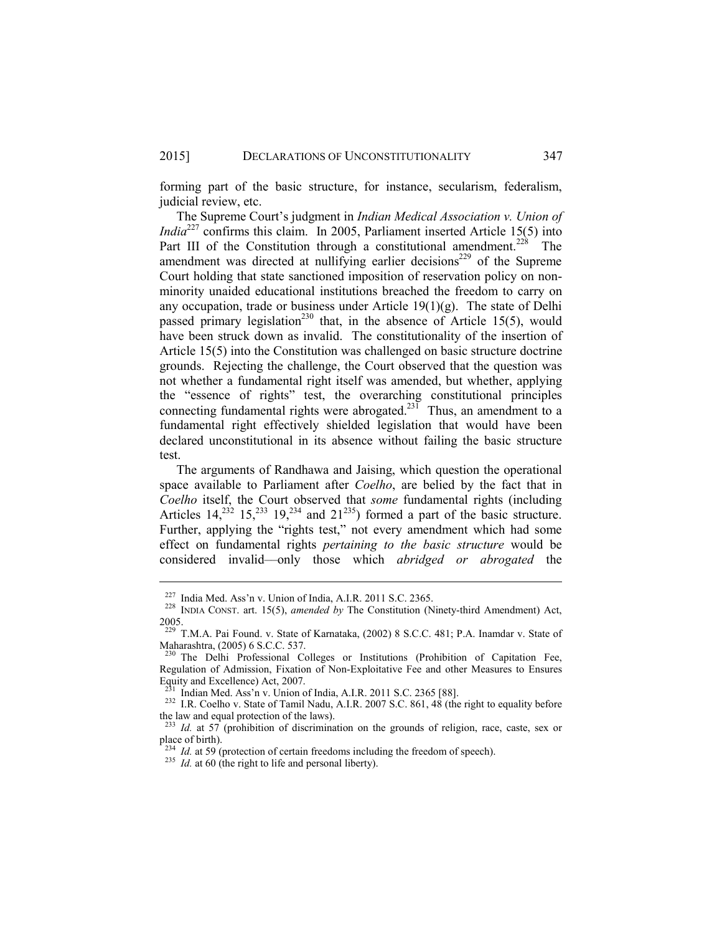forming part of the basic structure, for instance, secularism, federalism, judicial review, etc.

The Supreme Court's judgment in *Indian Medical Association v. Union of India*<sup>227</sup> confirms this claim. In 2005, Parliament inserted Article 15(5) into Part III of the Constitution through a constitutional amendment.<sup>228</sup> The amendment was directed at nullifying earlier decisions<sup>229</sup> of the Supreme Court holding that state sanctioned imposition of reservation policy on nonminority unaided educational institutions breached the freedom to carry on any occupation, trade or business under Article  $19(1)(g)$ . The state of Delhi passed primary legislation<sup>230</sup> that, in the absence of Article 15(5), would have been struck down as invalid. The constitutionality of the insertion of Article 15(5) into the Constitution was challenged on basic structure doctrine grounds. Rejecting the challenge, the Court observed that the question was not whether a fundamental right itself was amended, but whether, applying the "essence of rights" test, the overarching constitutional principles connecting fundamental rights were abrogated.<sup>231</sup> Thus, an amendment to a fundamental right effectively shielded legislation that would have been declared unconstitutional in its absence without failing the basic structure test.

The arguments of Randhawa and Jaising, which question the operational space available to Parliament after *Coelho*, are belied by the fact that in *Coelho* itself, the Court observed that *some* fundamental rights (including Articles  $14,^{232}$   $15,^{233}$   $19,^{234}$  and  $21^{235}$ ) formed a part of the basic structure. Further, applying the "rights test," not every amendment which had some effect on fundamental rights *pertaining to the basic structure* would be considered invalid––only those which *abridged or abrogated* the

<sup>227</sup> India Med. Ass'n v. Union of India, A.I.R. 2011 S.C. 2365. 228 INDIA CONST. art. 15(5), *amended by* The Constitution (Ninety-third Amendment) Act, 2005.

<sup>229</sup> T.M.A. Pai Found. v. State of Karnataka, (2002) 8 S.C.C. 481; P.A. Inamdar v. State of Maharashtra, (2005) 6 S.C.C. 537.

<sup>&</sup>lt;sup>230</sup> The Delhi Professional Colleges or Institutions (Prohibition of Capitation Fee, Regulation of Admission, Fixation of Non-Exploitative Fee and other Measures to Ensures Equity and Excellence) Act, 2007.<br> $^{231}$  Indian Med. Ass'n v. Union of India, A.I.R. 2011 S.C. 2365 [88].

<sup>&</sup>lt;sup>232</sup> I.R. Coelho v. State of Tamil Nadu, A.I.R. 2007 S.C. 861, 48 (the right to equality before the law and equal protection of the laws).

<sup>&</sup>lt;sup>233</sup> *Id.* at 57 (prohibition of discrimination on the grounds of religion, race, caste, sex or place of birth).

<sup>&</sup>lt;sup>234</sup> *Id.* at 59 (protection of certain freedoms including the freedom of speech).<br><sup>235</sup> *Id.* at 60 (the right to life and personal liberty).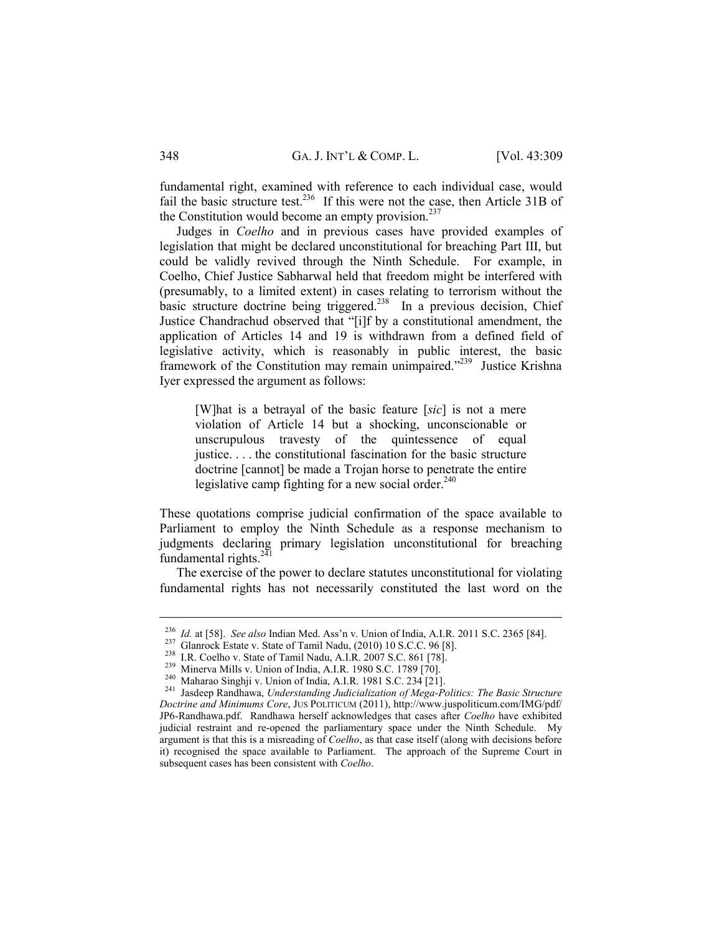fundamental right, examined with reference to each individual case, would fail the basic structure test.<sup>236</sup> If this were not the case, then Article 31B of the Constitution would become an empty provision. $237$ 

Judges in *Coelho* and in previous cases have provided examples of legislation that might be declared unconstitutional for breaching Part III, but could be validly revived through the Ninth Schedule. For example, in Coelho, Chief Justice Sabharwal held that freedom might be interfered with (presumably, to a limited extent) in cases relating to terrorism without the basic structure doctrine being triggered.<sup>238</sup> In a previous decision, Chief Justice Chandrachud observed that "[i]f by a constitutional amendment, the application of Articles 14 and 19 is withdrawn from a defined field of legislative activity, which is reasonably in public interest, the basic framework of the Constitution may remain unimpaired."239 Justice Krishna Iyer expressed the argument as follows:

[W]hat is a betrayal of the basic feature [*sic*] is not a mere violation of Article 14 but a shocking, unconscionable or unscrupulous travesty of the quintessence of equal justice. . . . the constitutional fascination for the basic structure doctrine [cannot] be made a Trojan horse to penetrate the entire legislative camp fighting for a new social order.<sup>240</sup>

These quotations comprise judicial confirmation of the space available to Parliament to employ the Ninth Schedule as a response mechanism to judgments declaring primary legislation unconstitutional for breaching fundamental rights. $2\sqrt[3]{41}$ 

The exercise of the power to declare statutes unconstitutional for violating fundamental rights has not necessarily constituted the last word on the

<sup>&</sup>lt;sup>236</sup> *Id.* at [58]. *See also* Indian Med. Ass'n v. Union of India, A.I.R. 2011 S.C. 2365 [84].<br><sup>237</sup> Glanrock Estate v. State of Tamil Nadu, (2010) 10 S.C.C. 96 [8].<br><sup>238</sup> I.R. Coelho v. State of Tamil Nadu, A.I.R. 2007 *Doctrine and Minimums Core*, JUS POLITICUM (2011), http://www.juspoliticum.com/IMG/pdf/ JP6-Randhawa.pdf. Randhawa herself acknowledges that cases after *Coelho* have exhibited judicial restraint and re-opened the parliamentary space under the Ninth Schedule. My argument is that this is a misreading of *Coelho*, as that case itself (along with decisions before it) recognised the space available to Parliament. The approach of the Supreme Court in subsequent cases has been consistent with *Coelho*.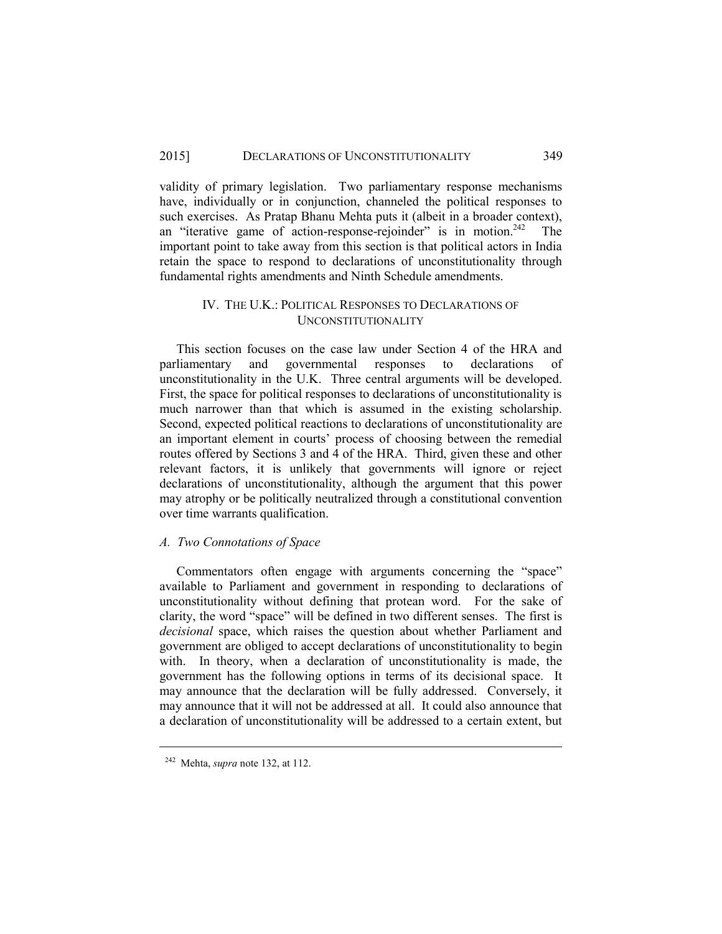### 2015] DECLARATIONS OF UNCONSTITUTIONALITY 349

validity of primary legislation. Two parliamentary response mechanisms have, individually or in conjunction, channeled the political responses to such exercises. As Pratap Bhanu Mehta puts it (albeit in a broader context), an "iterative game of action-response-rejoinder" is in motion.<sup>242</sup> The important point to take away from this section is that political actors in India retain the space to respond to declarations of unconstitutionality through fundamental rights amendments and Ninth Schedule amendments.

## IV. THE U.K.: POLITICAL RESPONSES TO DECLARATIONS OF UNCONSTITUTIONALITY

This section focuses on the case law under Section 4 of the HRA and parliamentary and governmental responses to declarations unconstitutionality in the U.K. Three central arguments will be developed. First, the space for political responses to declarations of unconstitutionality is much narrower than that which is assumed in the existing scholarship. Second, expected political reactions to declarations of unconstitutionality are an important element in courts' process of choosing between the remedial routes offered by Sections 3 and 4 of the HRA. Third, given these and other relevant factors, it is unlikely that governments will ignore or reject declarations of unconstitutionality, although the argument that this power may atrophy or be politically neutralized through a constitutional convention over time warrants qualification.

#### *A. Two Connotations of Space*

Commentators often engage with arguments concerning the "space" available to Parliament and government in responding to declarations of unconstitutionality without defining that protean word. For the sake of clarity, the word "space" will be defined in two different senses. The first is *decisional* space, which raises the question about whether Parliament and government are obliged to accept declarations of unconstitutionality to begin with. In theory, when a declaration of unconstitutionality is made, the government has the following options in terms of its decisional space. It may announce that the declaration will be fully addressed. Conversely, it may announce that it will not be addressed at all. It could also announce that a declaration of unconstitutionality will be addressed to a certain extent, but

<sup>242</sup> Mehta, *supra* note 132, at 112.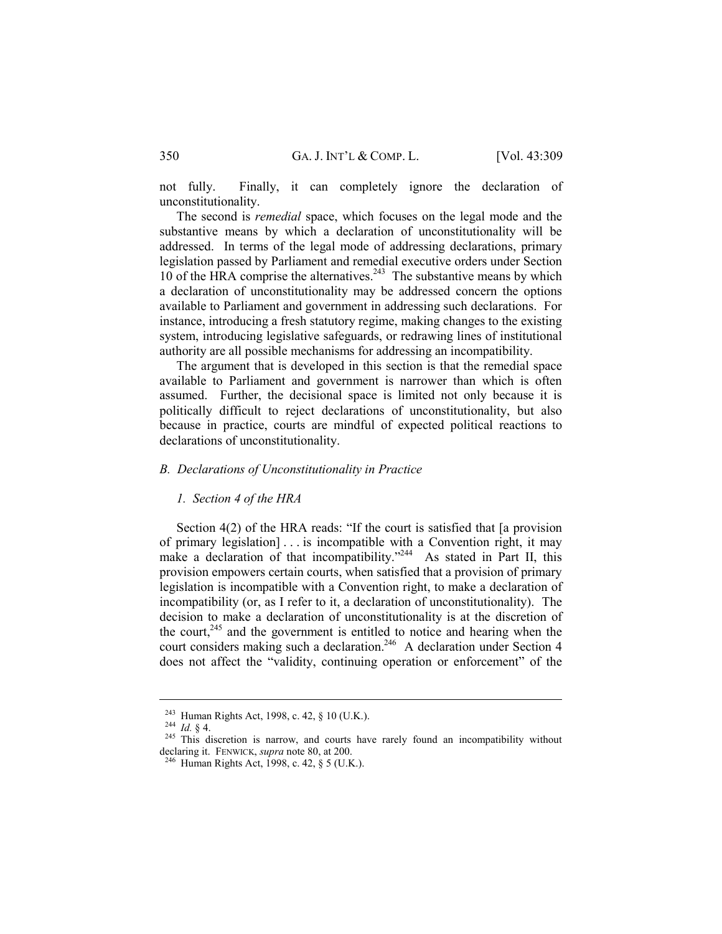not fully. Finally, it can completely ignore the declaration of unconstitutionality.

The second is *remedial* space, which focuses on the legal mode and the substantive means by which a declaration of unconstitutionality will be addressed. In terms of the legal mode of addressing declarations, primary legislation passed by Parliament and remedial executive orders under Section 10 of the HRA comprise the alternatives.<sup>243</sup> The substantive means by which a declaration of unconstitutionality may be addressed concern the options available to Parliament and government in addressing such declarations. For instance, introducing a fresh statutory regime, making changes to the existing system, introducing legislative safeguards, or redrawing lines of institutional authority are all possible mechanisms for addressing an incompatibility.

The argument that is developed in this section is that the remedial space available to Parliament and government is narrower than which is often assumed. Further, the decisional space is limited not only because it is politically difficult to reject declarations of unconstitutionality, but also because in practice, courts are mindful of expected political reactions to declarations of unconstitutionality.

### *B. Declarations of Unconstitutionality in Practice*

*1. Section 4 of the HRA* 

Section 4(2) of the HRA reads: "If the court is satisfied that [a provision of primary legislation] . . . is incompatible with a Convention right, it may make a declaration of that incompatibility."<sup>244</sup> As stated in Part II, this provision empowers certain courts, when satisfied that a provision of primary legislation is incompatible with a Convention right, to make a declaration of incompatibility (or, as I refer to it, a declaration of unconstitutionality). The decision to make a declaration of unconstitutionality is at the discretion of the court, $245$  and the government is entitled to notice and hearing when the court considers making such a declaration.<sup>246</sup> A declaration under Section 4 does not affect the "validity, continuing operation or enforcement" of the

<sup>&</sup>lt;sup>243</sup> Human Rights Act, 1998, c. 42, § 10 (U.K.).<br><sup>244</sup> *Id.* § 4. <sup>245</sup> This discretion is narrow, and courts have rarely found an incompatibility without declaring it. FENWICK, *supra* note 80, at 200.

<sup>&</sup>lt;sup>246</sup> Human Rights Act, 1998, c. 42, § 5 (U.K.).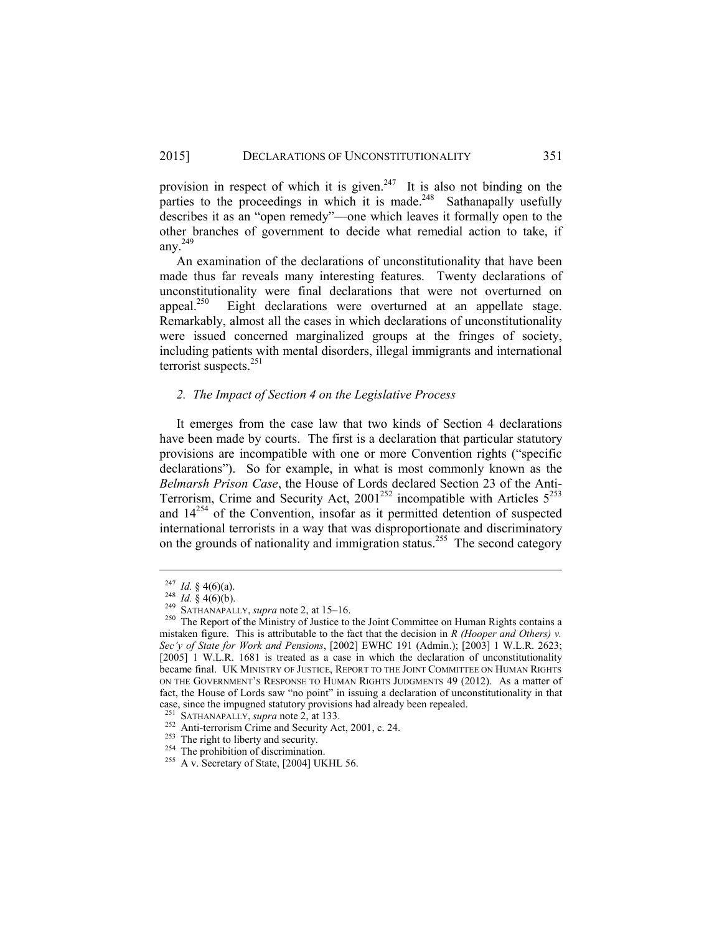provision in respect of which it is given.<sup>247</sup> It is also not binding on the parties to the proceedings in which it is made.<sup>248</sup> Sathanapally usefully describes it as an "open remedy"––one which leaves it formally open to the other branches of government to decide what remedial action to take, if any. $^{249}$ 

An examination of the declarations of unconstitutionality that have been made thus far reveals many interesting features. Twenty declarations of unconstitutionality were final declarations that were not overturned on appeal.<sup>250</sup> Eight declarations were overturned at an appellate stage. Eight declarations were overturned at an appellate stage. Remarkably, almost all the cases in which declarations of unconstitutionality were issued concerned marginalized groups at the fringes of society, including patients with mental disorders, illegal immigrants and international terrorist suspects.251

### *2. The Impact of Section 4 on the Legislative Process*

It emerges from the case law that two kinds of Section 4 declarations have been made by courts. The first is a declaration that particular statutory provisions are incompatible with one or more Convention rights ("specific declarations"). So for example, in what is most commonly known as the *Belmarsh Prison Case*, the House of Lords declared Section 23 of the Anti-Terrorism, Crime and Security Act,  $2001^{252}$  incompatible with Articles  $5^{253}$ and  $14^{254}$  of the Convention, insofar as it permitted detention of suspected international terrorists in a way that was disproportionate and discriminatory on the grounds of nationality and immigration status.<sup>255</sup> The second category

<sup>&</sup>lt;sup>247</sup> *Id.* § 4(6)(a).<br><sup>248</sup> *Id.* § 4(6)(b).<br><sup>249</sup> SATHANAPALLY, *supra* note 2, at 15–16.<br><sup>250</sup> The Report of the Ministry of Justice to the Joint Committee on Human Rights contains a mistaken figure. This is attributable to the fact that the decision in *R (Hooper and Others) v. Sec'y of State for Work and Pensions*, [2002] EWHC 191 (Admin.); [2003] 1 W.L.R. 2623; [2005] 1 W.L.R. 1681 is treated as a case in which the declaration of unconstitutionality became final. UK MINISTRY OF JUSTICE, REPORT TO THE JOINT COMMITTEE ON HUMAN RIGHTS ON THE GOVERNMENT'S RESPONSE TO HUMAN RIGHTS JUDGMENTS 49 (2012). As a matter of fact, the House of Lords saw "no point" in issuing a declaration of unconstitutionality in that case, since the impugned statutory provisions had already been repealed.

<sup>&</sup>lt;sup>251</sup> SATHANAPALLY, *supra* note 2, at 133.<br><sup>252</sup> Anti-terrorism Crime and Security Act, 2001, c. 24.<br><sup>253</sup> The right to liberty and security.<br><sup>254</sup> The prohibition of discrimination.<br><sup>255</sup> A v. Secretary of State, [2004]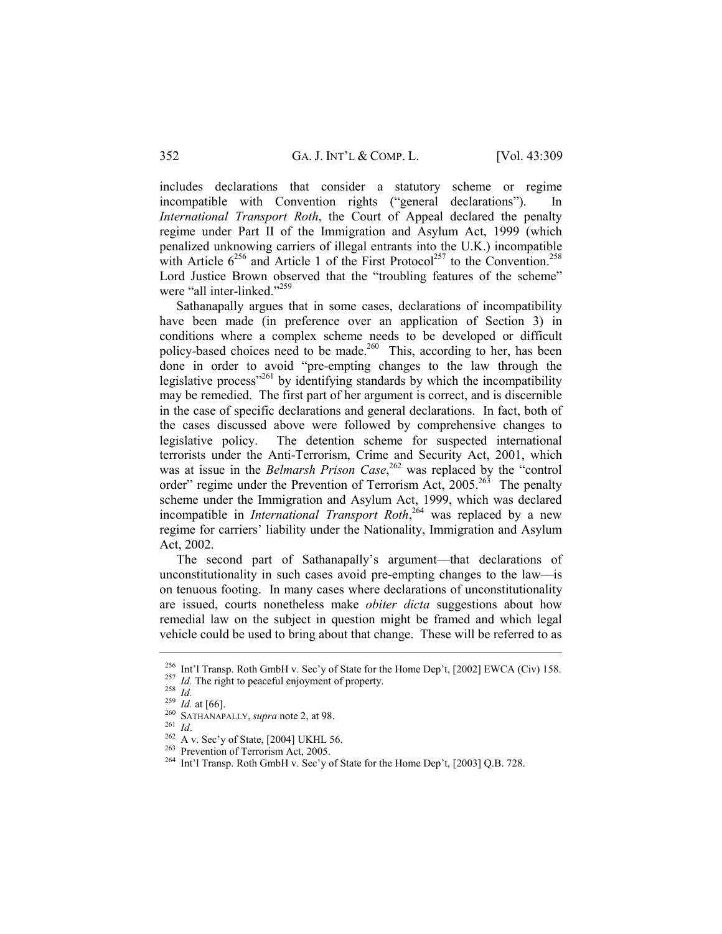includes declarations that consider a statutory scheme or regime incompatible with Convention rights ("general declarations"). *International Transport Roth*, the Court of Appeal declared the penalty regime under Part II of the Immigration and Asylum Act, 1999 (which penalized unknowing carriers of illegal entrants into the U.K.) incompatible with Article  $6^{256}$  and Article 1 of the First Protocol<sup>257</sup> to the Convention.<sup>258</sup> Lord Justice Brown observed that the "troubling features of the scheme" were "all inter-linked."<sup>259</sup>

Sathanapally argues that in some cases, declarations of incompatibility have been made (in preference over an application of Section 3) in conditions where a complex scheme needs to be developed or difficult policy-based choices need to be made.<sup>260</sup> This, according to her, has been done in order to avoid "pre-empting changes to the law through the legislative process"<sup>261</sup> by identifying standards by which the incompatibility may be remedied. The first part of her argument is correct, and is discernible in the case of specific declarations and general declarations. In fact, both of the cases discussed above were followed by comprehensive changes to legislative policy. The detention scheme for suspected international terrorists under the Anti-Terrorism, Crime and Security Act, 2001, which was at issue in the *Belmarsh Prison Case*, 262 was replaced by the "control order" regime under the Prevention of Terrorism Act,  $2005.^{263}$  The penalty scheme under the Immigration and Asylum Act, 1999, which was declared incompatible in *International Transport Roth*, 264 was replaced by a new regime for carriers' liability under the Nationality, Immigration and Asylum Act, 2002.

The second part of Sathanapally's argument––that declarations of unconstitutionality in such cases avoid pre-empting changes to the law––is on tenuous footing. In many cases where declarations of unconstitutionality are issued, courts nonetheless make *obiter dicta* suggestions about how remedial law on the subject in question might be framed and which legal vehicle could be used to bring about that change. These will be referred to as

<sup>&</sup>lt;sup>256</sup> Int'l Transp. Roth GmbH v. Sec'y of State for the Home Dep't, [2002] EWCA (Civ) 158.<br><sup>257</sup> *Id.* The right to peaceful enjoyment of property.<br><sup>258</sup> *Id.* at [66].<br><sup>269</sup> *Id.* at [66].<br><sup>260</sup> SATHANAPALLY, *supra* not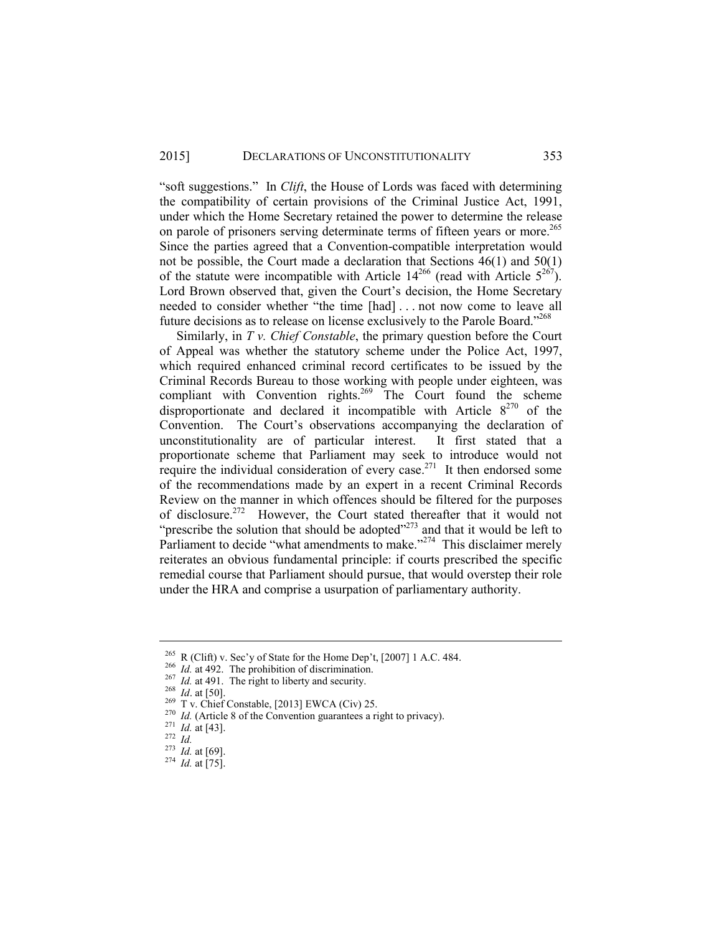"soft suggestions." In *Clift*, the House of Lords was faced with determining the compatibility of certain provisions of the Criminal Justice Act, 1991, under which the Home Secretary retained the power to determine the release on parole of prisoners serving determinate terms of fifteen years or more.<sup>265</sup> Since the parties agreed that a Convention-compatible interpretation would not be possible, the Court made a declaration that Sections 46(1) and 50(1) of the statute were incompatible with Article  $14^{266}$  (read with Article  $5^{267}$ ). Lord Brown observed that, given the Court's decision, the Home Secretary needed to consider whether "the time [had] . . . not now come to leave all future decisions as to release on license exclusively to the Parole Board."268

Similarly, in *T v. Chief Constable*, the primary question before the Court of Appeal was whether the statutory scheme under the Police Act, 1997, which required enhanced criminal record certificates to be issued by the Criminal Records Bureau to those working with people under eighteen, was compliant with Convention rights.<sup>269</sup> The Court found the scheme disproportionate and declared it incompatible with Article  $8^{270}$  of the Convention. The Court's observations accompanying the declaration of unconstitutionality are of particular interest. It first stated that a proportionate scheme that Parliament may seek to introduce would not require the individual consideration of every case.<sup>271</sup> It then endorsed some of the recommendations made by an expert in a recent Criminal Records Review on the manner in which offences should be filtered for the purposes of disclosure.272 However, the Court stated thereafter that it would not "prescribe the solution that should be adopted"<sup>273</sup> and that it would be left to Parliament to decide "what amendments to make."<sup>274</sup> This disclaimer merely reiterates an obvious fundamental principle: if courts prescribed the specific remedial course that Parliament should pursue, that would overstep their role under the HRA and comprise a usurpation of parliamentary authority.

<sup>&</sup>lt;sup>265</sup> R (Clift) v. Sec'y of State for the Home Dep't, [2007] 1 A.C. 484.<br><sup>266</sup> *Id.* at 492. The prohibition of discrimination.<br><sup>267</sup> *Id.* at 491. The right to liberty and security.<br><sup>268</sup> *Id.* at [50].<br><sup>269</sup> T v. Chief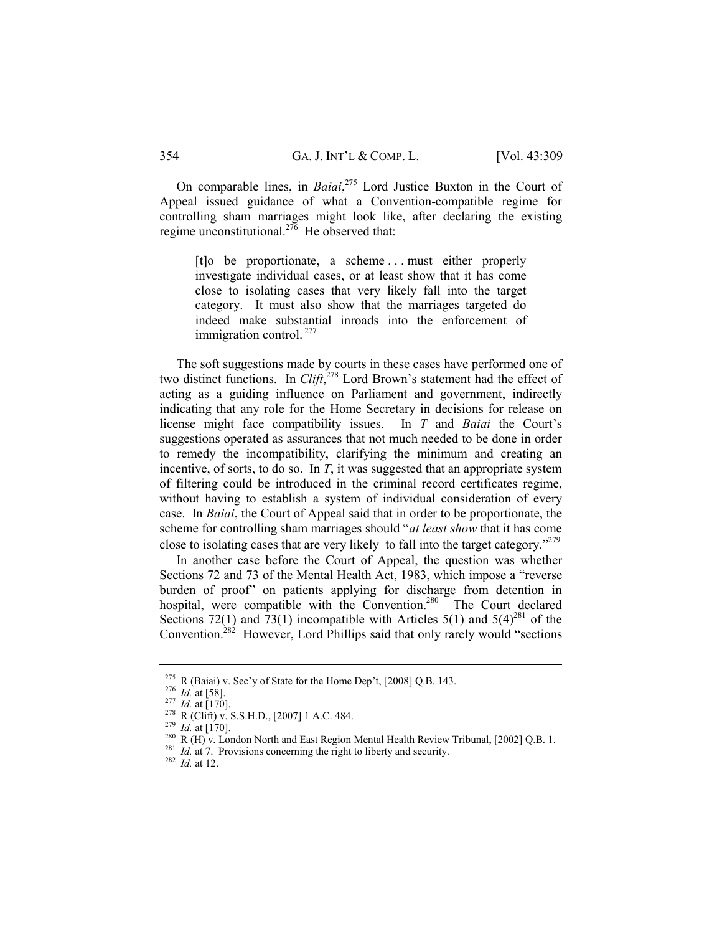On comparable lines, in *Baiai*, 275 Lord Justice Buxton in the Court of Appeal issued guidance of what a Convention-compatible regime for controlling sham marriages might look like, after declaring the existing regime unconstitutional.<sup>276</sup> He observed that:

[t]o be proportionate, a scheme . . . must either properly investigate individual cases, or at least show that it has come close to isolating cases that very likely fall into the target category. It must also show that the marriages targeted do indeed make substantial inroads into the enforcement of immigration control. 277

The soft suggestions made by courts in these cases have performed one of two distinct functions. In *Clift*, 278 Lord Brown's statement had the effect of acting as a guiding influence on Parliament and government, indirectly indicating that any role for the Home Secretary in decisions for release on license might face compatibility issues. In *T* and *Baiai* the Court's suggestions operated as assurances that not much needed to be done in order to remedy the incompatibility, clarifying the minimum and creating an incentive, of sorts, to do so. In *T*, it was suggested that an appropriate system of filtering could be introduced in the criminal record certificates regime, without having to establish a system of individual consideration of every case. In *Baiai*, the Court of Appeal said that in order to be proportionate, the scheme for controlling sham marriages should "*at least show* that it has come close to isolating cases that are very likely to fall into the target category."<sup>279</sup>

In another case before the Court of Appeal, the question was whether Sections 72 and 73 of the Mental Health Act, 1983, which impose a "reverse burden of proof" on patients applying for discharge from detention in hospital, were compatible with the Convention.<sup>280</sup> The Court declared Sections 72(1) and 73(1) incompatible with Articles 5(1) and  $5(4)^{281}$  of the Convention.<sup>282</sup> However, Lord Phillips said that only rarely would "sections"

<sup>&</sup>lt;sup>275</sup> R (Baiai) v. Sec'y of State for the Home Dep't, [2008] Q.B. 143.<br><sup>276</sup> *Id.* at [58].<br><sup>277</sup> *Id.* at [170].<br><sup>278</sup> R (Clift) v. S.S.H.D., [2007] 1 A.C. 484.<br><sup>279</sup> *Id.* at [170].<br><sup>280</sup> R (H) v. London North and East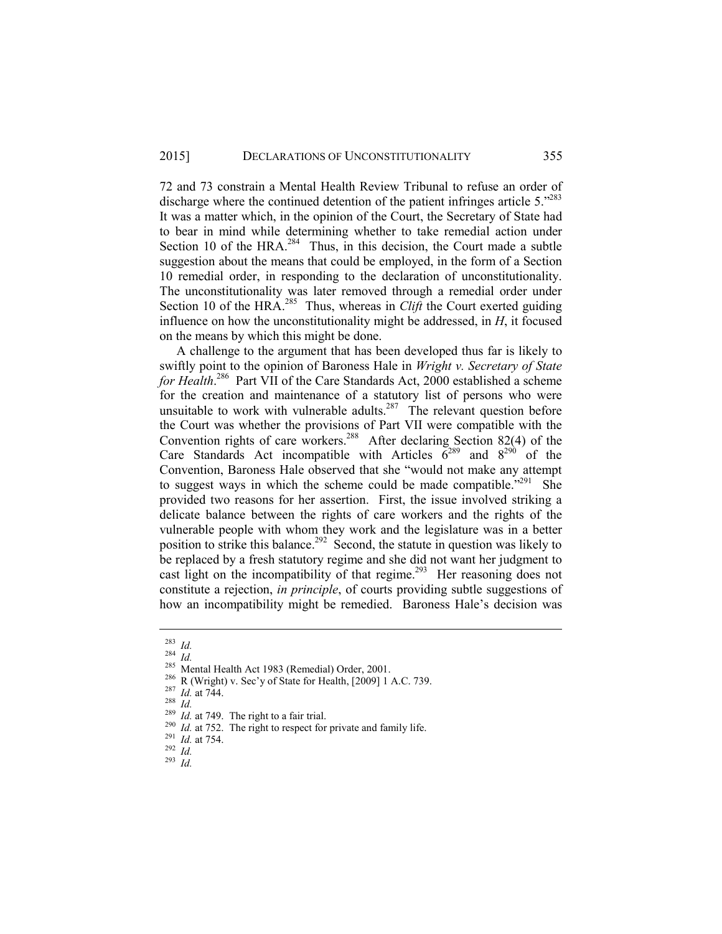72 and 73 constrain a Mental Health Review Tribunal to refuse an order of discharge where the continued detention of the patient infringes article 5.<sup>7283</sup> It was a matter which, in the opinion of the Court, the Secretary of State had to bear in mind while determining whether to take remedial action under Section 10 of the HRA. $^{284}$  Thus, in this decision, the Court made a subtle suggestion about the means that could be employed, in the form of a Section 10 remedial order, in responding to the declaration of unconstitutionality. The unconstitutionality was later removed through a remedial order under Section 10 of the HRA.<sup>285</sup> Thus, whereas in *Clift* the Court exerted guiding influence on how the unconstitutionality might be addressed, in *H*, it focused on the means by which this might be done.

A challenge to the argument that has been developed thus far is likely to swiftly point to the opinion of Baroness Hale in *Wright v. Secretary of State*  for Health.<sup>286</sup> Part VII of the Care Standards Act, 2000 established a scheme for the creation and maintenance of a statutory list of persons who were unsuitable to work with vulnerable adults.<sup>287</sup> The relevant question before the Court was whether the provisions of Part VII were compatible with the Convention rights of care workers.<sup>288</sup> After declaring Section 82(4) of the Care Standards Act incompatible with Articles  $\vec{6}^{289}$  and  $8^{290}$  of the Convention, Baroness Hale observed that she "would not make any attempt to suggest ways in which the scheme could be made compatible." $291$  She provided two reasons for her assertion. First, the issue involved striking a delicate balance between the rights of care workers and the rights of the vulnerable people with whom they work and the legislature was in a better position to strike this balance.<sup>292</sup> Second, the statute in question was likely to be replaced by a fresh statutory regime and she did not want her judgment to cast light on the incompatibility of that regime.<sup>293</sup> Her reasoning does not constitute a rejection, *in principle*, of courts providing subtle suggestions of how an incompatibility might be remedied. Baroness Hale's decision was

<sup>&</sup>lt;sup>283</sup> *Id.*<br>
<sup>284</sup> *Id.*<br>
<sup>285</sup> Mental Health Act 1983 (Remedial) Order, 2001.<br>
<sup>286</sup> R (Wright) v. Sec'y of State for Health, [2009] 1 A.C. 739.<br>
<sup>287</sup> *Id.* at 744.<br>
<sup>289</sup> *Id.* at 749. The right to a fair trial.<br>
<sup>290</sup>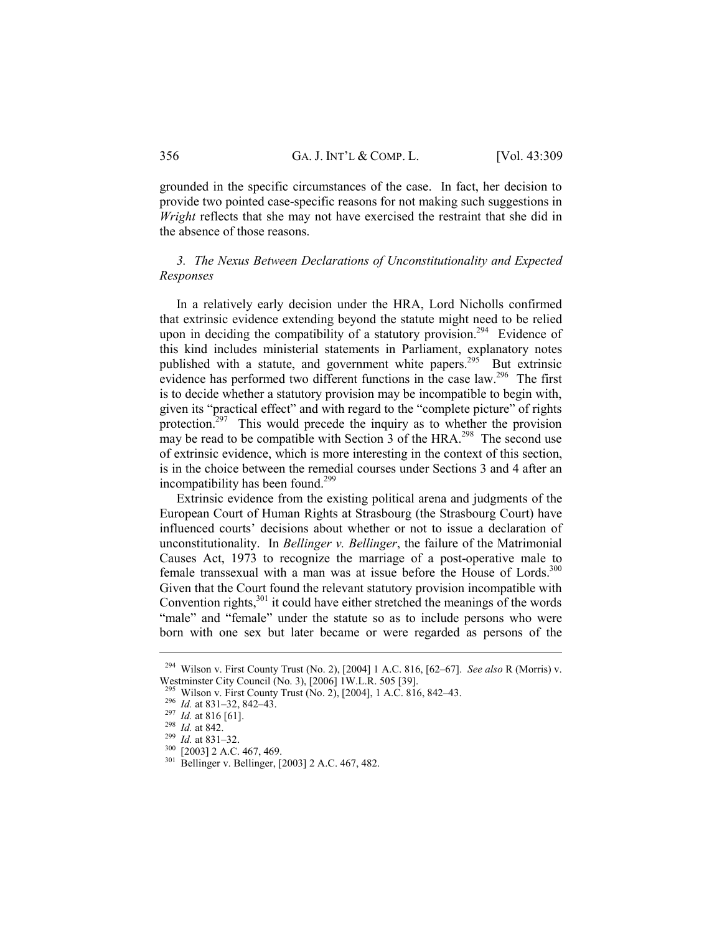grounded in the specific circumstances of the case. In fact, her decision to provide two pointed case-specific reasons for not making such suggestions in *Wright* reflects that she may not have exercised the restraint that she did in the absence of those reasons.

# *3. The Nexus Between Declarations of Unconstitutionality and Expected Responses*

In a relatively early decision under the HRA, Lord Nicholls confirmed that extrinsic evidence extending beyond the statute might need to be relied upon in deciding the compatibility of a statutory provision.<sup>294</sup> Evidence of this kind includes ministerial statements in Parliament, explanatory notes published with a statute, and government white papers.<sup>295</sup> But extrinsic evidence has performed two different functions in the case law.<sup>296</sup> The first is to decide whether a statutory provision may be incompatible to begin with, given its "practical effect" and with regard to the "complete picture" of rights protection.<sup>297</sup> This would precede the inquiry as to whether the provision may be read to be compatible with Section  $3$  of the HRA.<sup>298</sup> The second use of extrinsic evidence, which is more interesting in the context of this section, is in the choice between the remedial courses under Sections 3 and 4 after an incompatibility has been found.<sup>299</sup>

Extrinsic evidence from the existing political arena and judgments of the European Court of Human Rights at Strasbourg (the Strasbourg Court) have influenced courts' decisions about whether or not to issue a declaration of unconstitutionality. In *Bellinger v. Bellinger*, the failure of the Matrimonial Causes Act, 1973 to recognize the marriage of a post-operative male to female transsexual with a man was at issue before the House of Lords.<sup>300</sup> Given that the Court found the relevant statutory provision incompatible with Convention rights, $301$  it could have either stretched the meanings of the words "male" and "female" under the statute so as to include persons who were born with one sex but later became or were regarded as persons of the

<sup>294</sup> Wilson v. First County Trust (No. 2), [2004] 1 A.C. 816, [62–67]. *See also* R (Morris) v. Westminster City Council (No. 3), [2006] 1W.L.R. 505 [39].

<sup>&</sup>lt;sup>295</sup> Wilson v. First County Trust (No. 2), [2004], 1 A.C. 816, 842–43.<br>
<sup>296</sup> *Id.* at 831–32, 842–43.<br>
<sup>297</sup> *Id.* at 816 [61].<br>
<sup>298</sup> *Id.* at 842.<br>
<sup>299</sup> *Id.* at 842.<br>
<sup>299</sup> *Id.* at 831–32.<br>
<sup>300</sup> [2003] 2 A.C. 467,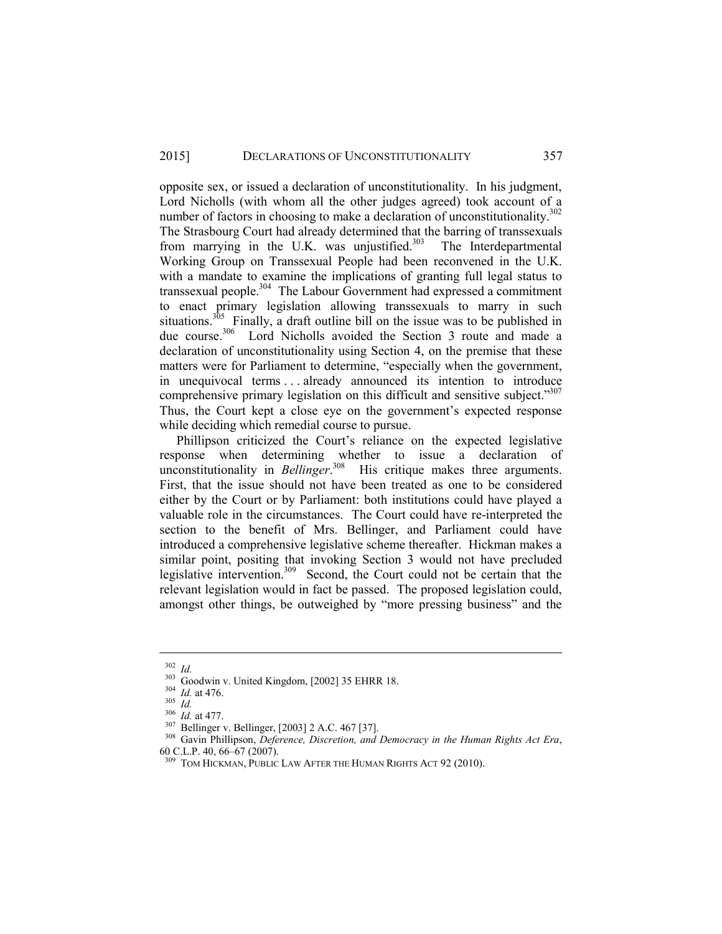opposite sex, or issued a declaration of unconstitutionality. In his judgment, Lord Nicholls (with whom all the other judges agreed) took account of a number of factors in choosing to make a declaration of unconstitutionality.<sup>302</sup> The Strasbourg Court had already determined that the barring of transsexuals from marrying in the U.K. was unjustified.<sup>303</sup> The Interdepartmental Working Group on Transsexual People had been reconvened in the U.K. with a mandate to examine the implications of granting full legal status to transsexual people.<sup>304</sup> The Labour Government had expressed a commitment to enact primary legislation allowing transsexuals to marry in such situations.<sup>305</sup> Finally, a draft outline bill on the issue was to be published in due course.<sup>306</sup> Lord Nicholls avoided the Section 3 route and made a declaration of unconstitutionality using Section 4, on the premise that these matters were for Parliament to determine, "especially when the government, in unequivocal terms . . . already announced its intention to introduce comprehensive primary legislation on this difficult and sensitive subject."307 Thus, the Court kept a close eye on the government's expected response while deciding which remedial course to pursue.

Phillipson criticized the Court's reliance on the expected legislative response when determining whether to issue a declaration of unconstitutionality in *Bellinger*.<sup>308</sup> His critique makes three arguments. First, that the issue should not have been treated as one to be considered either by the Court or by Parliament: both institutions could have played a valuable role in the circumstances. The Court could have re-interpreted the section to the benefit of Mrs. Bellinger, and Parliament could have introduced a comprehensive legislative scheme thereafter. Hickman makes a similar point, positing that invoking Section 3 would not have precluded legislative intervention.<sup>309</sup> Second, the Court could not be certain that the relevant legislation would in fact be passed. The proposed legislation could, amongst other things, be outweighed by "more pressing business" and the

<sup>&</sup>lt;sup>302</sup> *Id.*<br>
<sup>303</sup> Goodwin v. United Kingdom, [2002] 35 EHRR 18.<br>
<sup>304</sup> *Id.* at 476.<br>
<sup>305</sup> *Id.*<br>
<sup>306</sup> *Id.* at 477.<br>
<sup>307</sup> Bellinger v. Bellinger, [2003] 2 A.C. 467 [37].<br>
<sup>307</sup> Bellinger v. Bellinger, [2003] 2 A.C. 4 60 C.L.P. 40, 66–67 (2007).

 $^{309}$  Tom Hickman, Public Law After the Human Rights Act 92 (2010).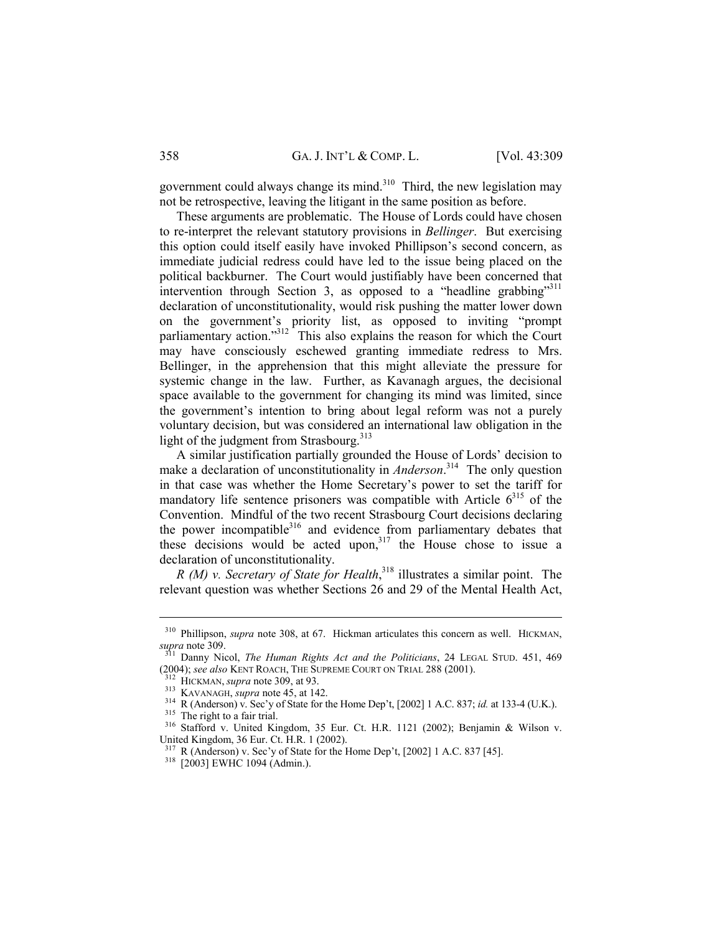government could always change its mind. $310$  Third, the new legislation may not be retrospective, leaving the litigant in the same position as before.

These arguments are problematic. The House of Lords could have chosen to re-interpret the relevant statutory provisions in *Bellinger*. But exercising this option could itself easily have invoked Phillipson's second concern, as immediate judicial redress could have led to the issue being placed on the political backburner. The Court would justifiably have been concerned that intervention through Section 3, as opposed to a "headline grabbing"<sup>311</sup> declaration of unconstitutionality, would risk pushing the matter lower down on the government's priority list, as opposed to inviting "prompt parliamentary action."<sup>312</sup> This also explains the reason for which the Court may have consciously eschewed granting immediate redress to Mrs. Bellinger, in the apprehension that this might alleviate the pressure for systemic change in the law. Further, as Kavanagh argues, the decisional space available to the government for changing its mind was limited, since the government's intention to bring about legal reform was not a purely voluntary decision, but was considered an international law obligation in the light of the judgment from Strasbourg. $313$ 

A similar justification partially grounded the House of Lords' decision to make a declaration of unconstitutionality in *Anderson*<sup>314</sup> The only question in that case was whether the Home Secretary's power to set the tariff for mandatory life sentence prisoners was compatible with Article  $6^{315}$  of the Convention. Mindful of the two recent Strasbourg Court decisions declaring the power incompatible<sup>316</sup> and evidence from parliamentary debates that these decisions would be acted upon,  $317$  the House chose to issue a declaration of unconstitutionality.

*R (M) v. Secretary of State for Health*, 318 illustrates a similar point. The relevant question was whether Sections 26 and 29 of the Mental Health Act,

<sup>&</sup>lt;sup>310</sup> Phillipson, *supra* note 308, at 67. Hickman articulates this concern as well. HICKMAN,

*supra* note 309.<br><sup>311</sup> Danny Nicol, *The Human Rights Act and the Politicians*, 24 LEGAL STUD. 451, 469<br>(2004); *see also* KENT ROACH, THE SUPREME COURT ON TRIAL 288 (2001).

<sup>&</sup>lt;sup>312</sup> HICKMAN, *supra* note 309, at 93.<br><sup>313</sup> KAVANAGH, *supra* note 45, at 142.<br><sup>314</sup> R (Anderson) v. Sec'y of State for the Home Dep't, [2002] 1 A.C. 837; *id.* at 133-4 (U.K.).<br><sup>315</sup> The right to a fair trial.<br><sup>316</sup> St United Kingdom, 36 Eur. Ct. H.R. 1 (2002).

 $317$  R (Anderson) v. Sec'y of State for the Home Dep't, [2002] 1 A.C. 837 [45].<br><sup>318</sup> [2003] EWHC 1094 (Admin.).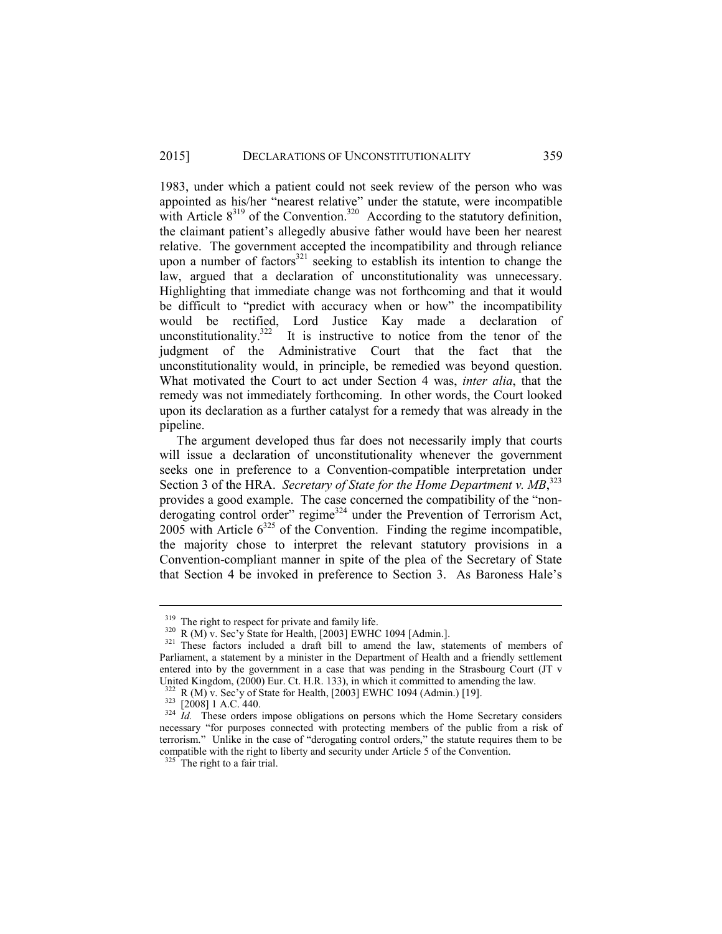1983, under which a patient could not seek review of the person who was appointed as his/her "nearest relative" under the statute, were incompatible with Article  $8^{319}$  of the Convention.<sup>320</sup> According to the statutory definition, the claimant patient's allegedly abusive father would have been her nearest relative. The government accepted the incompatibility and through reliance upon a number of factors<sup>321</sup> seeking to establish its intention to change the law, argued that a declaration of unconstitutionality was unnecessary. Highlighting that immediate change was not forthcoming and that it would be difficult to "predict with accuracy when or how" the incompatibility would be rectified, Lord Justice Kay made a declaration of unconstitutionality.<sup>322</sup> It is instructive to notice from the tenor of the judgment of the Administrative Court that the fact that the unconstitutionality would, in principle, be remedied was beyond question. What motivated the Court to act under Section 4 was, *inter alia*, that the remedy was not immediately forthcoming. In other words, the Court looked upon its declaration as a further catalyst for a remedy that was already in the pipeline.

The argument developed thus far does not necessarily imply that courts will issue a declaration of unconstitutionality whenever the government seeks one in preference to a Convention-compatible interpretation under Section 3 of the HRA. *Secretary of State for the Home Department v. MB*,<sup>323</sup> provides a good example. The case concerned the compatibility of the "nonderogating control order" regime<sup>324</sup> under the Prevention of Terrorism Act,  $2005$  with Article  $6^{325}$  of the Convention. Finding the regime incompatible, the majority chose to interpret the relevant statutory provisions in a Convention-compliant manner in spite of the plea of the Secretary of State that Section 4 be invoked in preference to Section 3. As Baroness Hale's

<sup>&</sup>lt;sup>319</sup> The right to respect for private and family life.<br><sup>320</sup> R (M) v. Sec'y State for Health, [2003] EWHC 1094 [Admin.].<br><sup>321</sup> These factors included a draft bill to amend the law, statements of members of Parliament, a statement by a minister in the Department of Health and a friendly settlement entered into by the government in a case that was pending in the Strasbourg Court (JT v United Kingdom, (2000) Eur. Ct. H.R. 133), in which it committed to amending the law.<br><sup>322</sup> R (M) v. Sec'y of State for Health, [2003] EWHC 1094 (Admin.) [19].

<sup>&</sup>lt;sup>323</sup> [2008] 1 A.C. 440.<br><sup>324</sup> *Id.* These orders impose obligations on persons which the Home Secretary considers necessary "for purposes connected with protecting members of the public from a risk of terrorism." Unlike in the case of "derogating control orders," the statute requires them to be compatible with the right to liberty and security under Article 5 of the Convention.

 $325$  The right to a fair trial.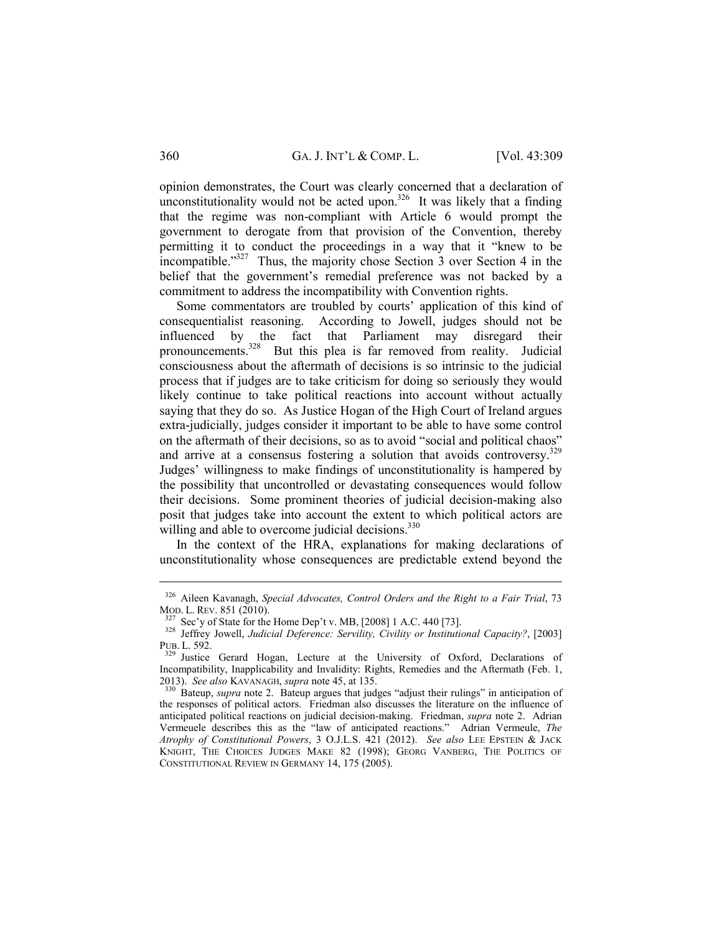opinion demonstrates, the Court was clearly concerned that a declaration of unconstitutionality would not be acted upon.<sup>326</sup> It was likely that a finding that the regime was non-compliant with Article 6 would prompt the government to derogate from that provision of the Convention, thereby permitting it to conduct the proceedings in a way that it "knew to be incompatible." $327$  Thus, the majority chose Section 3 over Section 4 in the belief that the government's remedial preference was not backed by a commitment to address the incompatibility with Convention rights.

Some commentators are troubled by courts' application of this kind of consequentialist reasoning. According to Jowell, judges should not be influenced by the fact that Parliament may disregard their pronouncements.<sup>328</sup> But this plea is far removed from reality. Judicial consciousness about the aftermath of decisions is so intrinsic to the judicial process that if judges are to take criticism for doing so seriously they would likely continue to take political reactions into account without actually saying that they do so. As Justice Hogan of the High Court of Ireland argues extra-judicially, judges consider it important to be able to have some control on the aftermath of their decisions, so as to avoid "social and political chaos" and arrive at a consensus fostering a solution that avoids controversy.<sup>329</sup> Judges' willingness to make findings of unconstitutionality is hampered by the possibility that uncontrolled or devastating consequences would follow their decisions. Some prominent theories of judicial decision-making also posit that judges take into account the extent to which political actors are willing and able to overcome judicial decisions.<sup>330</sup>

In the context of the HRA, explanations for making declarations of unconstitutionality whose consequences are predictable extend beyond the

<sup>326</sup> Aileen Kavanagh, *Special Advocates, Control Orders and the Right to a Fair Trial*, 73 MOD. L. REV. 851 (2010).<br><sup>327</sup> Sec'y of State for the Home Dep't v. MB, [2008] 1 A.C. 440 [73].<br><sup>328</sup> Jeffrey Jowell, *Judicial Deference: Servility, Civility or Institutional Capacity?*, [2003]

PUB. L. 592.<br><sup>329</sup> Justice Gerard Hogan, Lecture at the University of Oxford, Declarations of

Incompatibility, Inapplicability and Invalidity: Rights, Remedies and the Aftermath (Feb. 1,

<sup>2013).</sup> *See also* KAVANAGH, *supra* note 45, at 135. 330 Bateup, *supra* note 2. Bateup argues that judges "adjust their rulings" in anticipation of the responses of political actors. Friedman also discusses the literature on the influence of anticipated political reactions on judicial decision-making. Friedman, *supra* note 2. Adrian Vermeuele describes this as the "law of anticipated reactions." Adrian Vermeule, *The Atrophy of Constitutional Powers*, 3 O.J.L.S. 421 (2012). *See also* LEE EPSTEIN & JACK KNIGHT, THE CHOICES JUDGES MAKE 82 (1998); GEORG VANBERG, THE POLITICS OF CONSTITUTIONAL REVIEW IN GERMANY 14, 175 (2005).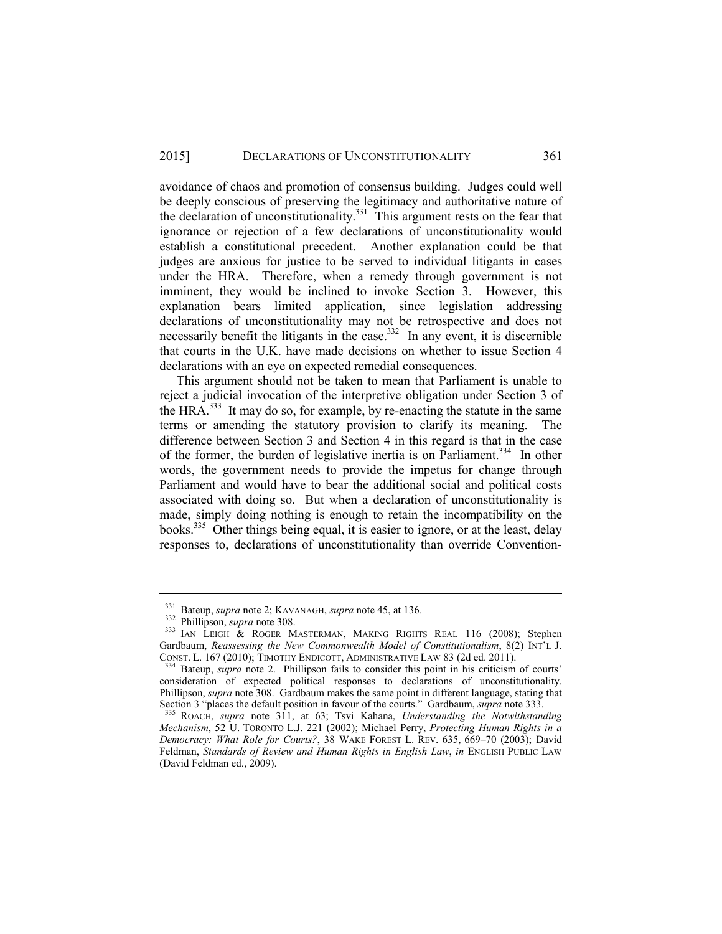avoidance of chaos and promotion of consensus building. Judges could well be deeply conscious of preserving the legitimacy and authoritative nature of the declaration of unconstitutionality.<sup>331</sup> This argument rests on the fear that ignorance or rejection of a few declarations of unconstitutionality would establish a constitutional precedent. Another explanation could be that judges are anxious for justice to be served to individual litigants in cases under the HRA. Therefore, when a remedy through government is not imminent, they would be inclined to invoke Section 3. However, this explanation bears limited application, since legislation addressing declarations of unconstitutionality may not be retrospective and does not necessarily benefit the litigants in the case.<sup>332</sup> In any event, it is discernible that courts in the U.K. have made decisions on whether to issue Section 4 declarations with an eye on expected remedial consequences.

This argument should not be taken to mean that Parliament is unable to reject a judicial invocation of the interpretive obligation under Section 3 of the HRA.<sup>333</sup> It may do so, for example, by re-enacting the statute in the same terms or amending the statutory provision to clarify its meaning. The difference between Section 3 and Section 4 in this regard is that in the case of the former, the burden of legislative inertia is on Parliament.<sup>334</sup> In other words, the government needs to provide the impetus for change through Parliament and would have to bear the additional social and political costs associated with doing so. But when a declaration of unconstitutionality is made, simply doing nothing is enough to retain the incompatibility on the books.335 Other things being equal, it is easier to ignore, or at the least, delay responses to, declarations of unconstitutionality than override Convention-

<sup>&</sup>lt;sup>331</sup> Bateup, *supra* note 2; KAVANAGH, *supra* note 45, at 136.<br><sup>332</sup> Phillipson, *supra* note 308.<br><sup>333</sup> IAN LEIGH & ROGER MASTERMAN, MAKING RIGHTS REAL 116 (2008); Stephen Gardbaum, *Reassessing the New Commonwealth Model of Constitutionalism*, 8(2) INT'L J. CONST. L. 167 (2010); TIMOTHY ENDICOTT, ADMINISTRATIVE LAW 83 (2d ed. 2011).

<sup>&</sup>lt;sup>334</sup> Bateup, *supra* note 2. Phillipson fails to consider this point in his criticism of courts' consideration of expected political responses to declarations of unconstitutionality. Phillipson, *supra* note 308. Gardbaum makes the same point in different language, stating that Section 3 "places the default position in favour of the courts." Gardbaum, *supra* note 333.

<sup>&</sup>lt;sup>335</sup> ROACH, *supra* note 311, at 63; Tsvi Kahana, *Understanding the Notwithstanding Mechanism*, 52 U. TORONTO L.J. 221 (2002); Michael Perry, *Protecting Human Rights in a Democracy: What Role for Courts?*, 38 WAKE FOREST L. REV. 635, 669–70 (2003); David Feldman, *Standards of Review and Human Rights in English Law*, *in* ENGLISH PUBLIC LAW (David Feldman ed., 2009).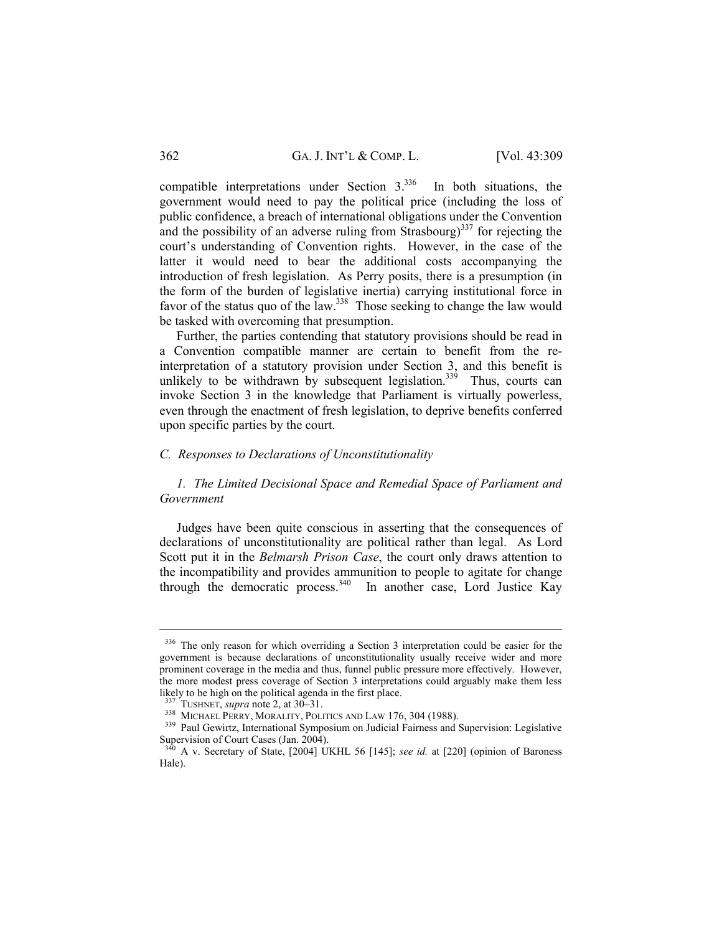compatible interpretations under Section 3.<sup>336</sup> In both situations, the government would need to pay the political price (including the loss of public confidence, a breach of international obligations under the Convention and the possibility of an adverse ruling from Strasbourg)<sup>337</sup> for rejecting the court's understanding of Convention rights. However, in the case of the latter it would need to bear the additional costs accompanying the introduction of fresh legislation. As Perry posits, there is a presumption (in the form of the burden of legislative inertia) carrying institutional force in favor of the status quo of the law.<sup>338</sup> Those seeking to change the law would be tasked with overcoming that presumption.

Further, the parties contending that statutory provisions should be read in a Convention compatible manner are certain to benefit from the reinterpretation of a statutory provision under Section 3, and this benefit is unlikely to be withdrawn by subsequent legislation.<sup>339</sup> Thus, courts can invoke Section 3 in the knowledge that Parliament is virtually powerless, even through the enactment of fresh legislation, to deprive benefits conferred upon specific parties by the court.

### *C. Responses to Declarations of Unconstitutionality*

## *1. The Limited Decisional Space and Remedial Space of Parliament and Government*

Judges have been quite conscious in asserting that the consequences of declarations of unconstitutionality are political rather than legal. As Lord Scott put it in the *Belmarsh Prison Case*, the court only draws attention to the incompatibility and provides ammunition to people to agitate for change through the democratic process.<sup>340</sup> In another case, Lord Justice Kay

<sup>&</sup>lt;sup>336</sup> The only reason for which overriding a Section 3 interpretation could be easier for the government is because declarations of unconstitutionality usually receive wider and more prominent coverage in the media and thus, funnel public pressure more effectively. However, the more modest press coverage of Section 3 interpretations could arguably make them less likely to be high on the political agenda in the first place.<br> $337$  TUSHNET, *supra* note 2, at  $30-31$ .

<sup>337</sup> TUSHNET, *supra* note 2, at 30–31. 338 MICHAEL PERRY, MORALITY, POLITICS AND LAW 176, 304 (1988). 339 Paul Gewirtz, International Symposium on Judicial Fairness and Supervision: Legislative Supervision of Court Cases (Jan. 2004).

<sup>340</sup> A v. Secretary of State, [2004] UKHL 56 [145]; *see id.* at [220] (opinion of Baroness Hale).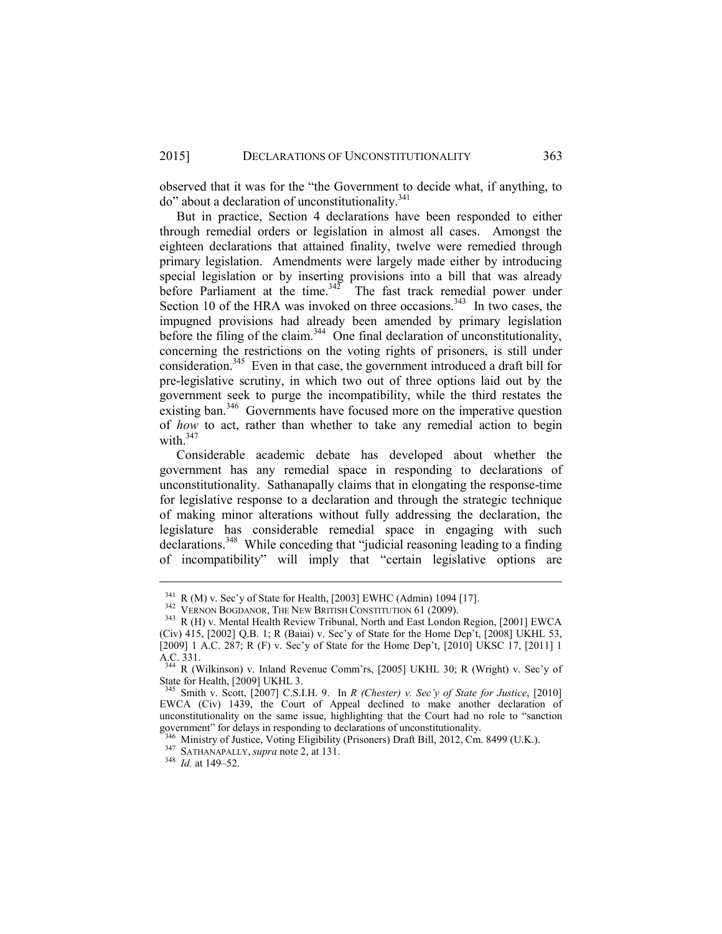observed that it was for the "the Government to decide what, if anything, to do" about a declaration of unconstitutionality.<sup>341</sup>

But in practice, Section 4 declarations have been responded to either through remedial orders or legislation in almost all cases. Amongst the eighteen declarations that attained finality, twelve were remedied through primary legislation. Amendments were largely made either by introducing special legislation or by inserting provisions into a bill that was already before Parliament at the time. $342$  The fast track remedial power under Section 10 of the HRA was invoked on three occasions.<sup>343</sup> In two cases, the impugned provisions had already been amended by primary legislation before the filing of the claim.<sup>344</sup> One final declaration of unconstitutionality, concerning the restrictions on the voting rights of prisoners, is still under consideration.345 Even in that case, the government introduced a draft bill for pre-legislative scrutiny, in which two out of three options laid out by the government seek to purge the incompatibility, while the third restates the existing ban.<sup>346</sup> Governments have focused more on the imperative question of *how* to act, rather than whether to take any remedial action to begin with.<sup>347</sup>

Considerable academic debate has developed about whether the government has any remedial space in responding to declarations of unconstitutionality. Sathanapally claims that in elongating the response-time for legislative response to a declaration and through the strategic technique of making minor alterations without fully addressing the declaration, the legislature has considerable remedial space in engaging with such declarations.348 While conceding that "judicial reasoning leading to a finding of incompatibility" will imply that "certain legislative options are

<sup>&</sup>lt;sup>341</sup> R (M) v. Sec'y of State for Health, [2003] EWHC (Admin) 1094 [17].<br><sup>342</sup> VERNON BOGDANOR, THE NEW BRITISH CONSTITUTION 61 (2009).<br><sup>343</sup> R (H) v. Mental Health Review Tribunal, North and East London Region, [2001] EW (Civ) 415, [2002] Q.B. 1; R (Baiai) v. Sec'y of State for the Home Dep't, [2008] UKHL 53, [2009] 1 A.C. 287; R (F) v. Sec'y of State for the Home Dep't, [2010] UKSC 17, [2011] 1 A.C. 331.

<sup>344</sup> R (Wilkinson) v. Inland Revenue Comm'rs, [2005] UKHL 30; R (Wright) v. Sec'y of State for Health, [2009] UKHL 3.

<sup>345</sup> Smith v. Scott, [2007] C.S.I.H. 9. In *R (Chester) v. Sec'y of State for Justice*, [2010] EWCA (Civ) 1439, the Court of Appeal declined to make another declaration of unconstitutionality on the same issue, highlighting that the Court had no role to "sanction government" for delays in responding to declarations of unconstitutionality.

<sup>346</sup> Ministry of Justice, Voting Eligibility (Prisoners) Draft Bill, 2012, Cm. 8499 (U.K.). 347 SATHANAPALLY, *supra* note 2, at 131. 348 *Id.* at 149–52.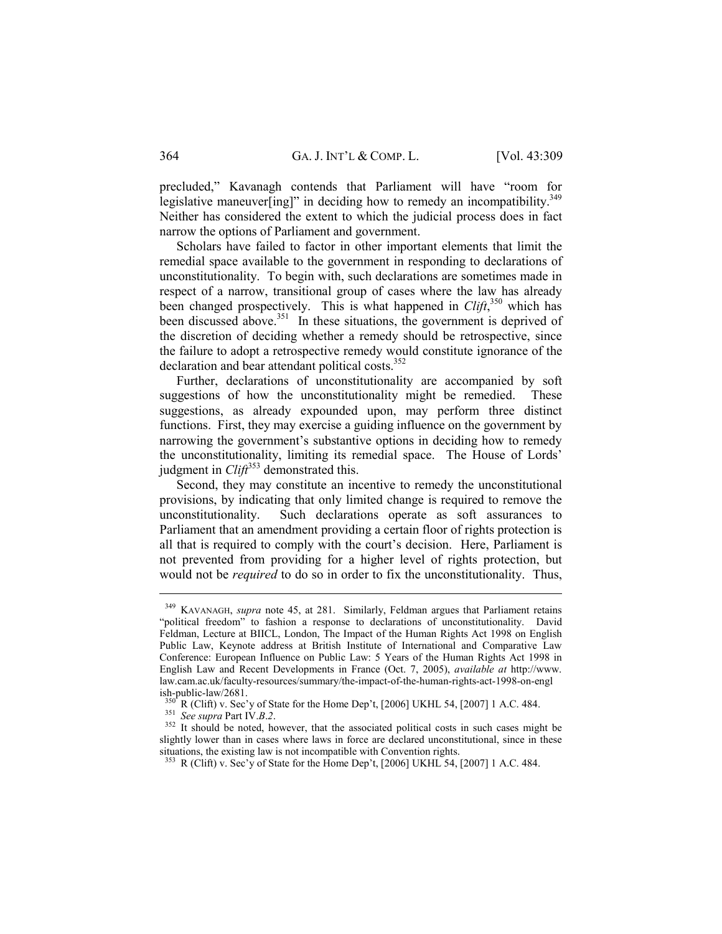precluded," Kavanagh contends that Parliament will have "room for legislative maneuver[ing]" in deciding how to remedy an incompatibility.<sup>349</sup> Neither has considered the extent to which the judicial process does in fact narrow the options of Parliament and government.

Scholars have failed to factor in other important elements that limit the remedial space available to the government in responding to declarations of unconstitutionality. To begin with, such declarations are sometimes made in respect of a narrow, transitional group of cases where the law has already been changed prospectively. This is what happened in *Clift*,<sup>350</sup> which has been discussed above.<sup>351</sup> In these situations, the government is deprived of the discretion of deciding whether a remedy should be retrospective, since the failure to adopt a retrospective remedy would constitute ignorance of the declaration and bear attendant political costs.<sup>352</sup>

Further, declarations of unconstitutionality are accompanied by soft suggestions of how the unconstitutionality might be remedied. These suggestions, as already expounded upon, may perform three distinct functions. First, they may exercise a guiding influence on the government by narrowing the government's substantive options in deciding how to remedy the unconstitutionality, limiting its remedial space. The House of Lords' judgment in *Clift*<sup>353</sup> demonstrated this.

Second, they may constitute an incentive to remedy the unconstitutional provisions, by indicating that only limited change is required to remove the unconstitutionality. Such declarations operate as soft assurances to Parliament that an amendment providing a certain floor of rights protection is all that is required to comply with the court's decision. Here, Parliament is not prevented from providing for a higher level of rights protection, but would not be *required* to do so in order to fix the unconstitutionality. Thus,

<sup>349</sup> KAVANAGH, *supra* note 45, at 281. Similarly, Feldman argues that Parliament retains "political freedom" to fashion a response to declarations of unconstitutionality. David Feldman, Lecture at BIICL, London, The Impact of the Human Rights Act 1998 on English Public Law, Keynote address at British Institute of International and Comparative Law Conference: European Influence on Public Law: 5 Years of the Human Rights Act 1998 in English Law and Recent Developments in France (Oct. 7, 2005), *available at* http://www. law.cam.ac.uk/faculty-resources/summary/the-impact-of-the-human-rights-act-1998-on-engl ish-public-law/2681.<br> $^{350}$  R (Clift) v. Sec'y of State for the Home Dep't, [2006] UKHL 54, [2007] 1 A.C. 484.

<sup>350</sup> R (Clift) v. Sec'y of State for the Home Dep't, [2006] UKHL 54, [2007] 1 A.C. 484. 351 *See supra* Part IV.*B*.*2*. 352 It should be noted, however, that the associated political costs in such cases might be slightly lower than in cases where laws in force are declared unconstitutional, since in these situations, the existing law is not incompatible with Convention rights.

 $353 \text{ R (Clift)}$  v. Sec'y of State for the Home Dep't, [2006] UKHL 54, [2007] 1 A.C. 484.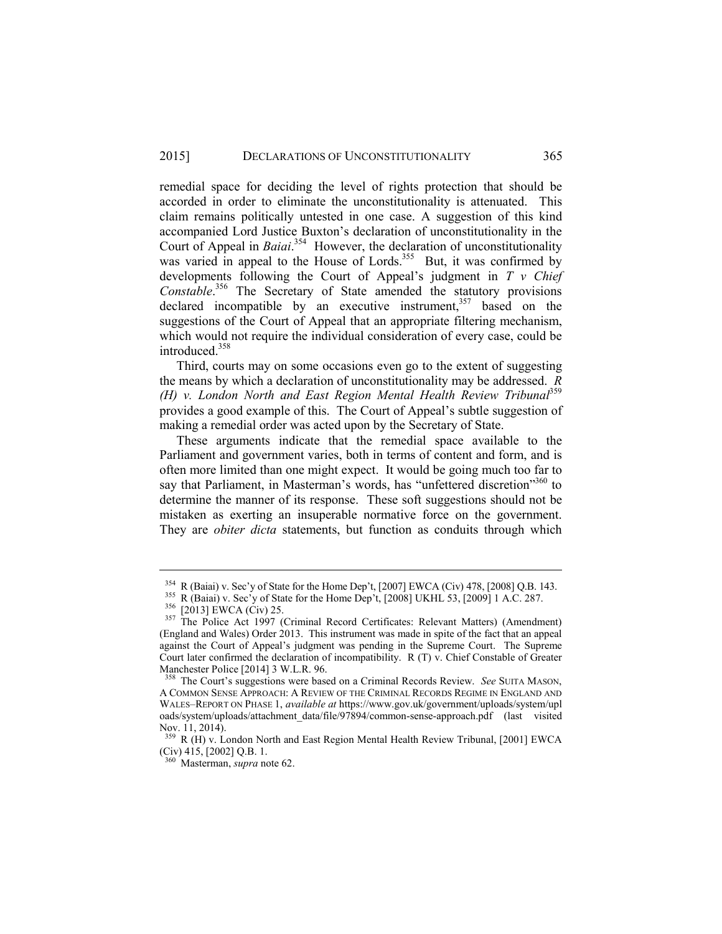remedial space for deciding the level of rights protection that should be accorded in order to eliminate the unconstitutionality is attenuated. This claim remains politically untested in one case. A suggestion of this kind accompanied Lord Justice Buxton's declaration of unconstitutionality in the Court of Appeal in *Baiai*.<sup>354</sup> However, the declaration of unconstitutionality was varied in appeal to the House of Lords.<sup>355</sup> But, it was confirmed by developments following the Court of Appeal's judgment in *T v Chief Constable*. 356 The Secretary of State amended the statutory provisions declared incompatible by an executive instrument,  $357$  based on the suggestions of the Court of Appeal that an appropriate filtering mechanism, which would not require the individual consideration of every case, could be introduced.<sup>358</sup>

Third, courts may on some occasions even go to the extent of suggesting the means by which a declaration of unconstitutionality may be addressed. *R (H) v. London North and East Region Mental Health Review Tribunal*<sup>359</sup> provides a good example of this. The Court of Appeal's subtle suggestion of making a remedial order was acted upon by the Secretary of State.

These arguments indicate that the remedial space available to the Parliament and government varies, both in terms of content and form, and is often more limited than one might expect. It would be going much too far to say that Parliament, in Masterman's words, has "unfettered discretion"<sup>360</sup> to determine the manner of its response. These soft suggestions should not be mistaken as exerting an insuperable normative force on the government. They are *obiter dicta* statements, but function as conduits through which

<sup>&</sup>lt;sup>354</sup> R (Baiai) v. Sec'y of State for the Home Dep't, [2007] EWCA (Civ) 478, [2008] Q.B. 143.<br><sup>355</sup> R (Baiai) v. Sec'y of State for the Home Dep't, [2008] UKHL 53, [2009] 1 A.C. 287.<br><sup>356</sup> [2013] EWCA (Civ) 25.<br><sup>357</sup> The (England and Wales) Order 2013. This instrument was made in spite of the fact that an appeal against the Court of Appeal's judgment was pending in the Supreme Court. The Supreme Court later confirmed the declaration of incompatibility. R (T) v. Chief Constable of Greater Manchester Police [2014] 3 W.L.R. 96.

<sup>358</sup> The Court's suggestions were based on a Criminal Records Review. *See* SUITA MASON, A COMMON SENSE APPROACH: A REVIEW OF THE CRIMINAL RECORDS REGIME IN ENGLAND AND WALES–REPORT ON PHASE 1, *available at* https://www.gov.uk/government/uploads/system/upl oads/system/uploads/attachment\_data/file/97894/common-sense-approach.pdf (last visited Nov. 11, 2014).

<sup>&</sup>lt;sup>359</sup> R (H) v. London North and East Region Mental Health Review Tribunal, [2001] EWCA (Civ) 415, [2002] Q.B. 1.

<sup>360</sup> Masterman, *supra* note 62.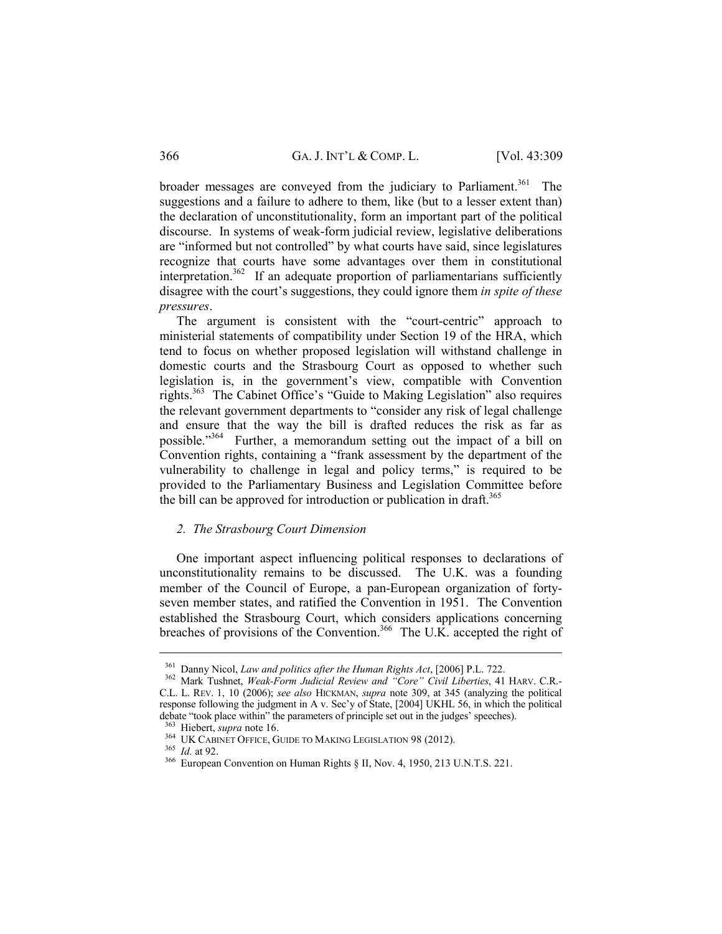broader messages are conveyed from the judiciary to Parliament.<sup>361</sup> The suggestions and a failure to adhere to them, like (but to a lesser extent than) the declaration of unconstitutionality, form an important part of the political discourse. In systems of weak-form judicial review, legislative deliberations are "informed but not controlled" by what courts have said, since legislatures recognize that courts have some advantages over them in constitutional interpretation.<sup>362</sup> If an adequate proportion of parliamentarians sufficiently disagree with the court's suggestions, they could ignore them *in spite of these pressures*.

The argument is consistent with the "court-centric" approach to ministerial statements of compatibility under Section 19 of the HRA, which tend to focus on whether proposed legislation will withstand challenge in domestic courts and the Strasbourg Court as opposed to whether such legislation is, in the government's view, compatible with Convention rights.363 The Cabinet Office's "Guide to Making Legislation" also requires the relevant government departments to "consider any risk of legal challenge and ensure that the way the bill is drafted reduces the risk as far as possible."364 Further, a memorandum setting out the impact of a bill on Convention rights, containing a "frank assessment by the department of the vulnerability to challenge in legal and policy terms," is required to be provided to the Parliamentary Business and Legislation Committee before the bill can be approved for introduction or publication in draft.<sup>365</sup>

### *2. The Strasbourg Court Dimension*

One important aspect influencing political responses to declarations of unconstitutionality remains to be discussed. The U.K. was a founding member of the Council of Europe, a pan-European organization of fortyseven member states, and ratified the Convention in 1951. The Convention established the Strasbourg Court, which considers applications concerning breaches of provisions of the Convention.<sup>366</sup> The U.K. accepted the right of

<sup>361</sup> Danny Nicol, *Law and politics after the Human Rights Act*, [2006] P.L. 722. 362 Mark Tushnet, *Weak-Form Judicial Review and "Core" Civil Liberties*, 41 HARV. C.R.- C.L. L. REV. 1, 10 (2006); *see also* HICKMAN, *supra* note 309, at 345 (analyzing the political response following the judgment in A v. Sec'y of State, [2004] UKHL 56, in which the political debate "took place within" the parameters of principle set out in the judges' speeches).<br> $363$  Hiebert, *supra* note 16.

<sup>&</sup>lt;sup>364</sup> UK CABINET OFFICE, GUIDE TO MAKING LEGISLATION 98 (2012).<br><sup>365</sup> *Id.* at 92.<br><sup>366</sup> European Convention on Human Rights § II, Nov. 4, 1950, 213 U.N.T.S. 221.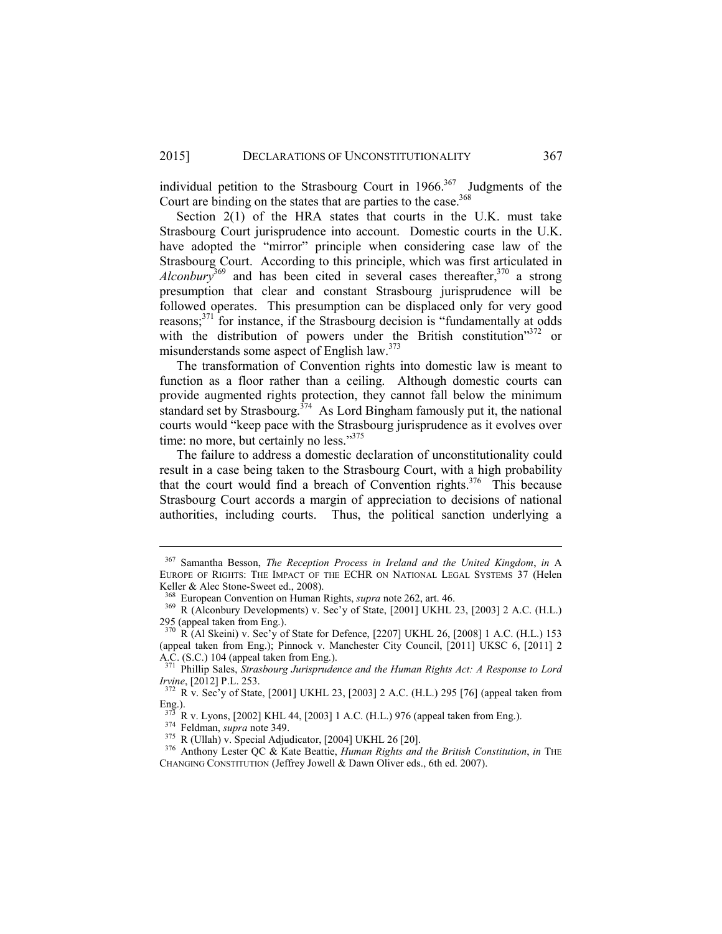individual petition to the Strasbourg Court in 1966.<sup>367</sup> Judgments of the Court are binding on the states that are parties to the case.<sup>368</sup>

Section 2(1) of the HRA states that courts in the U.K. must take Strasbourg Court jurisprudence into account. Domestic courts in the U.K. have adopted the "mirror" principle when considering case law of the Strasbourg Court. According to this principle, which was first articulated in *Alconbury*<sup>369</sup> and has been cited in several cases thereafter,<sup>370</sup> a strong presumption that clear and constant Strasbourg jurisprudence will be followed operates. This presumption can be displaced only for very good reasons;371 for instance, if the Strasbourg decision is "fundamentally at odds with the distribution of powers under the British constitution"372 or misunderstands some aspect of English law.<sup>373</sup>

The transformation of Convention rights into domestic law is meant to function as a floor rather than a ceiling. Although domestic courts can provide augmented rights protection, they cannot fall below the minimum standard set by Strasbourg.<sup>374</sup> As Lord Bingham famously put it, the national courts would "keep pace with the Strasbourg jurisprudence as it evolves over time: no more, but certainly no less."<sup>375</sup>

The failure to address a domestic declaration of unconstitutionality could result in a case being taken to the Strasbourg Court, with a high probability that the court would find a breach of Convention rights.<sup>376</sup> This because Strasbourg Court accords a margin of appreciation to decisions of national authorities, including courts. Thus, the political sanction underlying a

<sup>367</sup> Samantha Besson, *The Reception Process in Ireland and the United Kingdom*, *in* A EUROPE OF RIGHTS: THE IMPACT OF THE ECHR ON NATIONAL LEGAL SYSTEMS 37 (Helen Keller & Alec Stone-Sweet ed., 2008).<br><sup>368</sup> European Convention on Human Rights, *supra* note 262, art. 46.

<sup>&</sup>lt;sup>369</sup> R (Alconbury Developments) v. Sec'y of State, [2001] UKHL 23, [2003] 2 A.C. (H.L.) 295 (appeal taken from Eng.).

 $370 \text{ R}$  (Al Skeini) v. Sec'y of State for Defence, [2207] UKHL 26, [2008] 1 A.C. (H.L.) 153 (appeal taken from Eng.); Pinnock v. Manchester City Council, [2011] UKSC 6, [2011] 2 A.C. (S.C.) 104 (appeal taken from Eng.).

<sup>371</sup> Phillip Sales, *Strasbourg Jurisprudence and the Human Rights Act: A Response to Lord Irvine*, [2012] P.L. 253. 372 R v. Sec'y of State, [2001] UKHL 23, [2003] 2 A.C. (H.L.) 295 [76] (appeal taken from

Eng.).<br> $373$  R v. Lyons, [2002] KHL 44, [2003] 1 A.C. (H.L.) 976 (appeal taken from Eng.).

<sup>&</sup>lt;sup>374</sup> Feldman, *supra* note 349.<br><sup>375</sup> R (Ullah) v. Special Adjudicator, [2004] UKHL 26 [20].<br><sup>375</sup> Anthony Lester QC & Kate Beattie, *Human Rights and the British Constitution*, *in* THE CHANGING CONSTITUTION (Jeffrey Jowell & Dawn Oliver eds., 6th ed. 2007).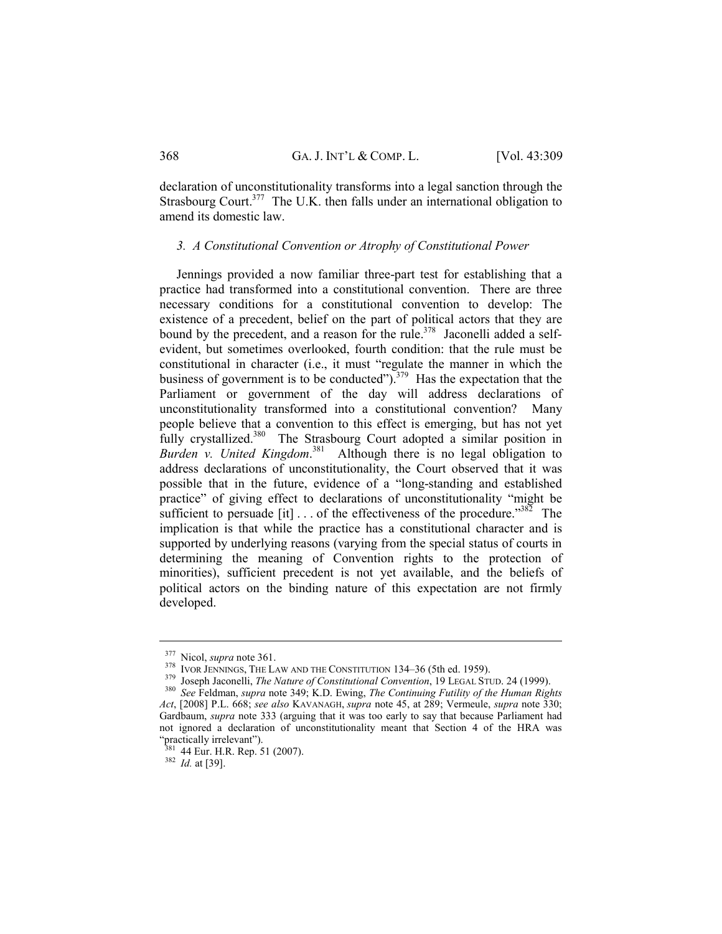declaration of unconstitutionality transforms into a legal sanction through the Strasbourg Court.<sup>377</sup> The U.K. then falls under an international obligation to amend its domestic law.

#### *3. A Constitutional Convention or Atrophy of Constitutional Power*

Jennings provided a now familiar three-part test for establishing that a practice had transformed into a constitutional convention. There are three necessary conditions for a constitutional convention to develop: The existence of a precedent, belief on the part of political actors that they are bound by the precedent, and a reason for the rule.<sup>378</sup> Jaconelli added a selfevident, but sometimes overlooked, fourth condition: that the rule must be constitutional in character (i.e., it must "regulate the manner in which the business of government is to be conducted").<sup>379</sup> Has the expectation that the Parliament or government of the day will address declarations of unconstitutionality transformed into a constitutional convention? Many people believe that a convention to this effect is emerging, but has not yet fully crystallized.<sup>380</sup> The Strasbourg Court adopted a similar position in *Burden v. United Kingdom*. 381 Although there is no legal obligation to address declarations of unconstitutionality, the Court observed that it was possible that in the future, evidence of a "long-standing and established practice" of giving effect to declarations of unconstitutionality "might be sufficient to persuade [it]  $\ldots$  of the effectiveness of the procedure."<sup>382</sup> The implication is that while the practice has a constitutional character and is supported by underlying reasons (varying from the special status of courts in determining the meaning of Convention rights to the protection of minorities), sufficient precedent is not yet available, and the beliefs of political actors on the binding nature of this expectation are not firmly developed.

<sup>&</sup>lt;sup>377</sup> Nicol, *supra* note 361.<br><sup>378</sup> IVOR JENNINGS, THE LAW AND THE CONSTITUTION 134–36 (5th ed. 1959).<br><sup>379</sup> Joseph Jaconelli, *The Nature of Constitutional Convention*, 19 LEGAL STUD. 24 (1999).<br><sup>379</sup> See Feldman, *supr Act*, [2008] P.L. 668; *see also* KAVANAGH, *supra* note 45, at 289; Vermeule, *supra* note 330; Gardbaum, *supra* note 333 (arguing that it was too early to say that because Parliament had not ignored a declaration of unconstitutionality meant that Section 4 of the HRA was "practically irrelevant").

<sup>381 44</sup> Eur. H.R. Rep. 51 (2007). 382 *Id.* at [39].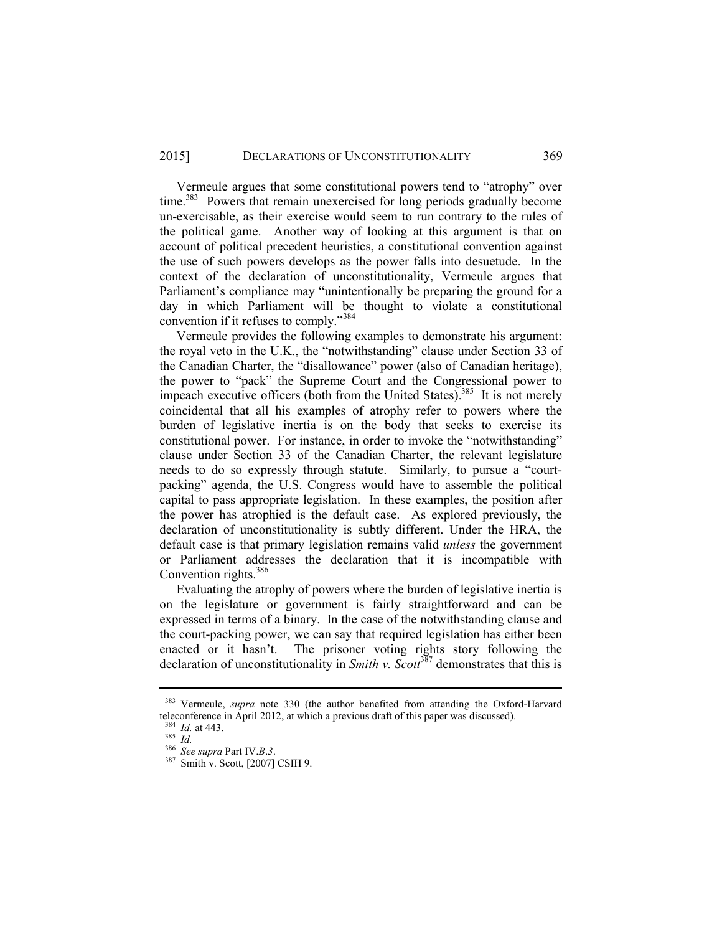Vermeule argues that some constitutional powers tend to "atrophy" over time.<sup>383</sup> Powers that remain unexercised for long periods gradually become un-exercisable, as their exercise would seem to run contrary to the rules of the political game. Another way of looking at this argument is that on account of political precedent heuristics, a constitutional convention against the use of such powers develops as the power falls into desuetude. In the context of the declaration of unconstitutionality, Vermeule argues that Parliament's compliance may "unintentionally be preparing the ground for a day in which Parliament will be thought to violate a constitutional convention if it refuses to comply."384

Vermeule provides the following examples to demonstrate his argument: the royal veto in the U.K., the "notwithstanding" clause under Section 33 of the Canadian Charter, the "disallowance" power (also of Canadian heritage), the power to "pack" the Supreme Court and the Congressional power to impeach executive officers (both from the United States).<sup>385</sup> It is not merely coincidental that all his examples of atrophy refer to powers where the burden of legislative inertia is on the body that seeks to exercise its constitutional power. For instance, in order to invoke the "notwithstanding" clause under Section 33 of the Canadian Charter, the relevant legislature needs to do so expressly through statute. Similarly, to pursue a "courtpacking" agenda, the U.S. Congress would have to assemble the political capital to pass appropriate legislation. In these examples, the position after the power has atrophied is the default case. As explored previously, the declaration of unconstitutionality is subtly different. Under the HRA, the default case is that primary legislation remains valid *unless* the government or Parliament addresses the declaration that it is incompatible with Convention rights.<sup>386</sup>

Evaluating the atrophy of powers where the burden of legislative inertia is on the legislature or government is fairly straightforward and can be expressed in terms of a binary. In the case of the notwithstanding clause and the court-packing power, we can say that required legislation has either been enacted or it hasn't. The prisoner voting rights story following the declaration of unconstitutionality in *Smith v. Scott*<sup>387</sup> demonstrates that this is

<sup>383</sup> Vermeule, *supra* note 330 (the author benefited from attending the Oxford-Harvard teleconference in April 2012, at which a previous draft of this paper was discussed).  $^{384}$  *Id.* at 443.

<sup>384</sup> *Id.* at 443. 385 *Id.* <sup>386</sup> *See supra* Part IV.*B*.*3*. 387 Smith v. Scott, [2007] CSIH 9.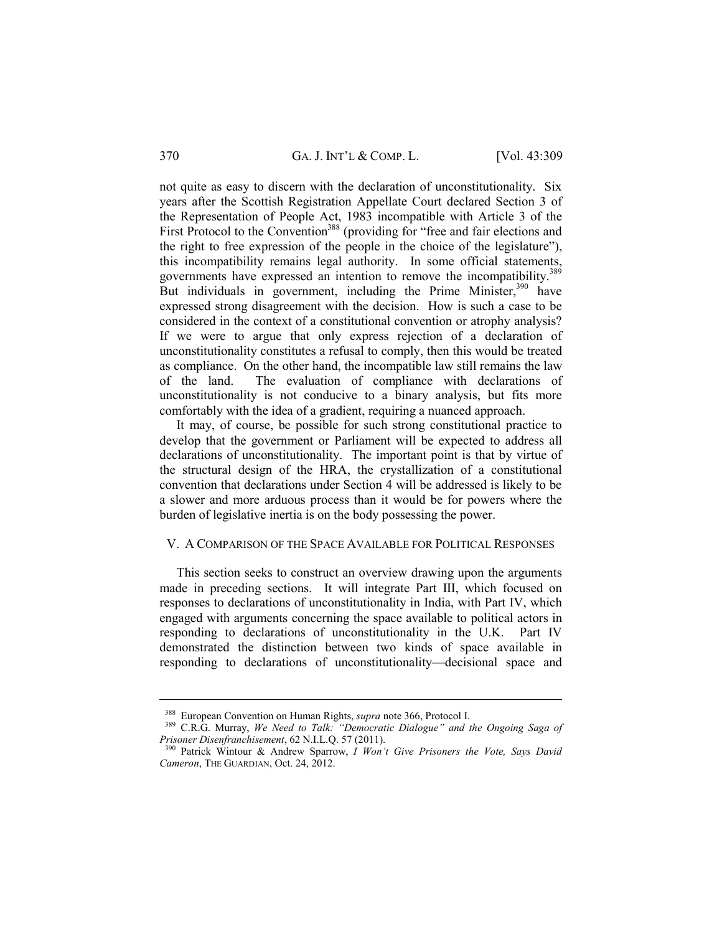not quite as easy to discern with the declaration of unconstitutionality. Six years after the Scottish Registration Appellate Court declared Section 3 of the Representation of People Act, 1983 incompatible with Article 3 of the First Protocol to the Convention<sup>388</sup> (providing for "free and fair elections and the right to free expression of the people in the choice of the legislature"), this incompatibility remains legal authority. In some official statements, governments have expressed an intention to remove the incompatibility.<sup>389</sup> But individuals in government, including the Prime Minister,  $390$  have expressed strong disagreement with the decision. How is such a case to be considered in the context of a constitutional convention or atrophy analysis? If we were to argue that only express rejection of a declaration of unconstitutionality constitutes a refusal to comply, then this would be treated as compliance. On the other hand, the incompatible law still remains the law of the land. The evaluation of compliance with declarations of unconstitutionality is not conducive to a binary analysis, but fits more comfortably with the idea of a gradient, requiring a nuanced approach.

It may, of course, be possible for such strong constitutional practice to develop that the government or Parliament will be expected to address all declarations of unconstitutionality. The important point is that by virtue of the structural design of the HRA, the crystallization of a constitutional convention that declarations under Section 4 will be addressed is likely to be a slower and more arduous process than it would be for powers where the burden of legislative inertia is on the body possessing the power.

### V. A COMPARISON OF THE SPACE AVAILABLE FOR POLITICAL RESPONSES

This section seeks to construct an overview drawing upon the arguments made in preceding sections. It will integrate Part III, which focused on responses to declarations of unconstitutionality in India, with Part IV, which engaged with arguments concerning the space available to political actors in responding to declarations of unconstitutionality in the U.K. Part IV demonstrated the distinction between two kinds of space available in responding to declarations of unconstitutionality—decisional space and

<sup>&</sup>lt;sup>388</sup> European Convention on Human Rights, *supra* note 366, Protocol I.<br><sup>389</sup> C.R.G. Murray, *We Need to Talk: "Democratic Dialogue" and the Ongoing Saga of Prisoner Disenfranchisement*, 62 N.I.L.Q. 57 (2011).<br><sup>390</sup> Patrick Wintour & Andrew Sparrow, *I Won't Give Prisoners the Vote, Says David* 

*Cameron*, THE GUARDIAN, Oct. 24, 2012.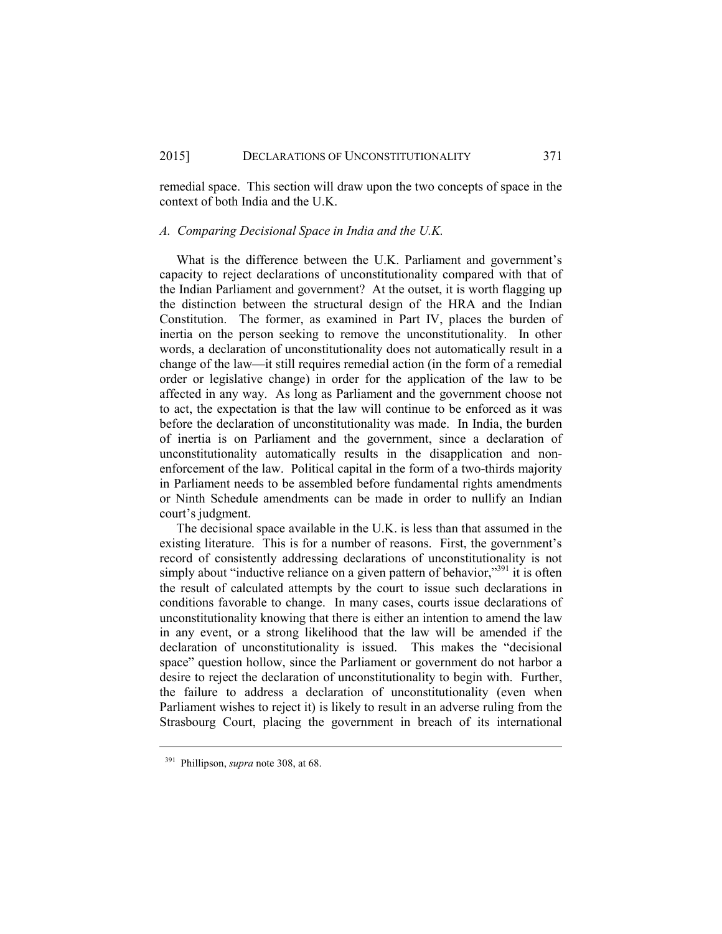remedial space. This section will draw upon the two concepts of space in the context of both India and the U.K.

### *A. Comparing Decisional Space in India and the U.K.*

What is the difference between the U.K. Parliament and government's capacity to reject declarations of unconstitutionality compared with that of the Indian Parliament and government? At the outset, it is worth flagging up the distinction between the structural design of the HRA and the Indian Constitution. The former, as examined in Part IV, places the burden of inertia on the person seeking to remove the unconstitutionality. In other words, a declaration of unconstitutionality does not automatically result in a change of the law—it still requires remedial action (in the form of a remedial order or legislative change) in order for the application of the law to be affected in any way. As long as Parliament and the government choose not to act, the expectation is that the law will continue to be enforced as it was before the declaration of unconstitutionality was made. In India, the burden of inertia is on Parliament and the government, since a declaration of unconstitutionality automatically results in the disapplication and nonenforcement of the law. Political capital in the form of a two-thirds majority in Parliament needs to be assembled before fundamental rights amendments or Ninth Schedule amendments can be made in order to nullify an Indian court's judgment.

The decisional space available in the U.K. is less than that assumed in the existing literature. This is for a number of reasons. First, the government's record of consistently addressing declarations of unconstitutionality is not simply about "inductive reliance on a given pattern of behavior,"<sup>391</sup> it is often the result of calculated attempts by the court to issue such declarations in conditions favorable to change. In many cases, courts issue declarations of unconstitutionality knowing that there is either an intention to amend the law in any event, or a strong likelihood that the law will be amended if the declaration of unconstitutionality is issued. This makes the "decisional space" question hollow, since the Parliament or government do not harbor a desire to reject the declaration of unconstitutionality to begin with. Further, the failure to address a declaration of unconstitutionality (even when Parliament wishes to reject it) is likely to result in an adverse ruling from the Strasbourg Court, placing the government in breach of its international

<sup>391</sup> Phillipson, *supra* note 308, at 68.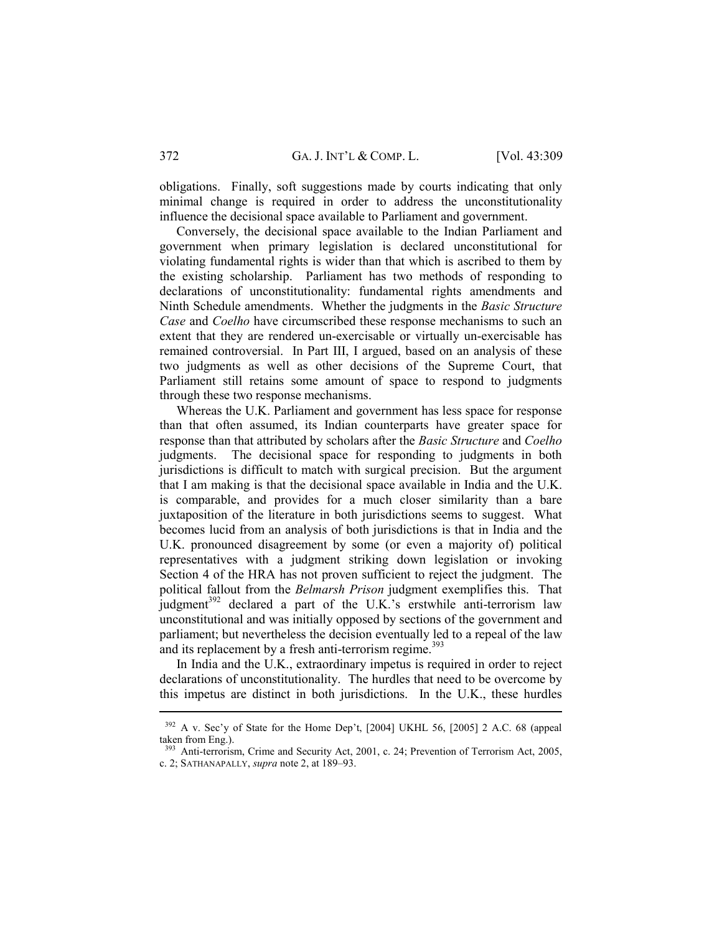obligations. Finally, soft suggestions made by courts indicating that only minimal change is required in order to address the unconstitutionality influence the decisional space available to Parliament and government.

Conversely, the decisional space available to the Indian Parliament and government when primary legislation is declared unconstitutional for violating fundamental rights is wider than that which is ascribed to them by the existing scholarship. Parliament has two methods of responding to declarations of unconstitutionality: fundamental rights amendments and Ninth Schedule amendments. Whether the judgments in the *Basic Structure Case* and *Coelho* have circumscribed these response mechanisms to such an extent that they are rendered un-exercisable or virtually un-exercisable has remained controversial. In Part III, I argued, based on an analysis of these two judgments as well as other decisions of the Supreme Court, that Parliament still retains some amount of space to respond to judgments through these two response mechanisms.

Whereas the U.K. Parliament and government has less space for response than that often assumed, its Indian counterparts have greater space for response than that attributed by scholars after the *Basic Structure* and *Coelho* judgments. The decisional space for responding to judgments in both jurisdictions is difficult to match with surgical precision. But the argument that I am making is that the decisional space available in India and the U.K. is comparable, and provides for a much closer similarity than a bare juxtaposition of the literature in both jurisdictions seems to suggest. What becomes lucid from an analysis of both jurisdictions is that in India and the U.K. pronounced disagreement by some (or even a majority of) political representatives with a judgment striking down legislation or invoking Section 4 of the HRA has not proven sufficient to reject the judgment. The political fallout from the *Belmarsh Prison* judgment exemplifies this. That judgment<sup>392</sup> declared a part of the U.K.'s erstwhile anti-terrorism law unconstitutional and was initially opposed by sections of the government and parliament; but nevertheless the decision eventually led to a repeal of the law and its replacement by a fresh anti-terrorism regime.<sup>393</sup>

In India and the U.K., extraordinary impetus is required in order to reject declarations of unconstitutionality. The hurdles that need to be overcome by this impetus are distinct in both jurisdictions. In the U.K., these hurdles

 $392$  A v. Sec'y of State for the Home Dep't, [2004] UKHL 56, [2005] 2 A.C. 68 (appeal taken from Eng.).

<sup>&</sup>lt;sup>393</sup> Anti-terrorism, Crime and Security Act, 2001, c. 24; Prevention of Terrorism Act, 2005, c. 2; SATHANAPALLY, *supra* note 2, at 189–93.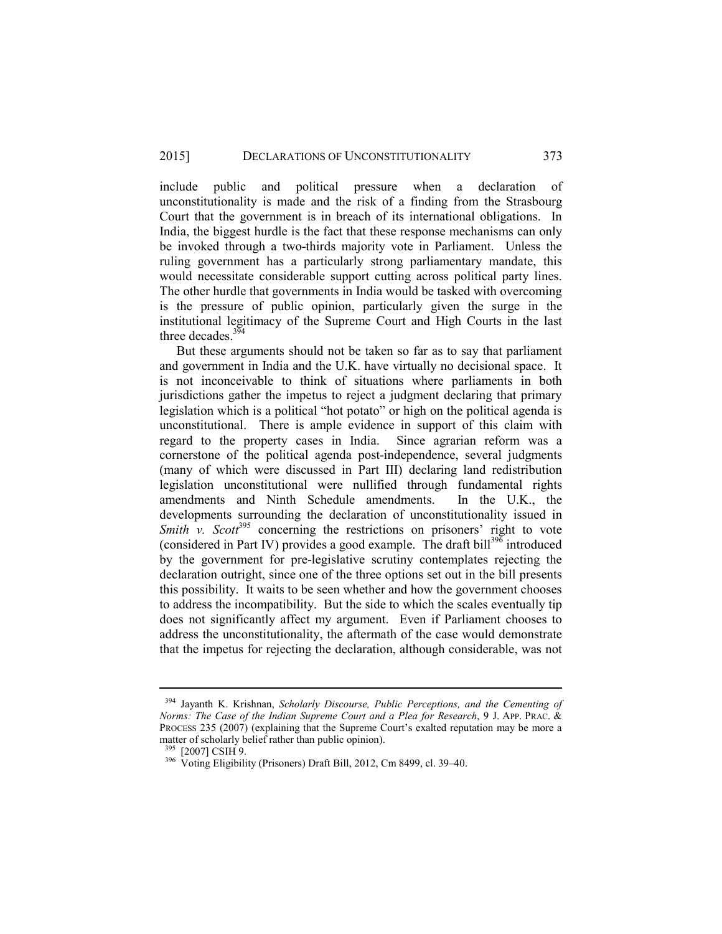include public and political pressure when a declaration of unconstitutionality is made and the risk of a finding from the Strasbourg Court that the government is in breach of its international obligations. In India, the biggest hurdle is the fact that these response mechanisms can only be invoked through a two-thirds majority vote in Parliament. Unless the ruling government has a particularly strong parliamentary mandate, this would necessitate considerable support cutting across political party lines. The other hurdle that governments in India would be tasked with overcoming is the pressure of public opinion, particularly given the surge in the institutional legitimacy of the Supreme Court and High Courts in the last three decades.<sup>394</sup>

But these arguments should not be taken so far as to say that parliament and government in India and the U.K. have virtually no decisional space. It is not inconceivable to think of situations where parliaments in both jurisdictions gather the impetus to reject a judgment declaring that primary legislation which is a political "hot potato" or high on the political agenda is unconstitutional. There is ample evidence in support of this claim with regard to the property cases in India. Since agrarian reform was a cornerstone of the political agenda post-independence, several judgments (many of which were discussed in Part III) declaring land redistribution legislation unconstitutional were nullified through fundamental rights amendments and Ninth Schedule amendments. In the U.K., the developments surrounding the declaration of unconstitutionality issued in *Smith v. Scott*<sup>395</sup> concerning the restrictions on prisoners' right to vote (considered in Part IV) provides a good example. The draft bill<sup>396</sup> introduced by the government for pre-legislative scrutiny contemplates rejecting the declaration outright, since one of the three options set out in the bill presents this possibility. It waits to be seen whether and how the government chooses to address the incompatibility. But the side to which the scales eventually tip does not significantly affect my argument. Even if Parliament chooses to address the unconstitutionality, the aftermath of the case would demonstrate that the impetus for rejecting the declaration, although considerable, was not

<sup>394</sup> Jayanth K. Krishnan, *Scholarly Discourse, Public Perceptions, and the Cementing of Norms: The Case of the Indian Supreme Court and a Plea for Research*, 9 J. APP. PRAC. & PROCESS 235 (2007) (explaining that the Supreme Court's exalted reputation may be more a matter of scholarly belief rather than public opinion).

<sup>&</sup>lt;sup>395</sup> [2007] CSIH 9.<br><sup>396</sup> Voting Eligibility (Prisoners) Draft Bill, 2012, Cm 8499, cl. 39–40.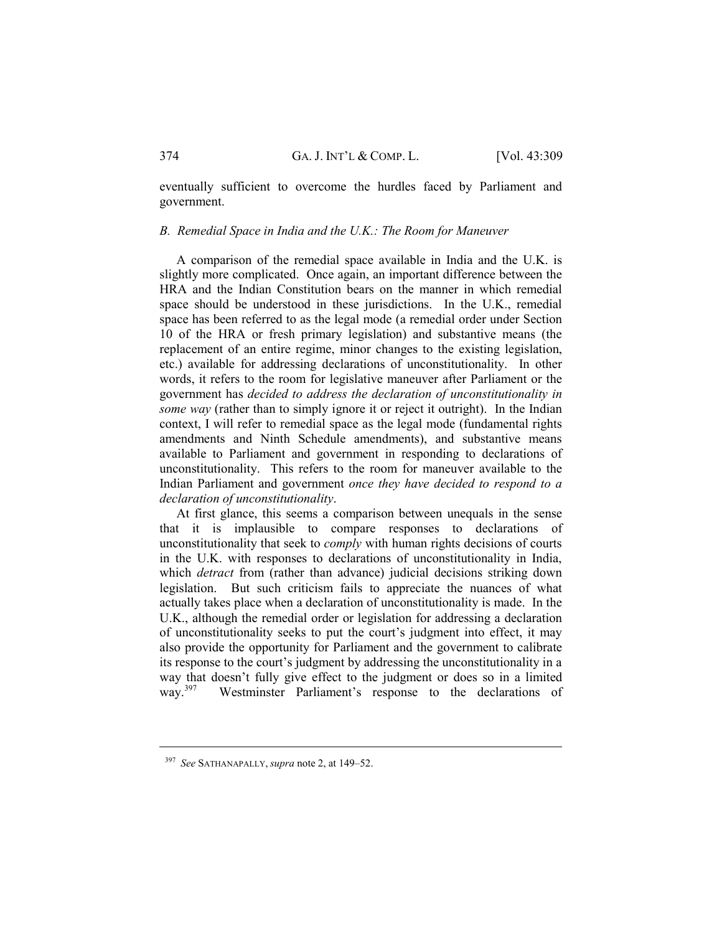eventually sufficient to overcome the hurdles faced by Parliament and government.

### *B. Remedial Space in India and the U.K.: The Room for Maneuver*

A comparison of the remedial space available in India and the U.K. is slightly more complicated. Once again, an important difference between the HRA and the Indian Constitution bears on the manner in which remedial space should be understood in these jurisdictions. In the U.K., remedial space has been referred to as the legal mode (a remedial order under Section 10 of the HRA or fresh primary legislation) and substantive means (the replacement of an entire regime, minor changes to the existing legislation, etc.) available for addressing declarations of unconstitutionality. In other words, it refers to the room for legislative maneuver after Parliament or the government has *decided to address the declaration of unconstitutionality in some way* (rather than to simply ignore it or reject it outright). In the Indian context, I will refer to remedial space as the legal mode (fundamental rights amendments and Ninth Schedule amendments), and substantive means available to Parliament and government in responding to declarations of unconstitutionality. This refers to the room for maneuver available to the Indian Parliament and government *once they have decided to respond to a declaration of unconstitutionality*.

At first glance, this seems a comparison between unequals in the sense that it is implausible to compare responses to declarations of unconstitutionality that seek to *comply* with human rights decisions of courts in the U.K. with responses to declarations of unconstitutionality in India, which *detract* from (rather than advance) judicial decisions striking down legislation. But such criticism fails to appreciate the nuances of what actually takes place when a declaration of unconstitutionality is made. In the U.K., although the remedial order or legislation for addressing a declaration of unconstitutionality seeks to put the court's judgment into effect, it may also provide the opportunity for Parliament and the government to calibrate its response to the court's judgment by addressing the unconstitutionality in a way that doesn't fully give effect to the judgment or does so in a limited way.<sup>397</sup> Westminster Parliament's response to the declarations of

<sup>397</sup> *See* SATHANAPALLY, *supra* note 2, at 149–52.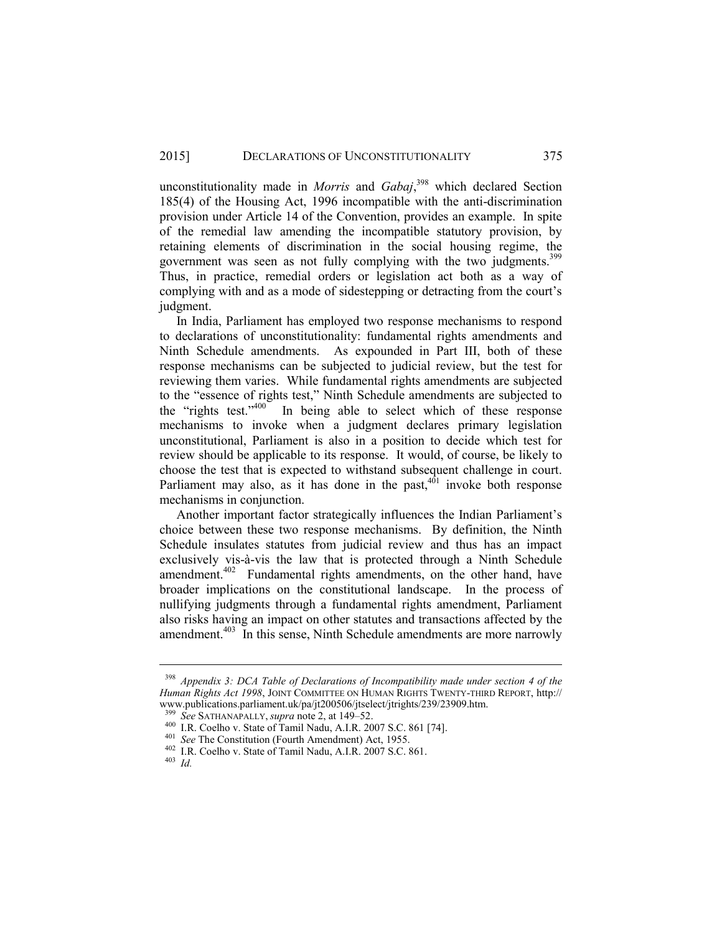unconstitutionality made in *Morris* and *Gabaj*, 398 which declared Section 185(4) of the Housing Act, 1996 incompatible with the anti-discrimination provision under Article 14 of the Convention, provides an example. In spite of the remedial law amending the incompatible statutory provision, by retaining elements of discrimination in the social housing regime, the government was seen as not fully complying with the two judgments.<sup>399</sup> Thus, in practice, remedial orders or legislation act both as a way of complying with and as a mode of sidestepping or detracting from the court's judgment.

In India, Parliament has employed two response mechanisms to respond to declarations of unconstitutionality: fundamental rights amendments and Ninth Schedule amendments. As expounded in Part III, both of these response mechanisms can be subjected to judicial review, but the test for reviewing them varies. While fundamental rights amendments are subjected to the "essence of rights test," Ninth Schedule amendments are subjected to the "rights test." $400$ " In being able to select which of these response mechanisms to invoke when a judgment declares primary legislation unconstitutional, Parliament is also in a position to decide which test for review should be applicable to its response. It would, of course, be likely to choose the test that is expected to withstand subsequent challenge in court. Parliament may also, as it has done in the past, $401$  invoke both response mechanisms in conjunction.

Another important factor strategically influences the Indian Parliament's choice between these two response mechanisms. By definition, the Ninth Schedule insulates statutes from judicial review and thus has an impact exclusively vis-à-vis the law that is protected through a Ninth Schedule amendment.<sup>402</sup> Fundamental rights amendments, on the other hand, have broader implications on the constitutional landscape. In the process of nullifying judgments through a fundamental rights amendment, Parliament also risks having an impact on other statutes and transactions affected by the amendment.<sup>403</sup> In this sense, Ninth Schedule amendments are more narrowly

<sup>398</sup> *Appendix 3: DCA Table of Declarations of Incompatibility made under section 4 of the Human Rights Act 1998*, JOINT COMMITTEE ON HUMAN RIGHTS TWENTY-THIRD REPORT, http:// www.publications.parliament.uk/pa/jt200506/jtselect/jtrights/239/23909.htm.

<sup>&</sup>lt;sup>399</sup> See SATHANAPALLY, *supra* note 2, at 149–52.<br><sup>400</sup> I.R. Coelho v. State of Tamil Nadu, A.I.R. 2007 S.C. 861 [74].<br><sup>401</sup> See The Constitution (Fourth Amendment) Act, 1955.<br><sup>402</sup> I.R. Coelho v. State of Tamil Nadu, A.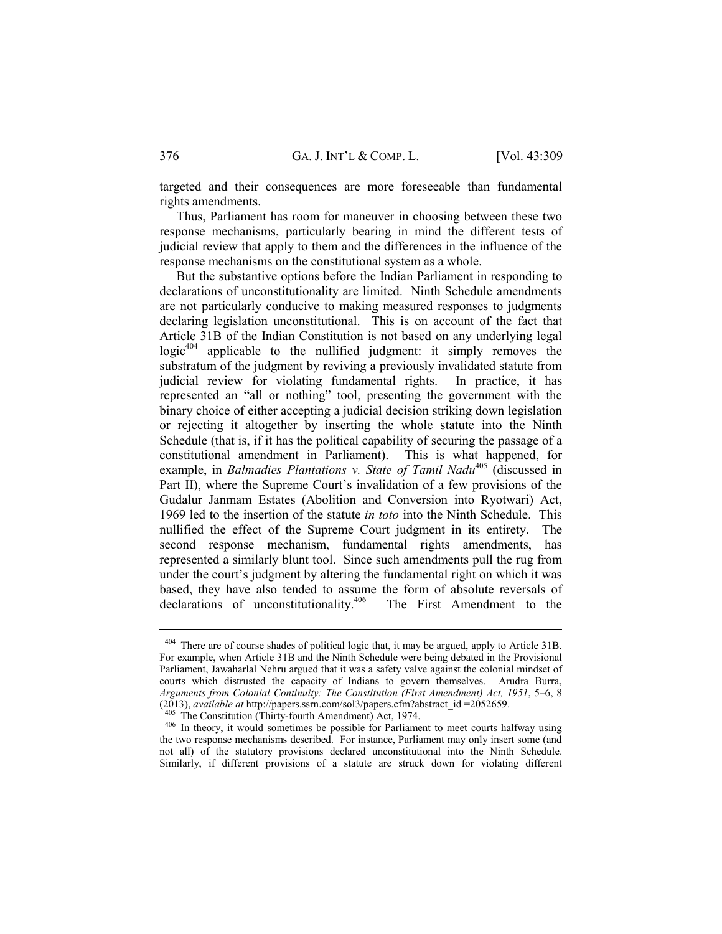targeted and their consequences are more foreseeable than fundamental rights amendments.

Thus, Parliament has room for maneuver in choosing between these two response mechanisms, particularly bearing in mind the different tests of judicial review that apply to them and the differences in the influence of the response mechanisms on the constitutional system as a whole.

But the substantive options before the Indian Parliament in responding to declarations of unconstitutionality are limited. Ninth Schedule amendments are not particularly conducive to making measured responses to judgments declaring legislation unconstitutional. This is on account of the fact that Article 31B of the Indian Constitution is not based on any underlying legal logic<sup>404</sup> applicable to the nullified judgment: it simply removes the substratum of the judgment by reviving a previously invalidated statute from judicial review for violating fundamental rights. In practice, it has represented an "all or nothing" tool, presenting the government with the binary choice of either accepting a judicial decision striking down legislation or rejecting it altogether by inserting the whole statute into the Ninth Schedule (that is, if it has the political capability of securing the passage of a constitutional amendment in Parliament). This is what happened, for example, in *Balmadies Plantations v. State of Tamil Nadu<sup>405</sup>* (discussed in Part II), where the Supreme Court's invalidation of a few provisions of the Gudalur Janmam Estates (Abolition and Conversion into Ryotwari) Act, 1969 led to the insertion of the statute *in toto* into the Ninth Schedule. This nullified the effect of the Supreme Court judgment in its entirety. The second response mechanism, fundamental rights amendments, has represented a similarly blunt tool. Since such amendments pull the rug from under the court's judgment by altering the fundamental right on which it was based, they have also tended to assume the form of absolute reversals of declarations of unconstitutionality.<sup>406</sup> The First Amendment to the

<sup>404</sup> There are of course shades of political logic that, it may be argued, apply to Article 31B. For example, when Article 31B and the Ninth Schedule were being debated in the Provisional Parliament, Jawaharlal Nehru argued that it was a safety valve against the colonial mindset of courts which distrusted the capacity of Indians to govern themselves. Arudra Burra, *Arguments from Colonial Continuity: The Constitution (First Amendment) Act, 1951, 5–6, 8* (2013), *available at http://papers.ssrn.com/sol3/papers.cfm?abstract id =2052659.* 

<sup>&</sup>lt;sup>405</sup> The Constitution (Thirty-fourth Amendment) Act, 1974. the two response mechanisms described. For instance, Parliament may only insert some (and not all) of the statutory provisions declared unconstitutional into the Ninth Schedule. Similarly, if different provisions of a statute are struck down for violating different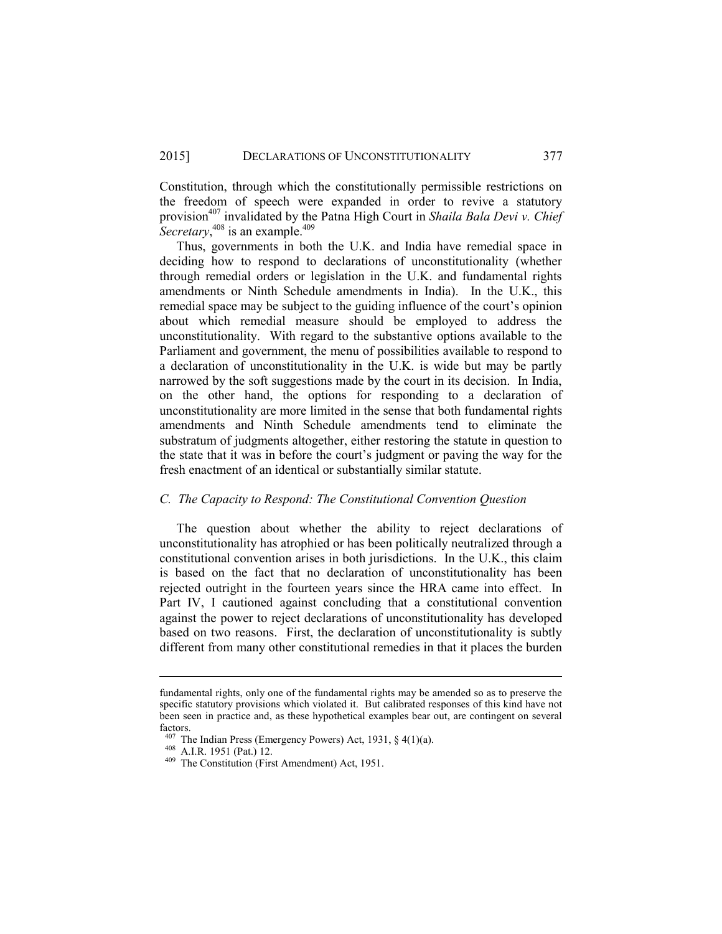Constitution, through which the constitutionally permissible restrictions on the freedom of speech were expanded in order to revive a statutory provision<sup>407</sup> invalidated by the Patna High Court in *Shaila Bala Devi v. Chief* Secretary,  $408$  is an example.  $409$ 

Thus, governments in both the U.K. and India have remedial space in deciding how to respond to declarations of unconstitutionality (whether through remedial orders or legislation in the U.K. and fundamental rights amendments or Ninth Schedule amendments in India). In the U.K., this remedial space may be subject to the guiding influence of the court's opinion about which remedial measure should be employed to address the unconstitutionality. With regard to the substantive options available to the Parliament and government, the menu of possibilities available to respond to a declaration of unconstitutionality in the U.K. is wide but may be partly narrowed by the soft suggestions made by the court in its decision. In India, on the other hand, the options for responding to a declaration of unconstitutionality are more limited in the sense that both fundamental rights amendments and Ninth Schedule amendments tend to eliminate the substratum of judgments altogether, either restoring the statute in question to the state that it was in before the court's judgment or paving the way for the fresh enactment of an identical or substantially similar statute.

### *C. The Capacity to Respond: The Constitutional Convention Question*

The question about whether the ability to reject declarations of unconstitutionality has atrophied or has been politically neutralized through a constitutional convention arises in both jurisdictions. In the U.K., this claim is based on the fact that no declaration of unconstitutionality has been rejected outright in the fourteen years since the HRA came into effect. In Part IV, I cautioned against concluding that a constitutional convention against the power to reject declarations of unconstitutionality has developed based on two reasons. First, the declaration of unconstitutionality is subtly different from many other constitutional remedies in that it places the burden

fundamental rights, only one of the fundamental rights may be amended so as to preserve the specific statutory provisions which violated it. But calibrated responses of this kind have not been seen in practice and, as these hypothetical examples bear out, are contingent on several factors.

<sup>407</sup> The Indian Press (Emergency Powers) Act, 1931, § 4(1)(a).<br>
<sup>408</sup> A.I.R. 1951 (Pat.) 12.<br>
<sup>409</sup> The Constitution (First Amendment) Act, 1951.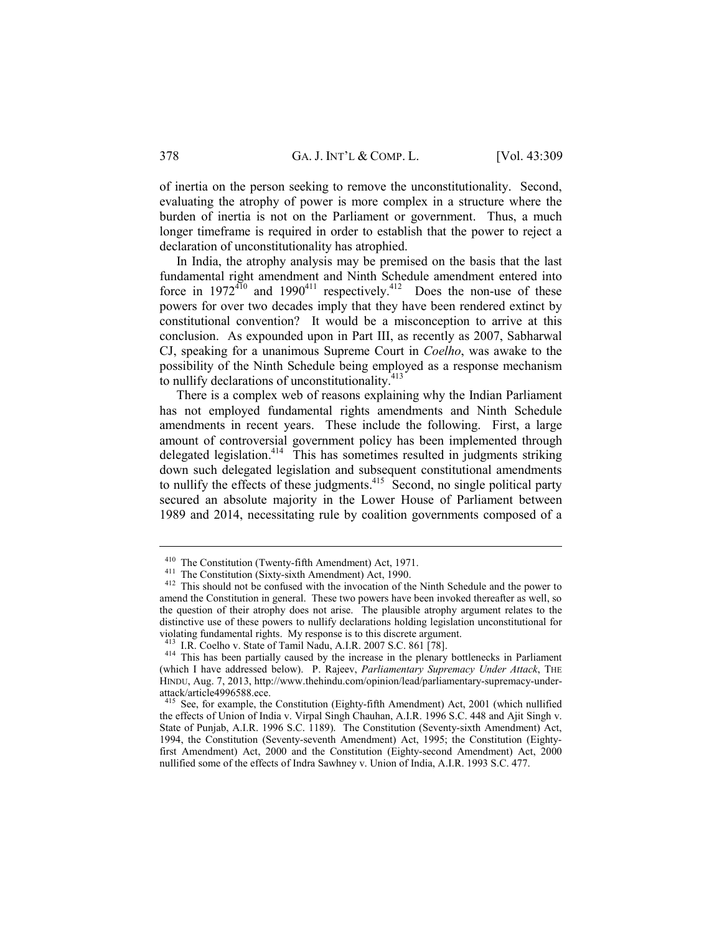of inertia on the person seeking to remove the unconstitutionality. Second, evaluating the atrophy of power is more complex in a structure where the burden of inertia is not on the Parliament or government. Thus, a much longer timeframe is required in order to establish that the power to reject a declaration of unconstitutionality has atrophied.

In India, the atrophy analysis may be premised on the basis that the last fundamental right amendment and Ninth Schedule amendment entered into force in  $1972^{4\overline{10}}$  and  $1990^{411}$  respectively.<sup>412</sup> Does the non-use of these powers for over two decades imply that they have been rendered extinct by constitutional convention? It would be a misconception to arrive at this conclusion. As expounded upon in Part III, as recently as 2007, Sabharwal CJ, speaking for a unanimous Supreme Court in *Coelho*, was awake to the possibility of the Ninth Schedule being employed as a response mechanism to nullify declarations of unconstitutionality.<sup>413</sup>

There is a complex web of reasons explaining why the Indian Parliament has not employed fundamental rights amendments and Ninth Schedule amendments in recent years. These include the following. First, a large amount of controversial government policy has been implemented through delegated legislation.<sup>414</sup> This has sometimes resulted in judgments striking down such delegated legislation and subsequent constitutional amendments to nullify the effects of these judgments.<sup>415</sup> Second, no single political party secured an absolute majority in the Lower House of Parliament between 1989 and 2014, necessitating rule by coalition governments composed of a

<sup>&</sup>lt;sup>410</sup> The Constitution (Twenty-fifth Amendment) Act, 1971.<br><sup>411</sup> The Constitution (Sixty-sixth Amendment) Act, 1990.<br><sup>412</sup> This should not be confused with the invocation of the Ninth Schedule and the power to amend the Constitution in general. These two powers have been invoked thereafter as well, so the question of their atrophy does not arise. The plausible atrophy argument relates to the distinctive use of these powers to nullify declarations holding legislation unconstitutional for violating fundamental rights. My response is to this discrete argument.

<sup>&</sup>lt;sup>413</sup> I.R. Coelho v. State of Tamil Nadu, A.I.R. 2007 S.C. 861 [78].<br><sup>414</sup> This has been partially caused by the increase in the plenary bottlenecks in Parliament (which I have addressed below). P. Rajeev, *Parliamentary Supremacy Under Attack*, THE HINDU, Aug. 7, 2013, http://www.thehindu.com/opinion/lead/parliamentary-supremacy-underattack/article4996588.ece.

<sup>&</sup>lt;sup>415</sup> See, for example, the Constitution (Eighty-fifth Amendment) Act, 2001 (which nullified the effects of Union of India v. Virpal Singh Chauhan, A.I.R. 1996 S.C. 448 and Ajit Singh v. State of Punjab, A.I.R. 1996 S.C. 1189). The Constitution (Seventy-sixth Amendment) Act, 1994, the Constitution (Seventy-seventh Amendment) Act, 1995; the Constitution (Eightyfirst Amendment) Act, 2000 and the Constitution (Eighty-second Amendment) Act, 2000 nullified some of the effects of Indra Sawhney v. Union of India, A.I.R. 1993 S.C. 477.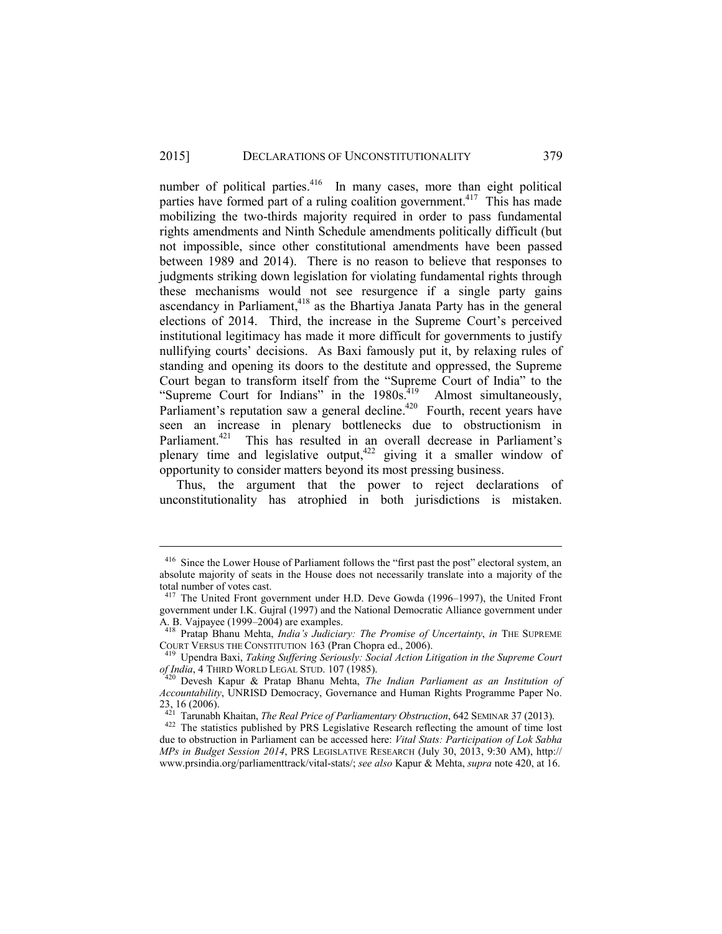number of political parties.<sup>416</sup> In many cases, more than eight political parties have formed part of a ruling coalition government.<sup>417</sup> This has made mobilizing the two-thirds majority required in order to pass fundamental rights amendments and Ninth Schedule amendments politically difficult (but not impossible, since other constitutional amendments have been passed between 1989 and 2014). There is no reason to believe that responses to judgments striking down legislation for violating fundamental rights through these mechanisms would not see resurgence if a single party gains ascendancy in Parliament, $418$  as the Bhartiya Janata Party has in the general elections of 2014. Third, the increase in the Supreme Court's perceived institutional legitimacy has made it more difficult for governments to justify nullifying courts' decisions. As Baxi famously put it, by relaxing rules of standing and opening its doors to the destitute and oppressed, the Supreme Court began to transform itself from the "Supreme Court of India" to the "Supreme Court for Indians" in the 1980s.419 Almost simultaneously, Parliament's reputation saw a general decline.<sup>420</sup> Fourth, recent years have seen an increase in plenary bottlenecks due to obstructionism in Parliament.<sup>421</sup> This has resulted in an overall decrease in Parliament's plenary time and legislative output,<sup>422</sup> giving it a smaller window of opportunity to consider matters beyond its most pressing business.

Thus, the argument that the power to reject declarations of unconstitutionality has atrophied in both jurisdictions is mistaken.

<sup>&</sup>lt;sup>416</sup> Since the Lower House of Parliament follows the "first past the post" electoral system, an absolute majority of seats in the House does not necessarily translate into a majority of the total number of votes cast.

 $^7$  The United Front government under H.D. Deve Gowda (1996–1997), the United Front government under I.K. Gujral (1997) and the National Democratic Alliance government under A. B. Vajpayee (1999–2004) are examples.

<sup>418</sup> Pratap Bhanu Mehta, *India's Judiciary: The Promise of Uncertainty*, *in* THE SUPREME COURT VERSUS THE CONSTITUTION 163 (Pran Chopra ed., 2006). 419 Upendra Baxi, *Taking Suffering Seriously: Social Action Litigation in the Supreme Court* 

*of India*, 4 THIRD WORLD LEGAL STUD. 107 (1985). 420 Devesh Kapur & Pratap Bhanu Mehta, *The Indian Parliament as an Institution of* 

*Accountability*, UNRISD Democracy, Governance and Human Rights Programme Paper No. 23, 16 (2006).<br> $421$  Tarunabh Khaitan, *The Real Price of Parliamentary Obstruction*, 642 SEMINAR 37 (2013).

<sup>&</sup>lt;sup>422</sup> The statistics published by PRS Legislative Research reflecting the amount of time lost due to obstruction in Parliament can be accessed here: *Vital Stats: Participation of Lok Sabha MPs in Budget Session 2014*, PRS LEGISLATIVE RESEARCH (July 30, 2013, 9:30 AM), http:// www.prsindia.org/parliamenttrack/vital-stats/; *see also* Kapur & Mehta, *supra* note 420, at 16.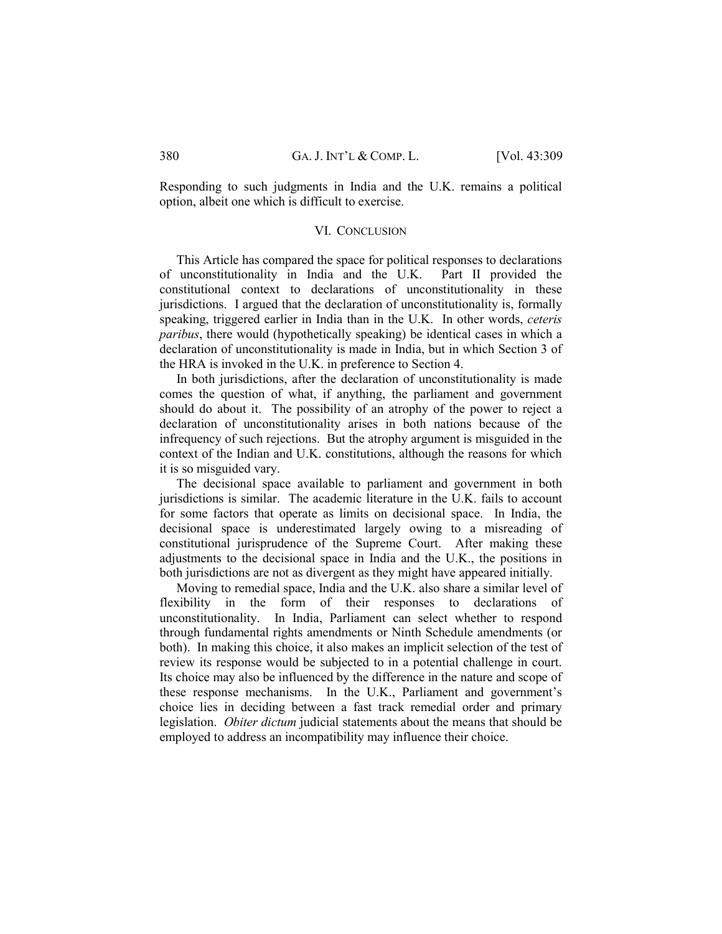Responding to such judgments in India and the U.K. remains a political option, albeit one which is difficult to exercise.

## VI. CONCLUSION

This Article has compared the space for political responses to declarations of unconstitutionality in India and the U.K. Part II provided the constitutional context to declarations of unconstitutionality in these jurisdictions. I argued that the declaration of unconstitutionality is, formally speaking, triggered earlier in India than in the U.K. In other words, *ceteris paribus*, there would (hypothetically speaking) be identical cases in which a declaration of unconstitutionality is made in India, but in which Section 3 of the HRA is invoked in the U.K. in preference to Section 4.

In both jurisdictions, after the declaration of unconstitutionality is made comes the question of what, if anything, the parliament and government should do about it. The possibility of an atrophy of the power to reject a declaration of unconstitutionality arises in both nations because of the infrequency of such rejections. But the atrophy argument is misguided in the context of the Indian and U.K. constitutions, although the reasons for which it is so misguided vary.

The decisional space available to parliament and government in both jurisdictions is similar. The academic literature in the U.K. fails to account for some factors that operate as limits on decisional space. In India, the decisional space is underestimated largely owing to a misreading of constitutional jurisprudence of the Supreme Court. After making these adjustments to the decisional space in India and the U.K., the positions in both jurisdictions are not as divergent as they might have appeared initially.

Moving to remedial space, India and the U.K. also share a similar level of flexibility in the form of their responses to declarations of unconstitutionality. In India, Parliament can select whether to respond through fundamental rights amendments or Ninth Schedule amendments (or both). In making this choice, it also makes an implicit selection of the test of review its response would be subjected to in a potential challenge in court. Its choice may also be influenced by the difference in the nature and scope of these response mechanisms. In the U.K., Parliament and government's choice lies in deciding between a fast track remedial order and primary legislation. *Obiter dictum* judicial statements about the means that should be employed to address an incompatibility may influence their choice.